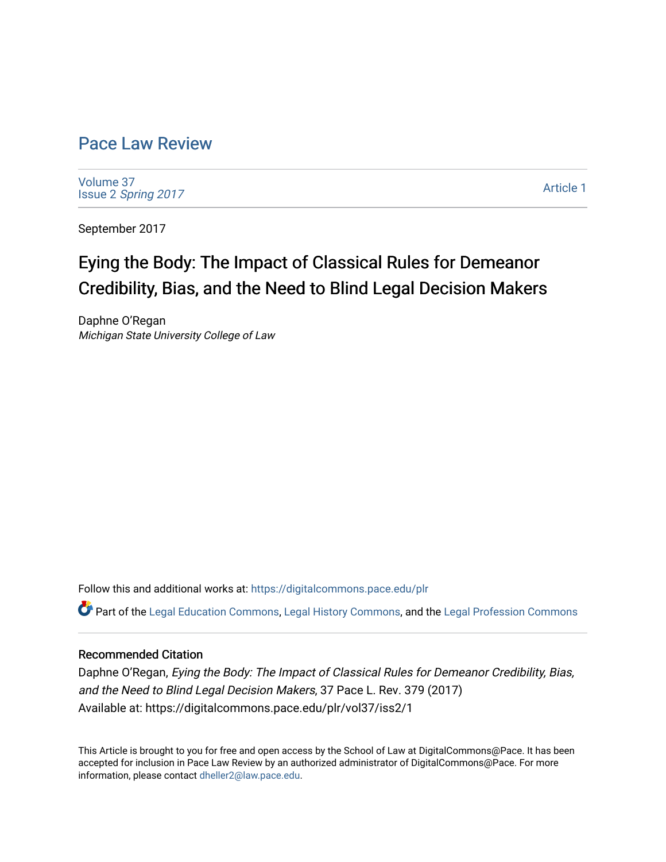## [Pace Law Review](https://digitalcommons.pace.edu/plr)

[Volume 37](https://digitalcommons.pace.edu/plr/vol37) Issue 2 [Spring 2017](https://digitalcommons.pace.edu/plr/vol37/iss2) 

[Article 1](https://digitalcommons.pace.edu/plr/vol37/iss2/1) 

September 2017

# Eying the Body: The Impact of Classical Rules for Demeanor Credibility, Bias, and the Need to Blind Legal Decision Makers

Daphne O'Regan Michigan State University College of Law

Follow this and additional works at: [https://digitalcommons.pace.edu/plr](https://digitalcommons.pace.edu/plr?utm_source=digitalcommons.pace.edu%2Fplr%2Fvol37%2Fiss2%2F1&utm_medium=PDF&utm_campaign=PDFCoverPages)

Part of the [Legal Education Commons,](http://network.bepress.com/hgg/discipline/857?utm_source=digitalcommons.pace.edu%2Fplr%2Fvol37%2Fiss2%2F1&utm_medium=PDF&utm_campaign=PDFCoverPages) [Legal History Commons](http://network.bepress.com/hgg/discipline/904?utm_source=digitalcommons.pace.edu%2Fplr%2Fvol37%2Fiss2%2F1&utm_medium=PDF&utm_campaign=PDFCoverPages), and the [Legal Profession Commons](http://network.bepress.com/hgg/discipline/1075?utm_source=digitalcommons.pace.edu%2Fplr%2Fvol37%2Fiss2%2F1&utm_medium=PDF&utm_campaign=PDFCoverPages)

## Recommended Citation

Daphne O'Regan, Eying the Body: The Impact of Classical Rules for Demeanor Credibility, Bias, and the Need to Blind Legal Decision Makers, 37 Pace L. Rev. 379 (2017) Available at: https://digitalcommons.pace.edu/plr/vol37/iss2/1

This Article is brought to you for free and open access by the School of Law at DigitalCommons@Pace. It has been accepted for inclusion in Pace Law Review by an authorized administrator of DigitalCommons@Pace. For more information, please contact [dheller2@law.pace.edu.](mailto:dheller2@law.pace.edu)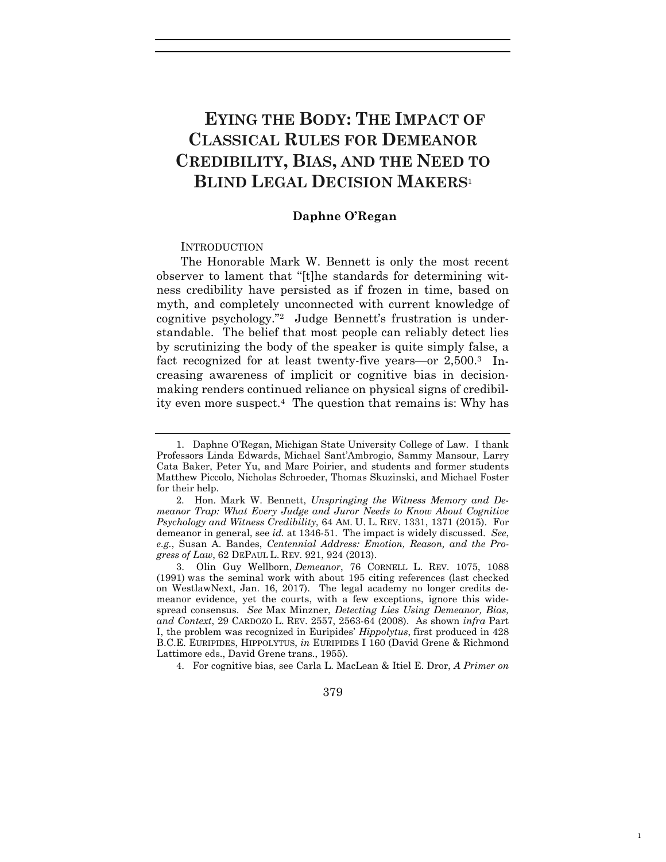## **EYING THE BODY: THE IMPACT OF CLASSICAL RULES FOR DEMEANOR CREDIBILITY, BIAS, AND THE NEED TO BLIND LEGAL DECISION MAKERS**<sup>1</sup>

#### **Daphne O'Regan**

#### INTRODUCTION

The Honorable Mark W. Bennett is only the most recent observer to lament that "[t]he standards for determining witness credibility have persisted as if frozen in time, based on myth, and completely unconnected with current knowledge of cognitive psychology."2 Judge Bennett's frustration is understandable. The belief that most people can reliably detect lies by scrutinizing the body of the speaker is quite simply false, a fact recognized for at least twenty-five years—or 2,500.3 Increasing awareness of implicit or cognitive bias in decisionmaking renders continued reliance on physical signs of credibility even more suspect.4 The question that remains is: Why has

4. For cognitive bias, see Carla L. MacLean & Itiel E. Dror, *A Primer on* 

1

#### 379

<sup>1.</sup> Daphne O'Regan, Michigan State University College of Law. I thank Professors Linda Edwards, Michael Sant'Ambrogio, Sammy Mansour, Larry Cata Baker, Peter Yu, and Marc Poirier, and students and former students Matthew Piccolo, Nicholas Schroeder, Thomas Skuzinski, and Michael Foster for their help.

<sup>2.</sup> Hon. Mark W. Bennett, *Unspringing the Witness Memory and Demeanor Trap: What Every Judge and Juror Needs to Know About Cognitive Psychology and Witness Credibility*, 64 AM. U. L. REV. 1331, 1371 (2015). For demeanor in general, see *id.* at 1346-51. The impact is widely discussed. *See*, *e.g.*, Susan A. Bandes, *Centennial Address: Emotion, Reason, and the Progress of Law*, 62 DEPAUL L. REV. 921, 924 (2013).

<sup>3.</sup> Olin Guy Wellborn, *Demeanor*, 76 CORNELL L. REV. 1075, 1088 (1991) was the seminal work with about 195 citing references (last checked on WestlawNext, Jan. 16, 2017). The legal academy no longer credits demeanor evidence, yet the courts, with a few exceptions, ignore this widespread consensus. *See* Max Minzner, *Detecting Lies Using Demeanor, Bias, and Context*, 29 CARDOZO L. REV. 2557, 2563-64 (2008). As shown *infra* Part I, the problem was recognized in Euripides' *Hippolytus*, first produced in 428 B.C.E. EURIPIDES, HIPPOLYTUS, *in* EURIPIDES I 160 (David Grene & Richmond Lattimore eds., David Grene trans., 1955).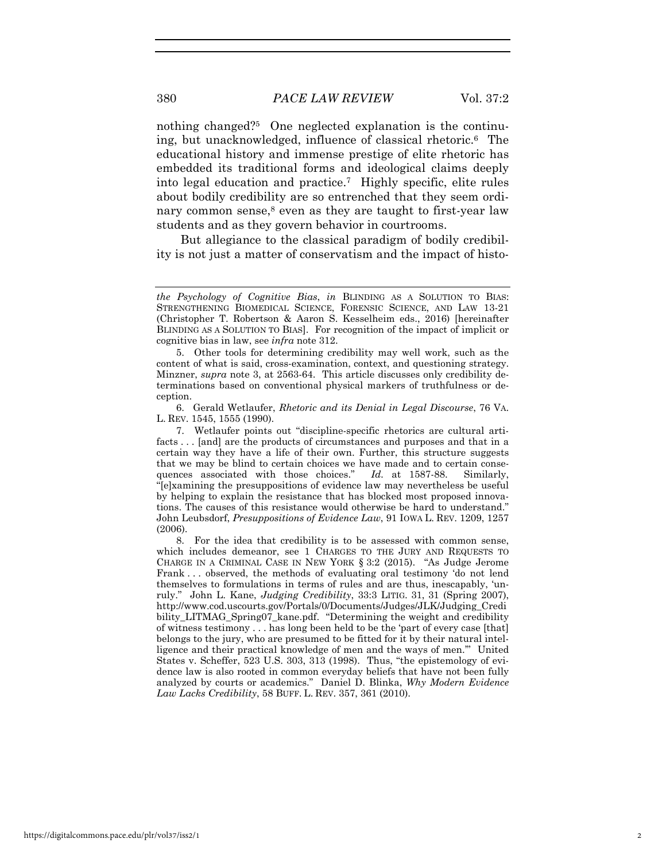nothing changed?5 One neglected explanation is the continuing, but unacknowledged, influence of classical rhetoric.6 The educational history and immense prestige of elite rhetoric has embedded its traditional forms and ideological claims deeply into legal education and practice.7 Highly specific, elite rules about bodily credibility are so entrenched that they seem ordinary common sense, $8$  even as they are taught to first-year law students and as they govern behavior in courtrooms.

But allegiance to the classical paradigm of bodily credibility is not just a matter of conservatism and the impact of histo-

5. Other tools for determining credibility may well work, such as the content of what is said, cross-examination, context, and questioning strategy. Minzner, *supra* note 3, at 2563-64. This article discusses only credibility determinations based on conventional physical markers of truthfulness or deception.

6. Gerald Wetlaufer, *Rhetoric and its Denial in Legal Discourse*, 76 VA. L. REV. 1545, 1555 (1990).

7. Wetlaufer points out "discipline-specific rhetorics are cultural artifacts . . . [and] are the products of circumstances and purposes and that in a certain way they have a life of their own. Further, this structure suggests that we may be blind to certain choices we have made and to certain consequences associated with those choices." *Id.* at 1587-88. Similarly, "[e]xamining the presuppositions of evidence law may nevertheless be useful by helping to explain the resistance that has blocked most proposed innovations. The causes of this resistance would otherwise be hard to understand." John Leubsdorf, *Presuppositions of Evidence Law*, 91 IOWA L. REV. 1209, 1257 (2006).

8. For the idea that credibility is to be assessed with common sense, which includes demeanor, see 1 CHARGES TO THE JURY AND REQUESTS TO CHARGE IN A CRIMINAL CASE IN NEW YORK § 3:2 (2015). "As Judge Jerome Frank . . . observed, the methods of evaluating oral testimony 'do not lend themselves to formulations in terms of rules and are thus, inescapably, 'unruly." John L. Kane, *Judging Credibility*, 33:3 LITIG. 31, 31 (Spring 2007), http://www.cod.uscourts.gov/Portals/0/Documents/Judges/JLK/Judging\_Credi bility\_LITMAG\_Spring07\_kane.pdf. "Determining the weight and credibility of witness testimony . . . has long been held to be the 'part of every case [that] belongs to the jury, who are presumed to be fitted for it by their natural intelligence and their practical knowledge of men and the ways of men.'" United States v. Scheffer, 523 U.S. 303, 313 (1998). Thus, "the epistemology of evidence law is also rooted in common everyday beliefs that have not been fully analyzed by courts or academics." Daniel D. Blinka, *Why Modern Evidence Law Lacks Credibility*, 58 BUFF. L. REV. 357, 361 (2010).

*the Psychology of Cognitive Bias*, *in* BLINDING AS A SOLUTION TO BIAS: STRENGTHENING BIOMEDICAL SCIENCE, FORENSIC SCIENCE, AND LAW 13-21 (Christopher T. Robertson & Aaron S. Kesselheim eds., 2016) [hereinafter BLINDING AS A SOLUTION TO BIAS]. For recognition of the impact of implicit or cognitive bias in law, see *infra* note 312.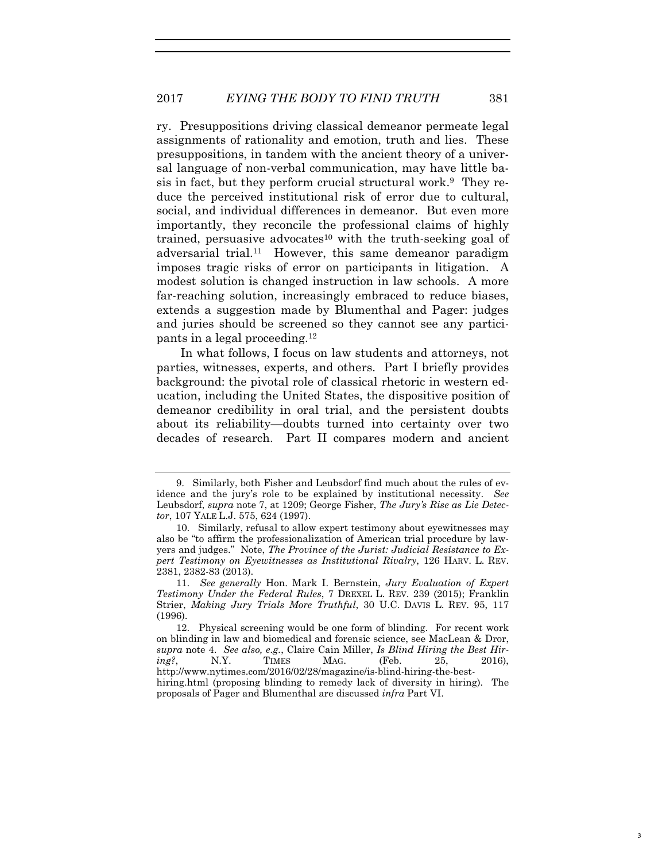ry. Presuppositions driving classical demeanor permeate legal assignments of rationality and emotion, truth and lies. These presuppositions, in tandem with the ancient theory of a universal language of non-verbal communication, may have little basis in fact, but they perform crucial structural work.9 They reduce the perceived institutional risk of error due to cultural, social, and individual differences in demeanor. But even more importantly, they reconcile the professional claims of highly trained, persuasive advocates<sup>10</sup> with the truth-seeking goal of adversarial trial.<sup>11</sup> However, this same demeanor paradigm imposes tragic risks of error on participants in litigation. A modest solution is changed instruction in law schools. A more far-reaching solution, increasingly embraced to reduce biases, extends a suggestion made by Blumenthal and Pager: judges and juries should be screened so they cannot see any participants in a legal proceeding.12

In what follows, I focus on law students and attorneys, not parties, witnesses, experts, and others. Part I briefly provides background: the pivotal role of classical rhetoric in western education, including the United States, the dispositive position of demeanor credibility in oral trial, and the persistent doubts about its reliability—doubts turned into certainty over two decades of research. Part II compares modern and ancient

<sup>9.</sup> Similarly, both Fisher and Leubsdorf find much about the rules of evidence and the jury's role to be explained by institutional necessity. *See*  Leubsdorf, *supra* note 7, at 1209; George Fisher, *The Jury's Rise as Lie Detector*, 107 YALE L.J. 575, 624 (1997).

<sup>10.</sup> Similarly, refusal to allow expert testimony about eyewitnesses may also be "to affirm the professionalization of American trial procedure by lawyers and judges." Note, *The Province of the Jurist: Judicial Resistance to Expert Testimony on Eyewitnesses as Institutional Rivalry*, 126 HARV. L. REV. 2381, 2382-83 (2013).

<sup>11.</sup> *See generally* Hon. Mark I. Bernstein, *Jury Evaluation of Expert Testimony Under the Federal Rules*, 7 DREXEL L. REV. 239 (2015); Franklin Strier, *Making Jury Trials More Truthful*, 30 U.C. DAVIS L. REV. 95, 117 (1996).

<sup>12.</sup> Physical screening would be one form of blinding. For recent work on blinding in law and biomedical and forensic science, see MacLean & Dror, *supra* note 4. *See also, e.g.*, Claire Cain Miller, *Is Blind Hiring the Best Hiring?*, N.Y. TIMES MAG. (Feb. 25, 2016), http://www.nytimes.com/2016/02/28/magazine/is-blind-hiring-the-besthiring.html (proposing blinding to remedy lack of diversity in hiring). The proposals of Pager and Blumenthal are discussed *infra* Part VI.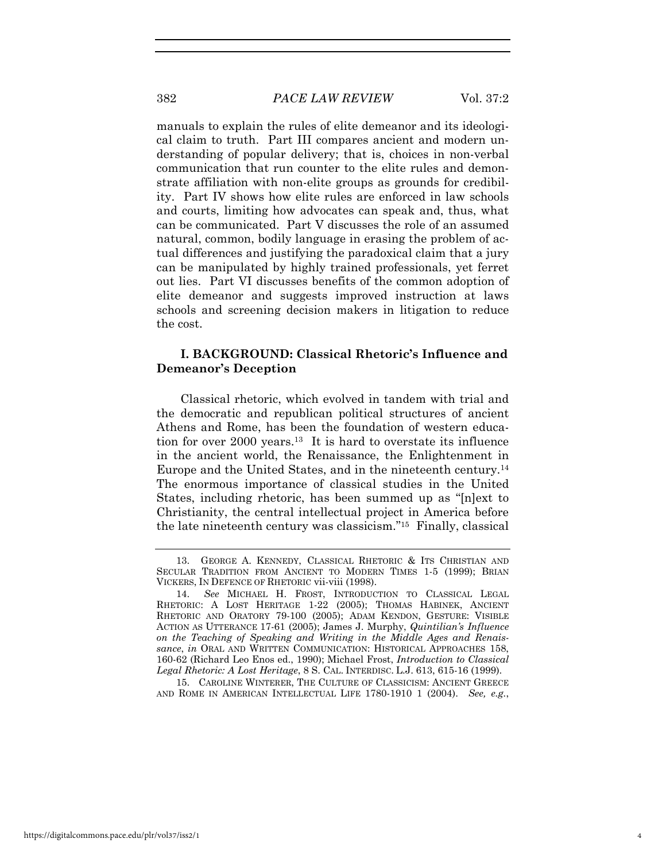#### 382 *PACE LAW REVIEW* Vol. 37:2

manuals to explain the rules of elite demeanor and its ideological claim to truth. Part III compares ancient and modern understanding of popular delivery; that is, choices in non-verbal communication that run counter to the elite rules and demonstrate affiliation with non-elite groups as grounds for credibility. Part IV shows how elite rules are enforced in law schools and courts, limiting how advocates can speak and, thus, what can be communicated. Part V discusses the role of an assumed natural, common, bodily language in erasing the problem of actual differences and justifying the paradoxical claim that a jury can be manipulated by highly trained professionals, yet ferret out lies. Part VI discusses benefits of the common adoption of elite demeanor and suggests improved instruction at laws schools and screening decision makers in litigation to reduce the cost.

## **I. BACKGROUND: Classical Rhetoric's Influence and Demeanor's Deception**

Classical rhetoric, which evolved in tandem with trial and the democratic and republican political structures of ancient Athens and Rome, has been the foundation of western education for over 2000 years.13 It is hard to overstate its influence in the ancient world, the Renaissance, the Enlightenment in Europe and the United States, and in the nineteenth century.14 The enormous importance of classical studies in the United States, including rhetoric, has been summed up as "[n]ext to Christianity, the central intellectual project in America before the late nineteenth century was classicism."15 Finally, classical

15. CAROLINE WINTERER, THE CULTURE OF CLASSICISM: ANCIENT GREECE AND ROME IN AMERICAN INTELLECTUAL LIFE 1780-1910 1 (2004). *See, e.g.*,

<sup>13.</sup> GEORGE A. KENNEDY, CLASSICAL RHETORIC & ITS CHRISTIAN AND SECULAR TRADITION FROM ANCIENT TO MODERN TIMES 1-5 (1999); BRIAN VICKERS, IN DEFENCE OF RHETORIC vii-viii (1998).

<sup>14.</sup> *See* MICHAEL H. FROST, INTRODUCTION TO CLASSICAL LEGAL RHETORIC: A LOST HERITAGE 1-22 (2005); THOMAS HABINEK, ANCIENT RHETORIC AND ORATORY 79-100 (2005); ADAM KENDON, GESTURE: VISIBLE ACTION AS UTTERANCE 17-61 (2005); James J. Murphy, *Quintilian's Influence on the Teaching of Speaking and Writing in the Middle Ages and Renaissance*, *in* ORAL AND WRITTEN COMMUNICATION: HISTORICAL APPROACHES 158, 160-62 (Richard Leo Enos ed., 1990); Michael Frost, *Introduction to Classical Legal Rhetoric: A Lost Heritage*, 8 S. CAL. INTERDISC. L.J. 613, 615-16 (1999).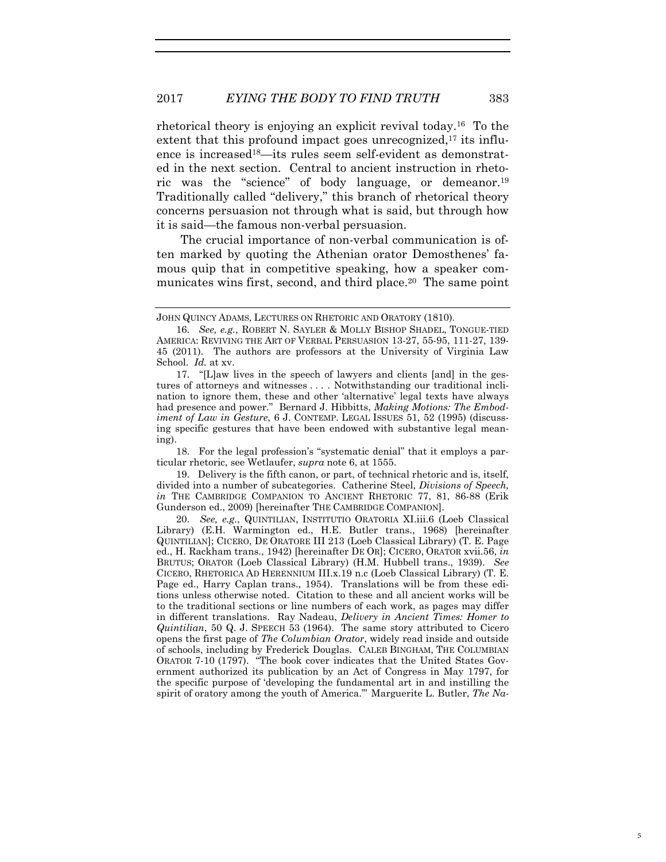rhetorical theory is enjoying an explicit revival today.16 To the extent that this profound impact goes unrecognized.<sup>17</sup> its influence is increased<sup>18</sup>—its rules seem self-evident as demonstrated in the next section. Central to ancient instruction in rhetoric was the "science" of body language, or demeanor.19 Traditionally called "delivery," this branch of rhetorical theory concerns persuasion not through what is said, but through how it is said—the famous non-verbal persuasion.

The crucial importance of non-verbal communication is often marked by quoting the Athenian orator Demosthenes' famous quip that in competitive speaking, how a speaker communicates wins first, second, and third place.<sup>20</sup> The same point

18. For the legal profession's "systematic denial" that it employs a particular rhetoric, see Wetlaufer, *supra* note 6, at 1555.

19. Delivery is the fifth canon, or part, of technical rhetoric and is, itself, divided into a number of subcategories. Catherine Steel, *Divisions of Speech, in* THE CAMBRIDGE COMPANION TO ANCIENT RHETORIC 77, 81, 86-88 (Erik Gunderson ed., 2009) [hereinafter THE CAMBRIDGE COMPANION].

20. *See, e.g.*, QUINTILIAN, INSTITUTIO ORATORIA XI.iii.6 (Loeb Classical Library) (E.H. Warmington ed., H.E. Butler trans., 1968) [hereinafter QUINTILIAN]; CICERO, DE ORATORE III 213 (Loeb Classical Library) (T. E. Page ed., H. Rackham trans., 1942) [hereinafter DE OR]; CICERO, ORATOR xvii.56, *in* BRUTUS; ORATOR (Loeb Classical Library) (H.M. Hubbell trans., 1939). *See* CICERO, RHETORICA AD HERENNIUM III.x.19 n.c (Loeb Classical Library) (T. E. Page ed., Harry Caplan trans., 1954). Translations will be from these editions unless otherwise noted. Citation to these and all ancient works will be to the traditional sections or line numbers of each work, as pages may differ in different translations. Ray Nadeau, *Delivery in Ancient Times: Homer to Quintilian*, 50 Q. J. SPEECH 53 (1964). The same story attributed to Cicero opens the first page of *The Columbian Orator*, widely read inside and outside of schools, including by Frederick Douglas. CALEB BINGHAM, THE COLUMBIAN ORATOR 7-10 (1797). "The book cover indicates that the United States Government authorized its publication by an Act of Congress in May 1797, for the specific purpose of 'developing the fundamental art in and instilling the spirit of oratory among the youth of America.'" Marguerite L. Butler, *The Na-*

5

JOHN QUINCY ADAMS, LECTURES ON RHETORIC AND ORATORY (1810).

<sup>16.</sup> *See, e.g.*, ROBERT N. SAYLER & MOLLY BISHOP SHADEL, TONGUE-TIED AMERICA: REVIVING THE ART OF VERBAL PERSUASION 13-27, 55-95, 111-27, 139- 45 (2011). The authors are professors at the University of Virginia Law School. *Id.* at xv.

<sup>17. &</sup>quot;[L]aw lives in the speech of lawyers and clients [and] in the gestures of attorneys and witnesses . . . . Notwithstanding our traditional inclination to ignore them, these and other 'alternative' legal texts have always had presence and power." Bernard J. Hibbitts, *Making Motions: The Embodiment of Law in Gesture*, 6 J. CONTEMP. LEGAL ISSUES 51, 52 (1995) (discussing specific gestures that have been endowed with substantive legal meaning).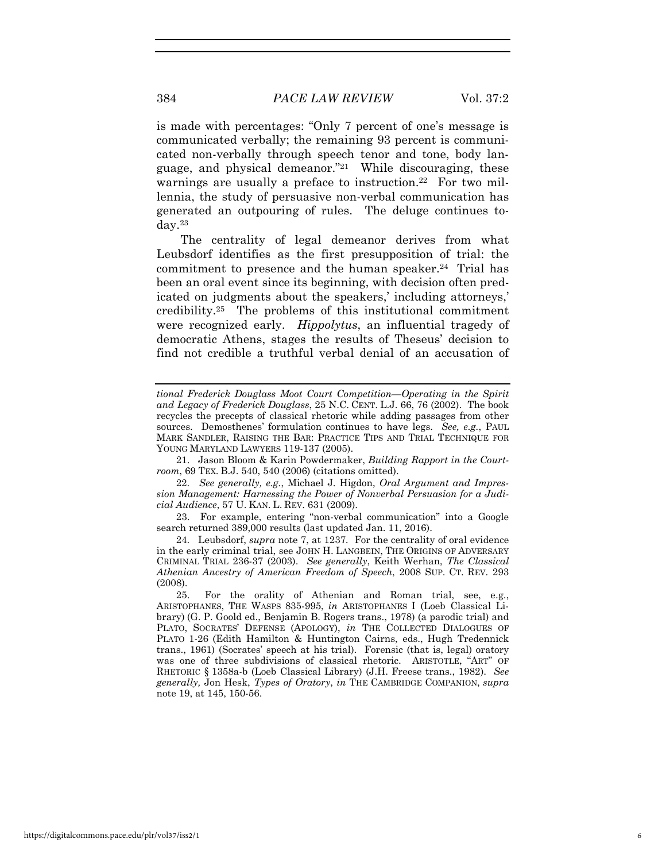is made with percentages: "Only 7 percent of one's message is communicated verbally; the remaining 93 percent is communicated non-verbally through speech tenor and tone, body language, and physical demeanor."21 While discouraging, these warnings are usually a preface to instruction.<sup>22</sup> For two millennia, the study of persuasive non-verbal communication has generated an outpouring of rules. The deluge continues today.23

The centrality of legal demeanor derives from what Leubsdorf identifies as the first presupposition of trial: the commitment to presence and the human speaker.<sup>24</sup> Trial has been an oral event since its beginning, with decision often predicated on judgments about the speakers,' including attorneys,' credibility.25 The problems of this institutional commitment were recognized early. *Hippolytus*, an influential tragedy of democratic Athens, stages the results of Theseus' decision to find not credible a truthful verbal denial of an accusation of

21. Jason Bloom & Karin Powdermaker, *Building Rapport in the Courtroom*, 69 TEX. B.J. 540, 540 (2006) (citations omitted).

22. *See generally, e.g.*, Michael J. Higdon, *Oral Argument and Impression Management: Harnessing the Power of Nonverbal Persuasion for a Judicial Audience*, 57 U. KAN. L. REV. 631 (2009).

23. For example, entering "non-verbal communication" into a Google search returned 389,000 results (last updated Jan. 11, 2016).

24. Leubsdorf, *supra* note 7, at 1237*.* For the centrality of oral evidence in the early criminal trial, see JOHN H. LANGBEIN, THE ORIGINS OF ADVERSARY CRIMINAL TRIAL 236-37 (2003). *See generally*, Keith Werhan, *The Classical Athenian Ancestry of American Freedom of Speech*, 2008 SUP. CT. REV. 293 (2008).

*tional Frederick Douglass Moot Court Competition—Operating in the Spirit and Legacy of Frederick Douglass*, 25 N.C. CENT. L.J. 66, 76 (2002). The book recycles the precepts of classical rhetoric while adding passages from other sources. Demosthenes' formulation continues to have legs. *See, e.g.*, PAUL MARK SANDLER, RAISING THE BAR: PRACTICE TIPS AND TRIAL TECHNIQUE FOR YOUNG MARYLAND LAWYERS 119-137 (2005).

<sup>25.</sup> For the orality of Athenian and Roman trial, see, e.g., ARISTOPHANES, THE WASPS 835-995, *in* ARISTOPHANES I (Loeb Classical Library) (G. P. Goold ed., Benjamin B. Rogers trans., 1978) (a parodic trial) and PLATO, SOCRATES' DEFENSE (APOLOGY), *in* THE COLLECTED DIALOGUES OF PLATO 1-26 (Edith Hamilton & Huntington Cairns, eds., Hugh Tredennick trans., 1961) (Socrates' speech at his trial). Forensic (that is, legal) oratory was one of three subdivisions of classical rhetoric. ARISTOTLE, "ART" OF RHETORIC § 1358a-b (Loeb Classical Library) (J.H. Freese trans., 1982). *See generally,* Jon Hesk, *Types of Oratory*, *in* THE CAMBRIDGE COMPANION, *supra* note 19, at 145, 150-56.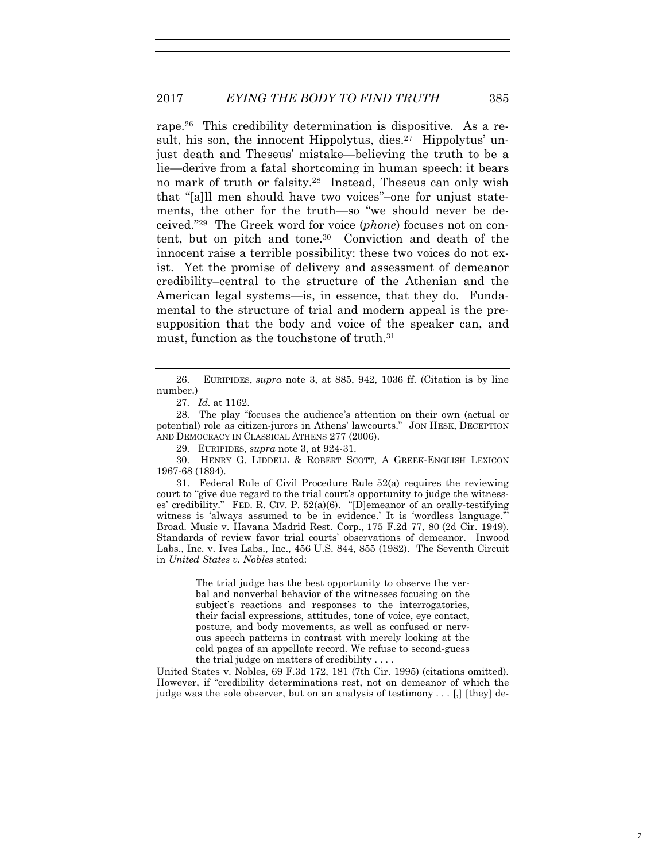rape.26 This credibility determination is dispositive. As a result, his son, the innocent Hippolytus, dies.<sup>27</sup> Hippolytus' unjust death and Theseus' mistake—believing the truth to be a lie—derive from a fatal shortcoming in human speech: it bears no mark of truth or falsity.28 Instead, Theseus can only wish that "[a]ll men should have two voices"–one for unjust statements, the other for the truth—so "we should never be deceived."29 The Greek word for voice (*phone*) focuses not on content, but on pitch and tone.30 Conviction and death of the innocent raise a terrible possibility: these two voices do not exist. Yet the promise of delivery and assessment of demeanor credibility–central to the structure of the Athenian and the American legal systems—is, in essence, that they do. Fundamental to the structure of trial and modern appeal is the presupposition that the body and voice of the speaker can, and must, function as the touchstone of truth.<sup>31</sup>

28. The play "focuses the audience's attention on their own (actual or potential) role as citizen-jurors in Athens' lawcourts." JON HESK, DECEPTION AND DEMOCRACY IN CLASSICAL ATHENS 277 (2006).

29. EURIPIDES, *supra* note 3, at 924-31.

30. HENRY G. LIDDELL & ROBERT SCOTT, A GREEK-ENGLISH LEXICON 1967-68 (1894).

31. Federal Rule of Civil Procedure Rule 52(a) requires the reviewing court to "give due regard to the trial court's opportunity to judge the witnesses' credibility." FED. R. CIV. P. 52(a)(6). "[D]emeanor of an orally-testifying witness is 'always assumed to be in evidence.' It is 'wordless language.' Broad. Music v. Havana Madrid Rest. Corp., 175 F.2d 77, 80 (2d Cir. 1949). Standards of review favor trial courts' observations of demeanor. Inwood Labs., Inc. v. Ives Labs., Inc., 456 U.S. 844, 855 (1982). The Seventh Circuit in *United States v. Nobles* stated:

> The trial judge has the best opportunity to observe the verbal and nonverbal behavior of the witnesses focusing on the subject's reactions and responses to the interrogatories, their facial expressions, attitudes, tone of voice, eye contact, posture, and body movements, as well as confused or nervous speech patterns in contrast with merely looking at the cold pages of an appellate record. We refuse to second-guess the trial judge on matters of credibility . . . .

United States v. Nobles, 69 F.3d 172, 181 (7th Cir. 1995) (citations omitted). However, if "credibility determinations rest, not on demeanor of which the judge was the sole observer, but on an analysis of testimony . . . [,] [they] de-

<sup>26.</sup> EURIPIDES, *supra* note 3, at 885, 942, 1036 ff. (Citation is by line number.)

<sup>27.</sup> *Id.* at 1162.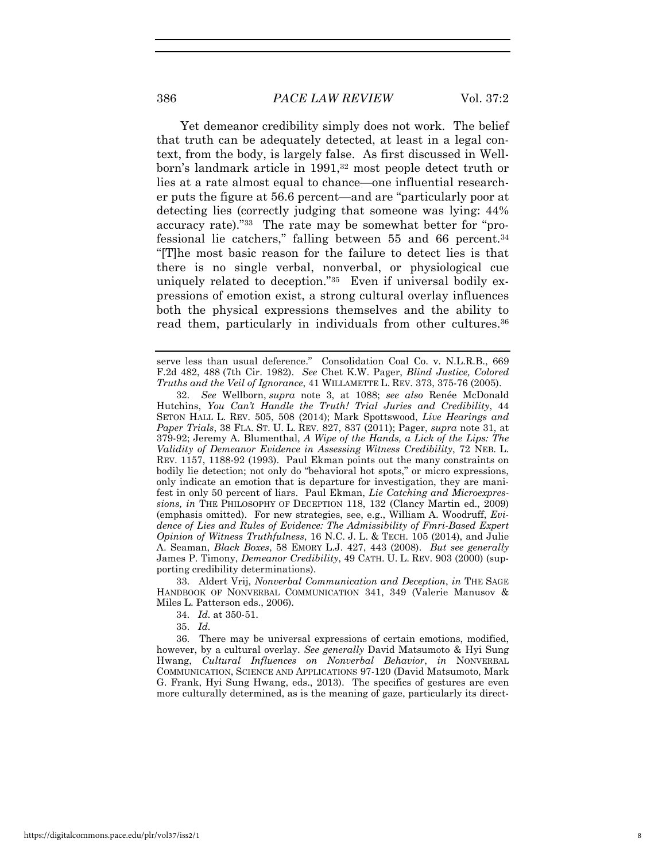Yet demeanor credibility simply does not work. The belief that truth can be adequately detected, at least in a legal context, from the body, is largely false. As first discussed in Wellborn's landmark article in 1991,<sup>32</sup> most people detect truth or lies at a rate almost equal to chance—one influential researcher puts the figure at 56.6 percent—and are "particularly poor at detecting lies (correctly judging that someone was lying: 44% accuracy rate)."33 The rate may be somewhat better for "professional lie catchers," falling between 55 and 66 percent.34 "[T]he most basic reason for the failure to detect lies is that there is no single verbal, nonverbal, or physiological cue uniquely related to deception."35 Even if universal bodily expressions of emotion exist, a strong cultural overlay influences both the physical expressions themselves and the ability to read them, particularly in individuals from other cultures.<sup>36</sup>

33. Aldert Vrij, *Nonverbal Communication and Deception*, *in* THE SAGE HANDBOOK OF NONVERBAL COMMUNICATION 341, 349 (Valerie Manusov & Miles L. Patterson eds., 2006).

34. *Id.* at 350-51.

35. *Id.*

36. There may be universal expressions of certain emotions, modified, however, by a cultural overlay. *See generally* David Matsumoto & Hyi Sung Hwang, *Cultural Influences on Nonverbal Behavior*, *in* NONVERBAL COMMUNICATION, SCIENCE AND APPLICATIONS 97-120 (David Matsumoto, Mark G. Frank, Hyi Sung Hwang, eds., 2013). The specifics of gestures are even more culturally determined, as is the meaning of gaze, particularly its direct-

serve less than usual deference." Consolidation Coal Co. v. N.L.R.B., 669 F.2d 482, 488 (7th Cir. 1982). *See* Chet K.W. Pager, *Blind Justice, Colored Truths and the Veil of Ignorance*, 41 WILLAMETTE L. REV. 373, 375-76 (2005).

<sup>32.</sup> *See* Wellborn, *supra* note 3, at 1088; *see also* Renée McDonald Hutchins, *You Can't Handle the Truth! Trial Juries and Credibility*, 44 SETON HALL L. REV. 505, 508 (2014); Mark Spottswood, *Live Hearings and Paper Trials*, 38 FLA. ST. U. L. REV. 827, 837 (2011); Pager, *supra* note 31, at 379-92; Jeremy A. Blumenthal, *A Wipe of the Hands, a Lick of the Lips: The Validity of Demeanor Evidence in Assessing Witness Credibility*, 72 NEB. L. REV. 1157, 1188-92 (1993). Paul Ekman points out the many constraints on bodily lie detection; not only do "behavioral hot spots," or micro expressions, only indicate an emotion that is departure for investigation, they are manifest in only 50 percent of liars. Paul Ekman, *Lie Catching and Microexpressions, in* THE PHILOSOPHY OF DECEPTION 118, 132 (Clancy Martin ed., 2009) (emphasis omitted). For new strategies, see, e.g., William A. Woodruff, *Evidence of Lies and Rules of Evidence: The Admissibility of Fmri-Based Expert Opinion of Witness Truthfulness*, 16 N.C. J. L. & TECH. 105 (2014), and Julie A. Seaman, *Black Boxes*, 58 EMORY L.J. 427, 443 (2008). *But see generally* James P. Timony, *Demeanor Credibility*, 49 CATH. U. L. REV. 903 (2000) (supporting credibility determinations).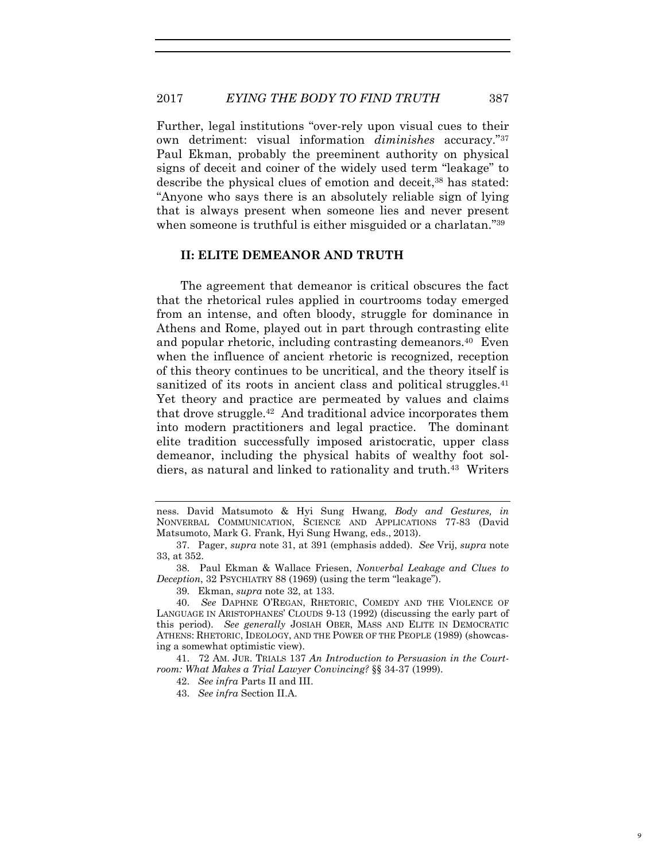Further, legal institutions "over-rely upon visual cues to their own detriment: visual information *diminishes* accuracy."37 Paul Ekman, probably the preeminent authority on physical signs of deceit and coiner of the widely used term "leakage" to describe the physical clues of emotion and deceit,<sup>38</sup> has stated: "Anyone who says there is an absolutely reliable sign of lying that is always present when someone lies and never present when someone is truthful is either misguided or a charlatan."<sup>39</sup>

#### **II: ELITE DEMEANOR AND TRUTH**

The agreement that demeanor is critical obscures the fact that the rhetorical rules applied in courtrooms today emerged from an intense, and often bloody, struggle for dominance in Athens and Rome, played out in part through contrasting elite and popular rhetoric, including contrasting demeanors.<sup>40</sup> Even when the influence of ancient rhetoric is recognized, reception of this theory continues to be uncritical, and the theory itself is sanitized of its roots in ancient class and political struggles.<sup>41</sup> Yet theory and practice are permeated by values and claims that drove struggle.42 And traditional advice incorporates them into modern practitioners and legal practice. The dominant elite tradition successfully imposed aristocratic, upper class demeanor, including the physical habits of wealthy foot soldiers, as natural and linked to rationality and truth.43 Writers

ness. David Matsumoto & Hyi Sung Hwang, *Body and Gestures, in*  NONVERBAL COMMUNICATION, SCIENCE AND APPLICATIONS 77-83 (David Matsumoto, Mark G. Frank, Hyi Sung Hwang, eds., 2013).

<sup>37.</sup> Pager, *supra* note 31, at 391 (emphasis added). *See* Vrij, *supra* note 33, at 352.

<sup>38.</sup> Paul Ekman & Wallace Friesen, *Nonverbal Leakage and Clues to Deception*, 32 PSYCHIATRY 88 (1969) (using the term "leakage").

<sup>39.</sup> Ekman, *supra* note 32, at 133.

<sup>40.</sup> *See* DAPHNE O'REGAN, RHETORIC, COMEDY AND THE VIOLENCE OF LANGUAGE IN ARISTOPHANES' CLOUDS 9-13 (1992) (discussing the early part of this period). *See generally* JOSIAH OBER, MASS AND ELITE IN DEMOCRATIC ATHENS: RHETORIC, IDEOLOGY, AND THE POWER OF THE PEOPLE (1989) (showcasing a somewhat optimistic view).

<sup>41. 72</sup> AM. JUR. TRIALS 137 *An Introduction to Persuasion in the Courtroom: What Makes a Trial Lawyer Convincing?* §§ 34-37 (1999).

<sup>42.</sup> *See infra* Parts II and III.

<sup>43.</sup> *See infra* Section II.A.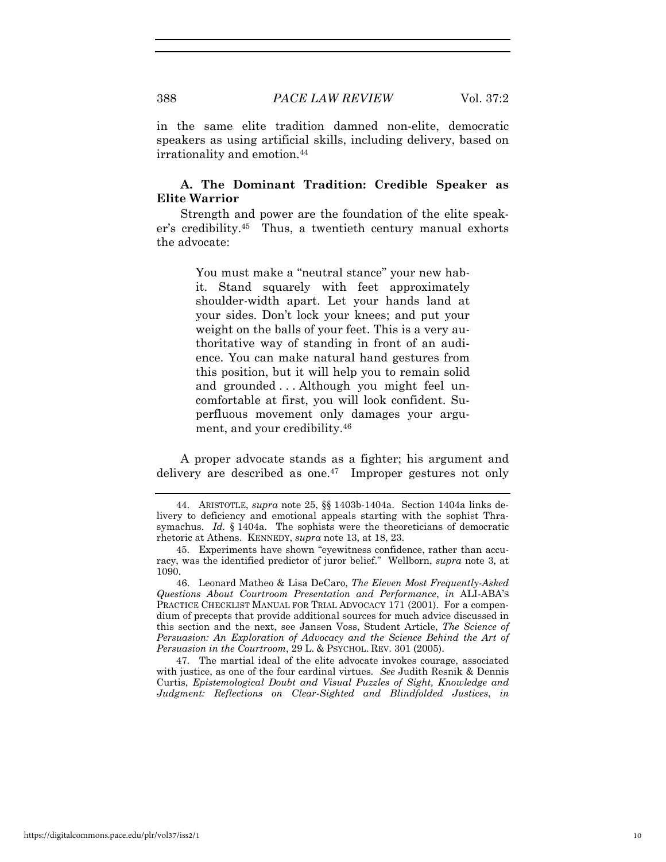in the same elite tradition damned non-elite, democratic speakers as using artificial skills, including delivery, based on irrationality and emotion.<sup>44</sup>

## **A. The Dominant Tradition: Credible Speaker as Elite Warrior**

Strength and power are the foundation of the elite speaker's credibility.45 Thus, a twentieth century manual exhorts the advocate:

> You must make a "neutral stance" your new habit. Stand squarely with feet approximately shoulder-width apart. Let your hands land at your sides. Don't lock your knees; and put your weight on the balls of your feet. This is a very authoritative way of standing in front of an audience. You can make natural hand gestures from this position, but it will help you to remain solid and grounded . . . Although you might feel uncomfortable at first, you will look confident. Superfluous movement only damages your argument, and your credibility.46

A proper advocate stands as a fighter; his argument and delivery are described as one.<sup>47</sup> Improper gestures not only

46. Leonard Matheo & Lisa DeCaro, *The Eleven Most Frequently-Asked Questions About Courtroom Presentation and Performance*, *in* ALI-ABA'S PRACTICE CHECKLIST MANUAL FOR TRIAL ADVOCACY 171 (2001). For a compendium of precepts that provide additional sources for much advice discussed in this section and the next, see Jansen Voss, Student Article, *The Science of Persuasion: An Exploration of Advocacy and the Science Behind the Art of Persuasion in the Courtroom*, 29 L. & PSYCHOL. REV. 301 (2005).

47. The martial ideal of the elite advocate invokes courage, associated with justice, as one of the four cardinal virtues. *See* Judith Resnik & Dennis Curtis, *Epistemological Doubt and Visual Puzzles of Sight, Knowledge and Judgment: Reflections on Clear-Sighted and Blindfolded Justices*, *in*

<sup>44.</sup> ARISTOTLE, *supra* note 25, §§ 1403b-1404a. Section 1404a links delivery to deficiency and emotional appeals starting with the sophist Thrasymachus. *Id.* § 1404a. The sophists were the theoreticians of democratic rhetoric at Athens. KENNEDY, *supra* note 13, at 18, 23.

<sup>45.</sup> Experiments have shown "eyewitness confidence, rather than accuracy, was the identified predictor of juror belief." Wellborn, *supra* note 3, at 1090.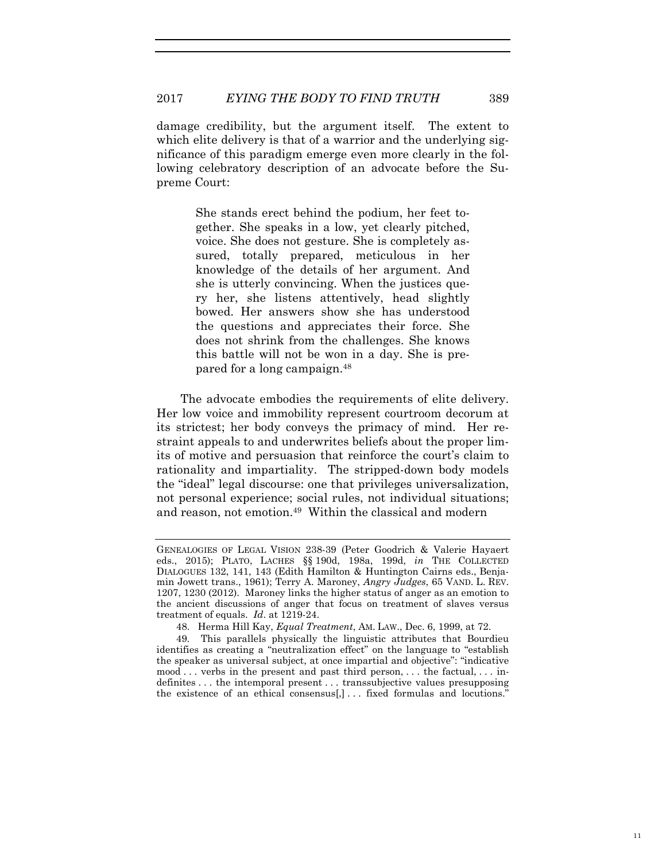damage credibility, but the argument itself. The extent to which elite delivery is that of a warrior and the underlying significance of this paradigm emerge even more clearly in the following celebratory description of an advocate before the Supreme Court:

> She stands erect behind the podium, her feet together. She speaks in a low, yet clearly pitched, voice. She does not gesture. She is completely assured, totally prepared, meticulous in her knowledge of the details of her argument. And she is utterly convincing. When the justices query her, she listens attentively, head slightly bowed. Her answers show she has understood the questions and appreciates their force. She does not shrink from the challenges. She knows this battle will not be won in a day. She is prepared for a long campaign.48

The advocate embodies the requirements of elite delivery. Her low voice and immobility represent courtroom decorum at its strictest; her body conveys the primacy of mind. Her restraint appeals to and underwrites beliefs about the proper limits of motive and persuasion that reinforce the court's claim to rationality and impartiality. The stripped-down body models the "ideal" legal discourse: one that privileges universalization, not personal experience; social rules, not individual situations; and reason, not emotion.<sup>49</sup> Within the classical and modern

GENEALOGIES OF LEGAL VISION 238-39 (Peter Goodrich & Valerie Hayaert eds., 2015); PLATO, LACHES §§ 190d, 198a, 199d, *in* THE COLLECTED DIALOGUES 132, 141, 143 (Edith Hamilton & Huntington Cairns eds., Benjamin Jowett trans., 1961); Terry A. Maroney, *Angry Judges*, 65 VAND. L. REV. 1207, 1230 (2012). Maroney links the higher status of anger as an emotion to the ancient discussions of anger that focus on treatment of slaves versus treatment of equals. *Id*. at 1219-24.

<sup>48.</sup> Herma Hill Kay, *Equal Treatment*, AM. LAW., Dec. 6, 1999, at 72.

<sup>49.</sup> This parallels physically the linguistic attributes that Bourdieu identifies as creating a "neutralization effect" on the language to "establish the speaker as universal subject, at once impartial and objective": "indicative  $\mod$ ... verbs in the present and past third person, ... the factual, ... indefinites . . . the intemporal present . . . transsubjective values presupposing the existence of an ethical consensus[,]... fixed formulas and locutions."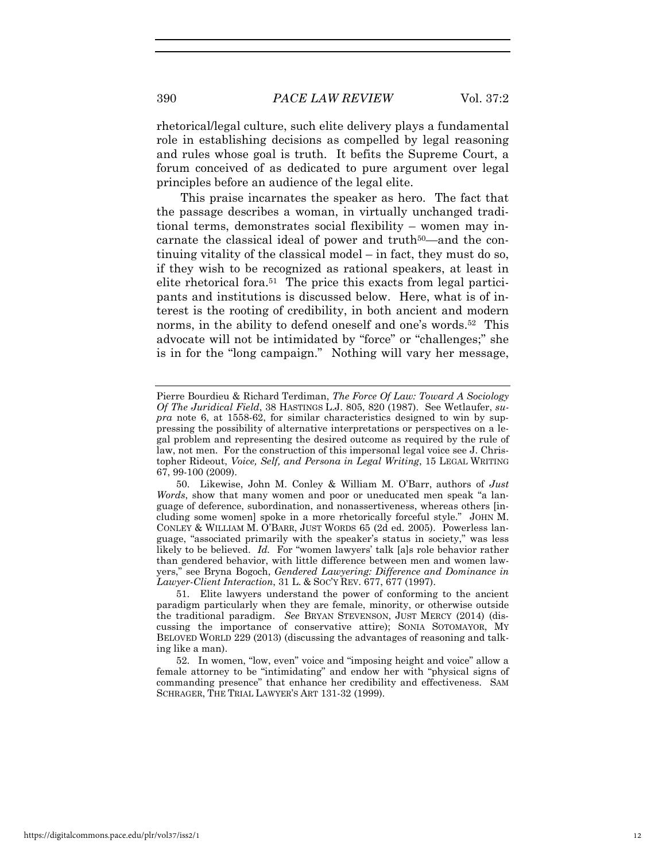rhetorical/legal culture, such elite delivery plays a fundamental role in establishing decisions as compelled by legal reasoning and rules whose goal is truth. It befits the Supreme Court, a forum conceived of as dedicated to pure argument over legal principles before an audience of the legal elite.

This praise incarnates the speaker as hero. The fact that the passage describes a woman, in virtually unchanged traditional terms, demonstrates social flexibility – women may incarnate the classical ideal of power and truth<sup>50</sup>—and the continuing vitality of the classical model – in fact, they must do so, if they wish to be recognized as rational speakers, at least in elite rhetorical fora.<sup>51</sup> The price this exacts from legal participants and institutions is discussed below. Here, what is of interest is the rooting of credibility, in both ancient and modern norms, in the ability to defend oneself and one's words.<sup>52</sup> This advocate will not be intimidated by "force" or "challenges;" she is in for the "long campaign." Nothing will vary her message,

Pierre Bourdieu & Richard Terdiman, *The Force Of Law: Toward A Sociology Of The Juridical Field*, 38 HASTINGS L.J. 805, 820 (1987). See Wetlaufer, *supra* note 6, at 1558-62, for similar characteristics designed to win by suppressing the possibility of alternative interpretations or perspectives on a legal problem and representing the desired outcome as required by the rule of law, not men. For the construction of this impersonal legal voice see J. Christopher Rideout, *Voice, Self, and Persona in Legal Writing*, 15 LEGAL WRITING 67, 99-100 (2009).

<sup>50.</sup> Likewise, John M. Conley & William M. O'Barr, authors of *Just Words*, show that many women and poor or uneducated men speak "a language of deference, subordination, and nonassertiveness, whereas others [including some women] spoke in a more rhetorically forceful style." JOHN M. CONLEY & WILLIAM M. O'BARR, JUST WORDS 65 (2d ed. 2005). Powerless language, "associated primarily with the speaker's status in society," was less likely to be believed. *Id.* For "women lawyers' talk [a]s role behavior rather than gendered behavior, with little difference between men and women lawyers," see Bryna Bogoch, *Gendered Lawyering: Difference and Dominance in Lawyer-Client Interaction*, 31 L. & SOC'Y REV. 677, 677 (1997).

<sup>51.</sup> Elite lawyers understand the power of conforming to the ancient paradigm particularly when they are female, minority, or otherwise outside the traditional paradigm. *See* BRYAN STEVENSON, JUST MERCY (2014) (discussing the importance of conservative attire); SONIA SOTOMAYOR, MY BELOVED WORLD 229 (2013) (discussing the advantages of reasoning and talking like a man).

<sup>52.</sup> In women, "low, even" voice and "imposing height and voice" allow a female attorney to be "intimidating" and endow her with "physical signs of commanding presence" that enhance her credibility and effectiveness. SAM SCHRAGER, THE TRIAL LAWYER'S ART 131-32 (1999).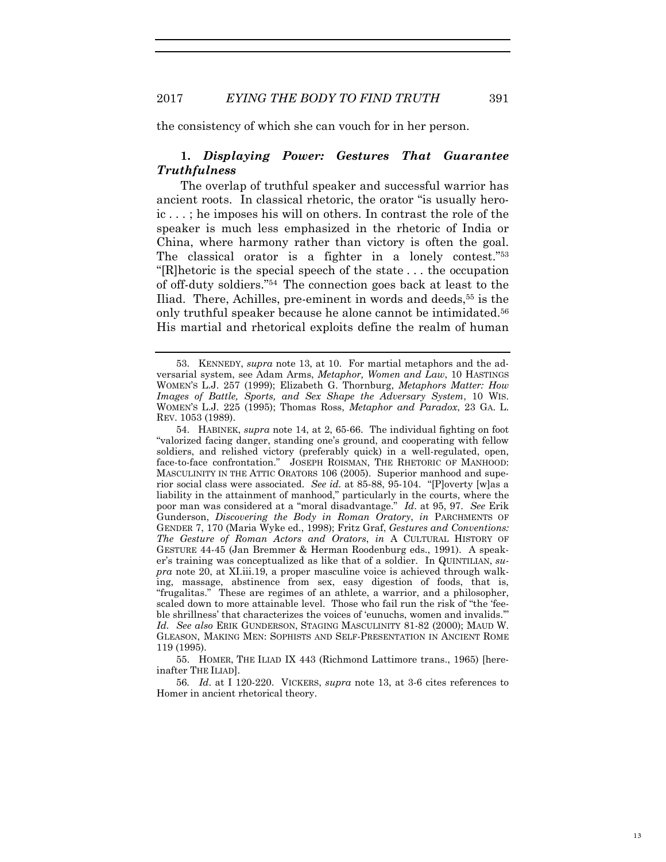the consistency of which she can vouch for in her person.

## **1.** *Displaying Power: Gestures That Guarantee Truthfulness*

The overlap of truthful speaker and successful warrior has ancient roots. In classical rhetoric, the orator "is usually heroic . . . ; he imposes his will on others. In contrast the role of the speaker is much less emphasized in the rhetoric of India or China, where harmony rather than victory is often the goal. The classical orator is a fighter in a lonely contest."53 "[R]hetoric is the special speech of the state . . . the occupation of off-duty soldiers."54 The connection goes back at least to the Iliad. There, Achilles, pre-eminent in words and deeds,55 is the only truthful speaker because he alone cannot be intimidated.56 His martial and rhetorical exploits define the realm of human

54. HABINEK, *supra* note 14, at 2, 65-66. The individual fighting on foot "valorized facing danger, standing one's ground, and cooperating with fellow soldiers, and relished victory (preferably quick) in a well-regulated, open, face-to-face confrontation." JOSEPH ROISMAN, THE RHETORIC OF MANHOOD: MASCULINITY IN THE ATTIC ORATORS 106 (2005). Superior manhood and superior social class were associated. *See id.* at 85-88, 95-104. "[P]overty [w]as a liability in the attainment of manhood," particularly in the courts, where the poor man was considered at a "moral disadvantage." *Id*. at 95, 97. *See* Erik Gunderson, *Discovering the Body in Roman Oratory*, *in* PARCHMENTS OF GENDER 7, 170 (Maria Wyke ed., 1998); Fritz Graf, *Gestures and Conventions: The Gesture of Roman Actors and Orators*, *in* A CULTURAL HISTORY OF GESTURE 44-45 (Jan Bremmer & Herman Roodenburg eds., 1991). A speaker's training was conceptualized as like that of a soldier. In QUINTILIAN, *supra* note 20, at XI.iii.19, a proper masculine voice is achieved through walking, massage, abstinence from sex, easy digestion of foods, that is, "frugalitas." These are regimes of an athlete, a warrior, and a philosopher, scaled down to more attainable level. Those who fail run the risk of "the 'feeble shrillness' that characterizes the voices of 'eunuchs, women and invalids.'" *Id. See also* ERIK GUNDERSON, STAGING MASCULINITY 81-82 (2000); MAUD W. GLEASON, MAKING MEN: SOPHISTS AND SELF-PRESENTATION IN ANCIENT ROME 119 (1995).

55. HOMER, THE ILIAD IX 443 (Richmond Lattimore trans., 1965) [hereinafter THE ILIAD].

56*. Id*. at I 120-220. VICKERS, *supra* note 13, at 3-6 cites references to Homer in ancient rhetorical theory.

<sup>53.</sup> KENNEDY, *supra* note 13, at 10. For martial metaphors and the adversarial system, see Adam Arms, *Metaphor, Women and Law*, 10 HASTINGS WOMEN'S L.J. 257 (1999); Elizabeth G. Thornburg, *Metaphors Matter: How Images of Battle, Sports, and Sex Shape the Adversary System*, 10 WIS. WOMEN'S L.J. 225 (1995); Thomas Ross, *Metaphor and Paradox*, 23 GA. L. REV. 1053 (1989).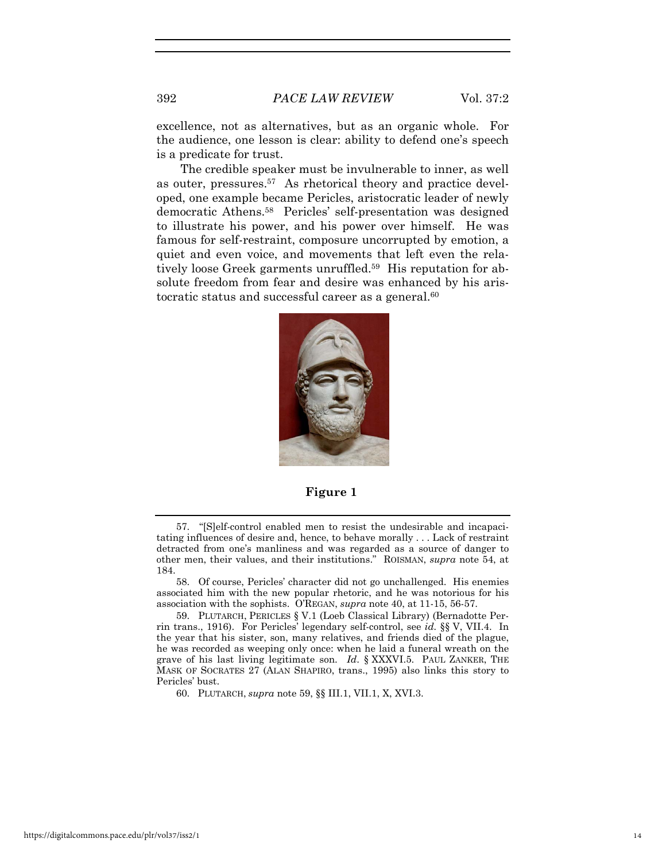excellence, not as alternatives, but as an organic whole. For the audience, one lesson is clear: ability to defend one's speech is a predicate for trust.

The credible speaker must be invulnerable to inner, as well as outer, pressures.57 As rhetorical theory and practice developed, one example became Pericles, aristocratic leader of newly democratic Athens.58 Pericles' self-presentation was designed to illustrate his power, and his power over himself. He was famous for self-restraint, composure uncorrupted by emotion, a quiet and even voice, and movements that left even the relatively loose Greek garments unruffled.<sup>59</sup> His reputation for absolute freedom from fear and desire was enhanced by his aristocratic status and successful career as a general.<sup>60</sup>



**Figure 1** 

60. PLUTARCH, *supra* note 59, §§ III.1, VII.1, X, XVI.3.

<sup>57. &</sup>quot;[S]elf-control enabled men to resist the undesirable and incapacitating influences of desire and, hence, to behave morally . . . Lack of restraint detracted from one's manliness and was regarded as a source of danger to other men, their values, and their institutions." ROISMAN, *supra* note 54, at 184.

<sup>58.</sup> Of course, Pericles' character did not go unchallenged. His enemies associated him with the new popular rhetoric, and he was notorious for his association with the sophists. O'REGAN, *supra* note 40, at 11-15, 56-57.

<sup>59.</sup> PLUTARCH, PERICLES § V.1 (Loeb Classical Library) (Bernadotte Perrin trans., 1916). For Pericles' legendary self-control, see *id.* §§ V, VII.4. In the year that his sister, son, many relatives, and friends died of the plague, he was recorded as weeping only once: when he laid a funeral wreath on the grave of his last living legitimate son. *Id*. § XXXVI.5. PAUL ZANKER, THE MASK OF SOCRATES 27 (ALAN SHAPIRO, trans., 1995) also links this story to Pericles' bust.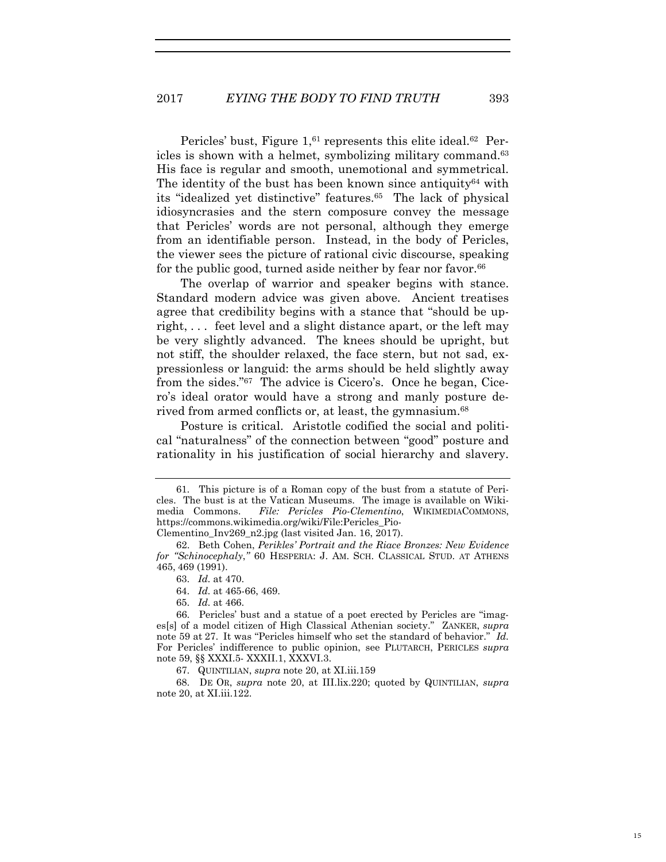Pericles' bust, Figure 1,<sup>61</sup> represents this elite ideal.<sup>62</sup> Pericles is shown with a helmet, symbolizing military command.63 His face is regular and smooth, unemotional and symmetrical. The identity of the bust has been known since antiquity<sup>64</sup> with its "idealized yet distinctive" features.<sup>65</sup> The lack of physical idiosyncrasies and the stern composure convey the message that Pericles' words are not personal, although they emerge from an identifiable person. Instead, in the body of Pericles, the viewer sees the picture of rational civic discourse, speaking for the public good, turned aside neither by fear nor favor.<sup>66</sup>

The overlap of warrior and speaker begins with stance. Standard modern advice was given above. Ancient treatises agree that credibility begins with a stance that "should be upright, . . . feet level and a slight distance apart, or the left may be very slightly advanced. The knees should be upright, but not stiff, the shoulder relaxed, the face stern, but not sad, expressionless or languid: the arms should be held slightly away from the sides."67 The advice is Cicero's. Once he began, Cicero's ideal orator would have a strong and manly posture derived from armed conflicts or, at least, the gymnasium.<sup>68</sup>

Posture is critical. Aristotle codified the social and political "naturalness" of the connection between "good" posture and rationality in his justification of social hierarchy and slavery.

64. *Id.* at 465-66, 469.

15

<sup>61.</sup> This picture is of a Roman copy of the bust from a statute of Pericles. The bust is at the Vatican Museums. The image is available on Wikimedia Commons. *File: Pericles Pio-Clementino*, WIKIMEDIACOMMONS, https://commons.wikimedia.org/wiki/File:Pericles\_Pio-Clementino\_Inv269\_n2.jpg (last visited Jan. 16, 2017).

<sup>62.</sup> Beth Cohen, *Perikles' Portrait and the Riace Bronzes: New Evidence for "Schinocephaly*,*"* 60 HESPERIA: J. AM. SCH. CLASSICAL STUD. AT ATHENS 465, 469 (1991).

<sup>63.</sup> *Id.* at 470.

<sup>65.</sup> *Id.* at 466.

<sup>66.</sup> Pericles' bust and a statue of a poet erected by Pericles are "images[s] of a model citizen of High Classical Athenian society." ZANKER, *supra*  note 59 at 27. It was "Pericles himself who set the standard of behavior." *Id.*  For Pericles' indifference to public opinion, see PLUTARCH, PERICLES *supra*  note 59, §§ XXXI.5- XXXII.1, XXXVI.3.

<sup>67.</sup> QUINTILIAN, *supra* note 20, at XI.iii.159

<sup>68.</sup> DE OR, *supra* note 20, at III.lix.220; quoted by QUINTILIAN, *supra* note 20, at XI.iii.122.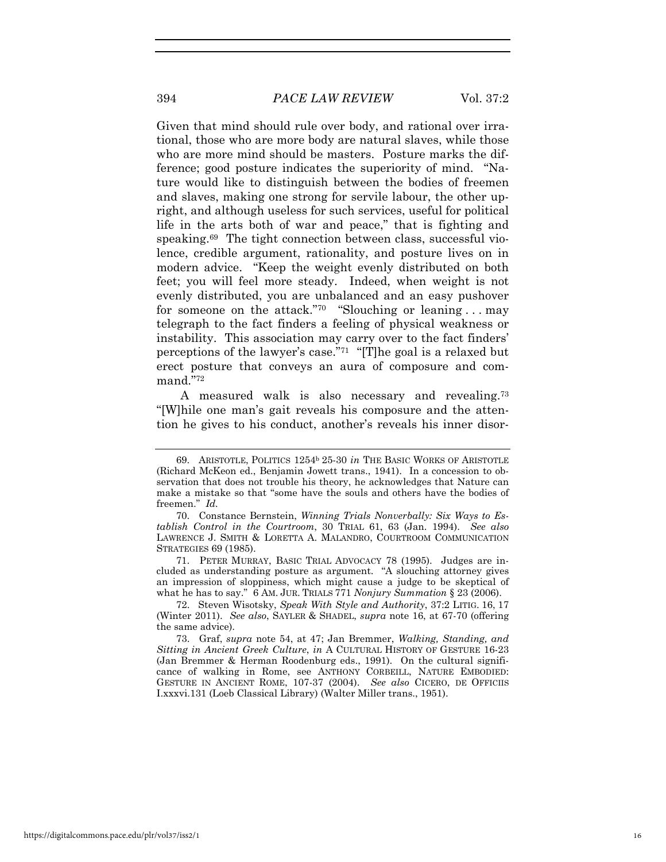394 *PACE LAW REVIEW* Vol. 37:2

Given that mind should rule over body, and rational over irrational, those who are more body are natural slaves, while those who are more mind should be masters. Posture marks the difference; good posture indicates the superiority of mind. "Nature would like to distinguish between the bodies of freemen and slaves, making one strong for servile labour, the other upright, and although useless for such services, useful for political life in the arts both of war and peace," that is fighting and speaking.<sup>69</sup> The tight connection between class, successful violence, credible argument, rationality, and posture lives on in modern advice. "Keep the weight evenly distributed on both feet; you will feel more steady. Indeed, when weight is not evenly distributed, you are unbalanced and an easy pushover for someone on the attack."<sup>70</sup> "Slouching or leaning ... may telegraph to the fact finders a feeling of physical weakness or instability. This association may carry over to the fact finders' perceptions of the lawyer's case."71 "[T]he goal is a relaxed but erect posture that conveys an aura of composure and command."72

A measured walk is also necessary and revealing.73 "[W]hile one man's gait reveals his composure and the attention he gives to his conduct, another's reveals his inner disor-

71. PETER MURRAY, BASIC TRIAL ADVOCACY 78 (1995). Judges are included as understanding posture as argument. "A slouching attorney gives an impression of sloppiness, which might cause a judge to be skeptical of what he has to say." 6 AM. JUR. TRIALS 771 *Nonjury Summation* § 23 (2006).

72. Steven Wisotsky, *Speak With Style and Authority*, 37:2 LITIG. 16, 17 (Winter 2011). *See also*, SAYLER & SHADEL, *supra* note 16, at 67-70 (offering the same advice).

73. Graf, *supra* note 54, at 47; Jan Bremmer, *Walking, Standing, and Sitting in Ancient Greek Culture*, *in* A CULTURAL HISTORY OF GESTURE 16-23 (Jan Bremmer & Herman Roodenburg eds., 1991). On the cultural significance of walking in Rome, see ANTHONY CORBEILL, NATURE EMBODIED: GESTURE IN ANCIENT ROME, 107-37 (2004). *See also* CICERO, DE OFFICIIS I.xxxvi.131 (Loeb Classical Library) (Walter Miller trans., 1951).

<sup>69.</sup> ARISTOTLE, POLITICS 1254b 25-30 *in* THE BASIC WORKS OF ARISTOTLE (Richard McKeon ed., Benjamin Jowett trans., 1941). In a concession to observation that does not trouble his theory, he acknowledges that Nature can make a mistake so that "some have the souls and others have the bodies of freemen." *Id.*

<sup>70.</sup> Constance Bernstein, *Winning Trials Nonverbally: Six Ways to Establish Control in the Courtroom*, 30 TRIAL 61, 63 (Jan. 1994). *See also* LAWRENCE J. SMITH & LORETTA A. MALANDRO, COURTROOM COMMUNICATION STRATEGIES 69 (1985).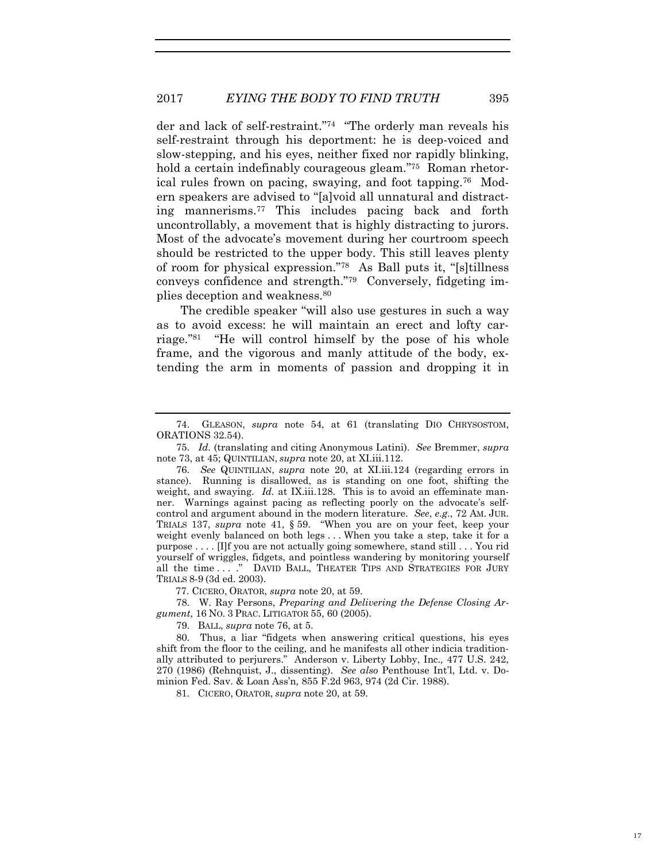der and lack of self-restraint."74 "The orderly man reveals his self-restraint through his deportment: he is deep-voiced and slow-stepping, and his eyes, neither fixed nor rapidly blinking, hold a certain indefinably courageous gleam."<sup>75</sup> Roman rhetorical rules frown on pacing, swaying, and foot tapping.76 Modern speakers are advised to "[a]void all unnatural and distracting mannerisms.77 This includes pacing back and forth uncontrollably, a movement that is highly distracting to jurors. Most of the advocate's movement during her courtroom speech should be restricted to the upper body. This still leaves plenty of room for physical expression."78 As Ball puts it, "[s]tillness conveys confidence and strength."79 Conversely, fidgeting implies deception and weakness.80

The credible speaker "will also use gestures in such a way as to avoid excess: he will maintain an erect and lofty carriage."81 "He will control himself by the pose of his whole frame, and the vigorous and manly attitude of the body, extending the arm in moments of passion and dropping it in

77. CICERO, ORATOR, *supra* note 20, at 59.

78. W. Ray Persons, *Preparing and Delivering the Defense Closing Argument*, 16 NO. 3 PRAC. LITIGATOR 55, 60 (2005).

79. BALL, *supra* note 76, at 5.

80. Thus, a liar "fidgets when answering critical questions, his eyes shift from the floor to the ceiling, and he manifests all other indicia traditionally attributed to perjurers."Anderson v. Liberty Lobby, Inc.*,* 477 U.S. 242, 270 (1986) (Rehnquist, J., dissenting). *See also* Penthouse Int'l, Ltd. v. Dominion Fed. Sav. & Loan Ass'n*,* 855 F.2d 963, 974 (2d Cir. 1988).

81. CICERO, ORATOR, *supra* note 20, at 59.

<sup>74.</sup> GLEASON, *supra* note 54, at 61 (translating DIO CHRYSOSTOM, ORATIONS 32.54).

<sup>75.</sup> *Id.* (translating and citing Anonymous Latini). *See* Bremmer, *supra*  note 73, at 45; QUINTILIAN, *supra* note 20, at XI.iii.112.

<sup>76.</sup> *See* QUINTILIAN, *supra* note 20, at XI.iii.124 (regarding errors in stance). Running is disallowed, as is standing on one foot, shifting the weight, and swaying. *Id.* at IX.iii.128. This is to avoid an effeminate manner. Warnings against pacing as reflecting poorly on the advocate's selfcontrol and argument abound in the modern literature. *See*, *e.g*., 72 AM. JUR. TRIALS 137, *supra* note 41, § 59. "When you are on your feet, keep your weight evenly balanced on both legs . . . When you take a step, take it for a purpose . . . . [I]f you are not actually going somewhere, stand still . . . You rid yourself of wriggles, fidgets, and pointless wandering by monitoring yourself all the time ...." DAVID BALL, THEATER TIPS AND STRATEGIES FOR JURY TRIALS 8-9 (3d ed. 2003).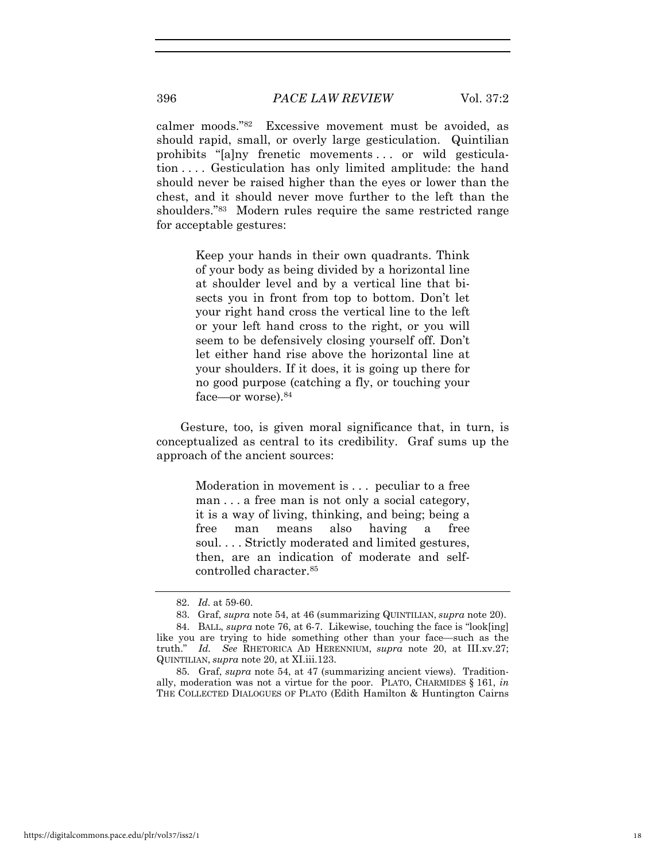calmer moods."82 Excessive movement must be avoided, as should rapid, small, or overly large gesticulation. Quintilian prohibits "[a]ny frenetic movements . . . or wild gesticulation . . . . Gesticulation has only limited amplitude: the hand should never be raised higher than the eyes or lower than the chest, and it should never move further to the left than the shoulders."83 Modern rules require the same restricted range for acceptable gestures:

> Keep your hands in their own quadrants. Think of your body as being divided by a horizontal line at shoulder level and by a vertical line that bisects you in front from top to bottom. Don't let your right hand cross the vertical line to the left or your left hand cross to the right, or you will seem to be defensively closing yourself off. Don't let either hand rise above the horizontal line at your shoulders. If it does, it is going up there for no good purpose (catching a fly, or touching your face—or worse).84

Gesture, too, is given moral significance that, in turn, is conceptualized as central to its credibility. Graf sums up the approach of the ancient sources:

> Moderation in movement is . . . peculiar to a free man . . . a free man is not only a social category, it is a way of living, thinking, and being; being a free man means also having a free soul. . . . Strictly moderated and limited gestures, then, are an indication of moderate and selfcontrolled character.85

<sup>82.</sup> *Id.* at 59-60.

<sup>83.</sup> Graf, *supra* note 54, at 46 (summarizing QUINTILIAN, *supra* note 20).

<sup>84.</sup> BALL, *supra* note 76, at 6-7. Likewise, touching the face is "look[ing] like you are trying to hide something other than your face—such as the truth." *Id. See* RHETORICA AD HERENNIUM, *supra* note 20, at III.xv.27; QUINTILIAN, *supra* note 20, at XI.iii.123.

<sup>85.</sup> Graf, *supra* note 54, at 47 (summarizing ancient views). Traditionally, moderation was not a virtue for the poor. PLATO, CHARMIDES § 161, *in* THE COLLECTED DIALOGUES OF PLATO (Edith Hamilton & Huntington Cairns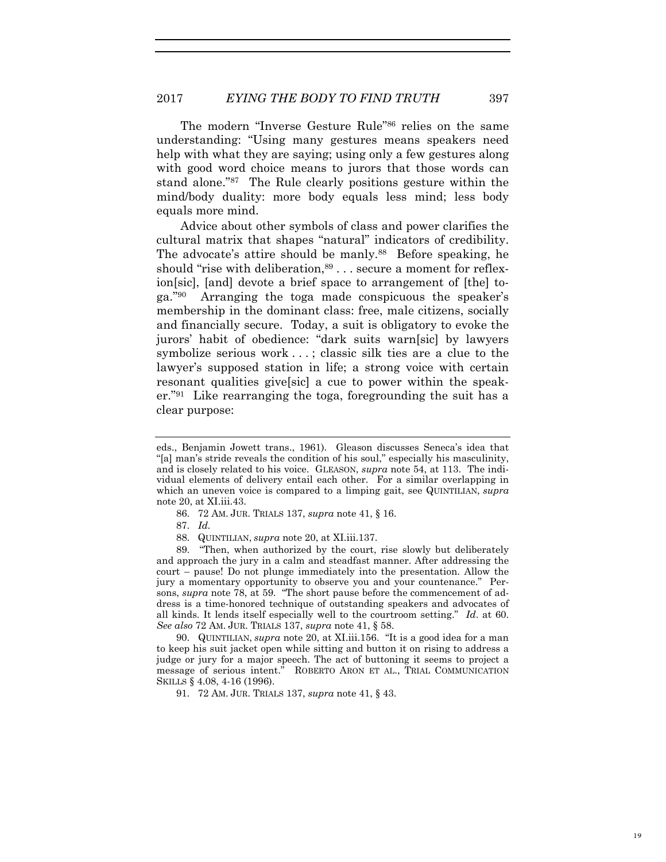The modern "Inverse Gesture Rule"86 relies on the same understanding: "Using many gestures means speakers need help with what they are saying; using only a few gestures along with good word choice means to jurors that those words can stand alone."87 The Rule clearly positions gesture within the mind/body duality: more body equals less mind; less body equals more mind.

Advice about other symbols of class and power clarifies the cultural matrix that shapes "natural" indicators of credibility. The advocate's attire should be manly.<sup>88</sup> Before speaking, he should "rise with deliberation,  $89...$  secure a moment for reflexion[sic], [and] devote a brief space to arrangement of [the] toga."90 Arranging the toga made conspicuous the speaker's membership in the dominant class: free, male citizens, socially and financially secure. Today, a suit is obligatory to evoke the jurors' habit of obedience: "dark suits warn[sic] by lawyers symbolize serious work . . . ; classic silk ties are a clue to the lawyer's supposed station in life; a strong voice with certain resonant qualities give[sic] a cue to power within the speaker."91 Like rearranging the toga, foregrounding the suit has a clear purpose:

87. *Id.*

89. "Then, when authorized by the court, rise slowly but deliberately and approach the jury in a calm and steadfast manner. After addressing the court – pause! Do not plunge immediately into the presentation. Allow the jury a momentary opportunity to observe you and your countenance." Persons, *supra* note 78, at 59. "The short pause before the commencement of address is a time-honored technique of outstanding speakers and advocates of all kinds. It lends itself especially well to the courtroom setting." *Id*. at 60. *See also* 72 AM. JUR. TRIALS 137, *supra* note 41, § 58.

90. QUINTILIAN, *supra* note 20, at XI.iii.156. "It is a good idea for a man to keep his suit jacket open while sitting and button it on rising to address a judge or jury for a major speech. The act of buttoning it seems to project a message of serious intent." ROBERTO ARON ET AL., TRIAL COMMUNICATION SKILLS § 4.08, 4-16 (1996).

91. 72 AM. JUR. TRIALS 137, *supra* note 41, § 43.

eds., Benjamin Jowett trans., 1961). Gleason discusses Seneca's idea that "[a] man's stride reveals the condition of his soul," especially his masculinity, and is closely related to his voice. GLEASON, *supra* note 54, at 113. The individual elements of delivery entail each other. For a similar overlapping in which an uneven voice is compared to a limping gait, see QUINTILIAN, *supra* note 20, at XI.iii.43.

<sup>86. 72</sup> AM. JUR. TRIALS 137, *supra* note 41, § 16.

<sup>88.</sup> QUINTILIAN, *supra* note 20, at XI.iii.137.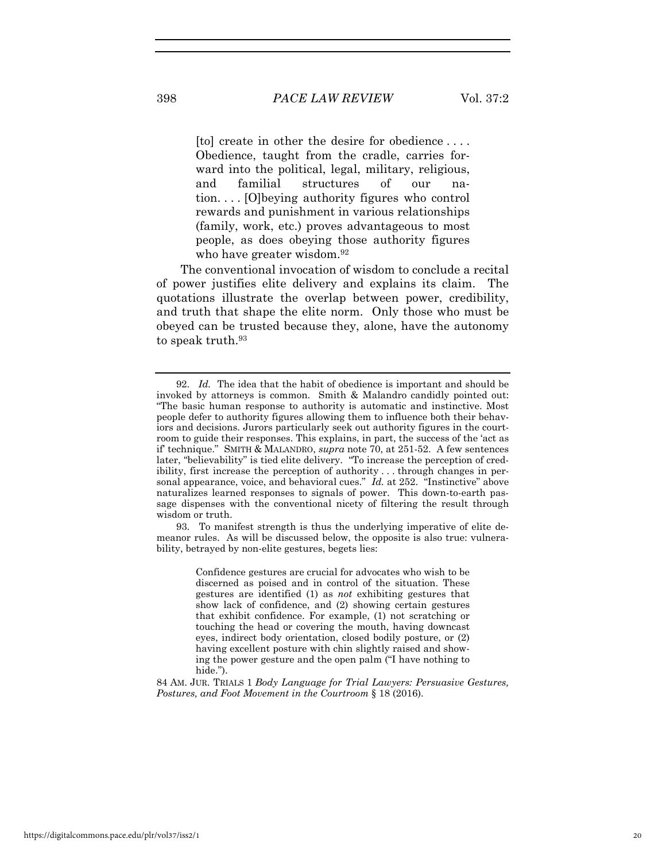[to] create in other the desire for obedience . . . . Obedience, taught from the cradle, carries forward into the political, legal, military, religious, and familial structures of our nation. . . . [O]beying authority figures who control rewards and punishment in various relationships (family, work, etc.) proves advantageous to most people, as does obeying those authority figures who have greater wisdom.<sup>92</sup>

The conventional invocation of wisdom to conclude a recital of power justifies elite delivery and explains its claim. The quotations illustrate the overlap between power, credibility, and truth that shape the elite norm. Only those who must be obeyed can be trusted because they, alone, have the autonomy to speak truth.<sup>93</sup>

93. To manifest strength is thus the underlying imperative of elite demeanor rules. As will be discussed below, the opposite is also true: vulnerability, betrayed by non-elite gestures, begets lies:

> Confidence gestures are crucial for advocates who wish to be discerned as poised and in control of the situation. These gestures are identified (1) as *not* exhibiting gestures that show lack of confidence, and (2) showing certain gestures that exhibit confidence. For example, (1) not scratching or touching the head or covering the mouth, having downcast eyes, indirect body orientation, closed bodily posture, or (2) having excellent posture with chin slightly raised and showing the power gesture and the open palm ("I have nothing to hide.").

84 AM. JUR. TRIALS 1 *Body Language for Trial Lawyers: Persuasive Gestures, Postures, and Foot Movement in the Courtroom* § 18 (2016).

<sup>92.</sup> *Id.* The idea that the habit of obedience is important and should be invoked by attorneys is common. Smith & Malandro candidly pointed out: "The basic human response to authority is automatic and instinctive. Most people defer to authority figures allowing them to influence both their behaviors and decisions. Jurors particularly seek out authority figures in the courtroom to guide their responses. This explains, in part, the success of the 'act as if' technique." SMITH & MALANDRO, *supra* note 70, at 251-52. A few sentences later, "believability" is tied elite delivery. "To increase the perception of credibility, first increase the perception of authority . . . through changes in personal appearance, voice, and behavioral cues." *Id.* at 252. "Instinctive" above naturalizes learned responses to signals of power. This down-to-earth passage dispenses with the conventional nicety of filtering the result through wisdom or truth.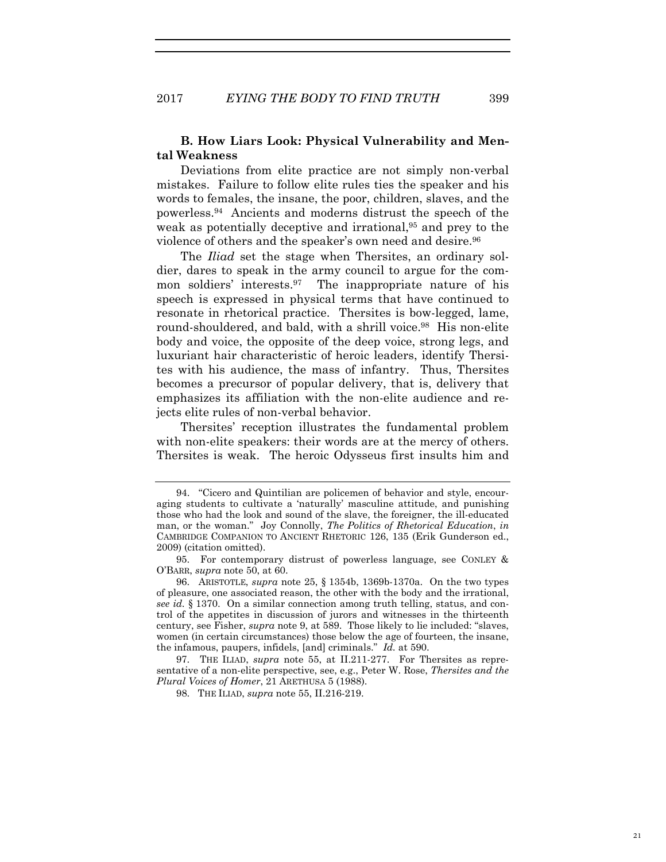## **B. How Liars Look: Physical Vulnerability and Mental Weakness**

Deviations from elite practice are not simply non-verbal mistakes. Failure to follow elite rules ties the speaker and his words to females, the insane, the poor, children, slaves, and the powerless.94 Ancients and moderns distrust the speech of the weak as potentially deceptive and irrational,<sup>95</sup> and prey to the violence of others and the speaker's own need and desire.96

The *Iliad* set the stage when Thersites, an ordinary soldier, dares to speak in the army council to argue for the common soldiers' interests.97 The inappropriate nature of his speech is expressed in physical terms that have continued to resonate in rhetorical practice. Thersites is bow-legged, lame, round-shouldered, and bald, with a shrill voice.98 His non-elite body and voice, the opposite of the deep voice, strong legs, and luxuriant hair characteristic of heroic leaders, identify Thersites with his audience, the mass of infantry. Thus, Thersites becomes a precursor of popular delivery, that is, delivery that emphasizes its affiliation with the non-elite audience and rejects elite rules of non-verbal behavior.

Thersites' reception illustrates the fundamental problem with non-elite speakers: their words are at the mercy of others. Thersites is weak. The heroic Odysseus first insults him and

<sup>94. &</sup>quot;Cicero and Quintilian are policemen of behavior and style, encouraging students to cultivate a 'naturally' masculine attitude, and punishing those who had the look and sound of the slave, the foreigner, the ill-educated man, or the woman." Joy Connolly, *The Politics of Rhetorical Education*, *in* CAMBRIDGE COMPANION TO ANCIENT RHETORIC 126, 135 (Erik Gunderson ed., 2009) (citation omitted).

<sup>95.</sup> For contemporary distrust of powerless language, see CONLEY & O'BARR, *supra* note 50, at 60.

<sup>96.</sup> ARISTOTLE, *supra* note 25, § 1354b, 1369b-1370a. On the two types of pleasure, one associated reason, the other with the body and the irrational, *see id.* § 1370. On a similar connection among truth telling, status, and control of the appetites in discussion of jurors and witnesses in the thirteenth century, see Fisher, *supra* note 9, at 589. Those likely to lie included: "slaves, women (in certain circumstances) those below the age of fourteen, the insane, the infamous, paupers, infidels, [and] criminals." *Id.* at 590.

<sup>97.</sup> THE ILIAD, *supra* note 55, at II.211-277. For Thersites as representative of a non-elite perspective, see, e.g., Peter W. Rose, *Thersites and the Plural Voices of Homer*, 21 ARETHUSA 5 (1988).

<sup>98.</sup> THE ILIAD, *supra* note 55, II.216-219.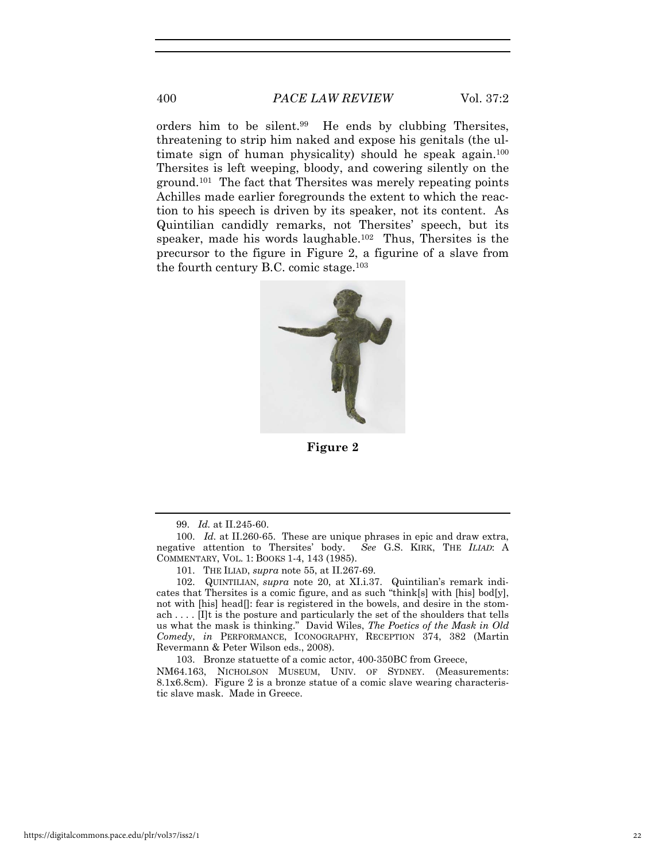400 *PACE LAW REVIEW* Vol. 37:2

orders him to be silent.99 He ends by clubbing Thersites, threatening to strip him naked and expose his genitals (the ultimate sign of human physicality) should he speak again.<sup>100</sup> Thersites is left weeping, bloody, and cowering silently on the ground.101 The fact that Thersites was merely repeating points Achilles made earlier foregrounds the extent to which the reaction to his speech is driven by its speaker, not its content. As Quintilian candidly remarks, not Thersites' speech, but its speaker, made his words laughable.<sup>102</sup> Thus, Thersites is the precursor to the figure in Figure 2, a figurine of a slave from the fourth century B.C. comic stage.103



**Figure 2** 

99. *Id.* at II.245-60.

101. THE ILIAD, *supra* note 55, at II.267-69.

102. QUINTILIAN, *supra* note 20, at XI.i.37. Quintilian's remark indicates that Thersites is a comic figure, and as such "think[s] with [his] bod[y], not with [his] head[]: fear is registered in the bowels, and desire in the stomach . . . . [I]t is the posture and particularly the set of the shoulders that tells us what the mask is thinking." David Wiles, *The Poetics of the Mask in Old Comedy*, *in* PERFORMANCE, ICONOGRAPHY, RECEPTION 374, 382 (Martin Revermann & Peter Wilson eds., 2008).

103. Bronze statuette of a comic actor, 400-350BC from Greece,

NM64.163, NICHOLSON MUSEUM, UNIV. OF SYDNEY. (Measurements: 8.1x6.8cm). Figure 2 is a bronze statue of a comic slave wearing characteristic slave mask. Made in Greece.

<sup>100.</sup> *Id.* at II.260-65. These are unique phrases in epic and draw extra, negative attention to Thersites' body. *See* G.S. KIRK, THE *ILIAD*: A COMMENTARY, VOL. 1: BOOKS 1-4, 143 (1985).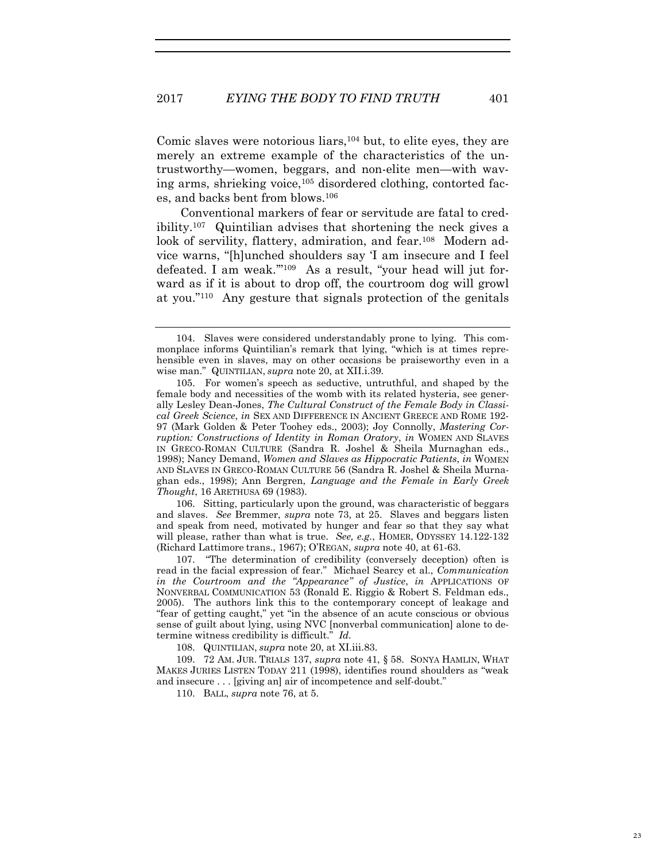Comic slaves were notorious liars,<sup>104</sup> but, to elite eyes, they are merely an extreme example of the characteristics of the untrustworthy—women, beggars, and non-elite men—with waving arms, shrieking voice,105 disordered clothing, contorted faces, and backs bent from blows.106

Conventional markers of fear or servitude are fatal to credibility.107 Quintilian advises that shortening the neck gives a look of servility, flattery, admiration, and fear.<sup>108</sup> Modern advice warns, "[h]unched shoulders say 'I am insecure and I feel defeated. I am weak.'"109 As a result, "your head will jut forward as if it is about to drop off, the courtroom dog will growl at you."110 Any gesture that signals protection of the genitals

106. Sitting, particularly upon the ground, was characteristic of beggars and slaves. *See* Bremmer, *supra* note 73, at 25. Slaves and beggars listen and speak from need, motivated by hunger and fear so that they say what will please, rather than what is true. *See, e.g.*, HOMER, ODYSSEY 14.122-132 (Richard Lattimore trans., 1967); O'REGAN, *supra* note 40, at 61-63.

107. "The determination of credibility (conversely deception) often is read in the facial expression of fear." Michael Searcy et al., *Communication in the Courtroom and the "Appearance" of Justice*, *in* APPLICATIONS OF NONVERBAL COMMUNICATION 53 (Ronald E. Riggio & Robert S. Feldman eds., 2005). The authors link this to the contemporary concept of leakage and "fear of getting caught," yet "in the absence of an acute conscious or obvious sense of guilt about lying, using NVC [nonverbal communication] alone to determine witness credibility is difficult." *Id.*

108. QUINTILIAN, *supra* note 20, at XI.iii.83.

109. 72 AM. JUR. TRIALS 137, *supra* note 41, § 58. SONYA HAMLIN, WHAT MAKES JURIES LISTEN TODAY 211 (1998), identifies round shoulders as "weak and insecure . . . [giving an] air of incompetence and self-doubt."

110. BALL, *supra* note 76, at 5.

<sup>104.</sup> Slaves were considered understandably prone to lying. This commonplace informs Quintilian's remark that lying, "which is at times reprehensible even in slaves, may on other occasions be praiseworthy even in a wise man." QUINTILIAN, *supra* note 20, at XII.i.39.

<sup>105.</sup> For women's speech as seductive, untruthful, and shaped by the female body and necessities of the womb with its related hysteria, see generally Lesley Dean-Jones, *The Cultural Construct of the Female Body in Classical Greek Science*, *in* SEX AND DIFFERENCE IN ANCIENT GREECE AND ROME 192- 97 (Mark Golden & Peter Toohey eds., 2003); Joy Connolly, *Mastering Corruption: Constructions of Identit*y *in Roman Oratory*, *in* WOMEN AND SLAVES IN GRECO-ROMAN CULTURE (Sandra R. Joshel & Sheila Murnaghan eds., 1998); Nancy Demand, *Women and Slaves as Hippocratic Patients*, *in* WOMEN AND SLAVES IN GRECO-ROMAN CULTURE 56 (Sandra R. Joshel & Sheila Murnaghan eds., 1998); Ann Bergren, *Language and the Female in Early Greek Thought*, 16 ARETHUSA 69 (1983).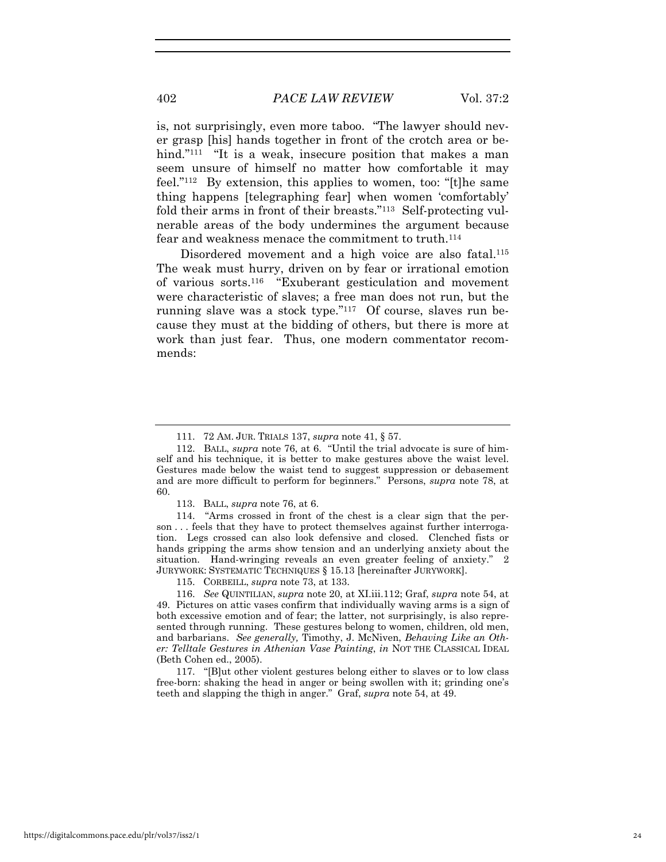is, not surprisingly, even more taboo. "The lawyer should never grasp [his] hands together in front of the crotch area or behind."<sup>111</sup> "It is a weak, insecure position that makes a man seem unsure of himself no matter how comfortable it may feel."112 By extension, this applies to women, too: "[t]he same thing happens [telegraphing fear] when women 'comfortably' fold their arms in front of their breasts."113 Self-protecting vulnerable areas of the body undermines the argument because fear and weakness menace the commitment to truth.114

Disordered movement and a high voice are also fatal.<sup>115</sup> The weak must hurry, driven on by fear or irrational emotion of various sorts.116 "Exuberant gesticulation and movement were characteristic of slaves; a free man does not run, but the running slave was a stock type."117 Of course, slaves run because they must at the bidding of others, but there is more at work than just fear. Thus, one modern commentator recommends:

115. CORBEILL, *supra* note 73, at 133.

<sup>111. 72</sup> AM. JUR. TRIALS 137, *supra* note 41, § 57.

<sup>112.</sup> BALL, *supra* note 76, at 6. "Until the trial advocate is sure of himself and his technique, it is better to make gestures above the waist level. Gestures made below the waist tend to suggest suppression or debasement and are more difficult to perform for beginners." Persons, *supra* note 78, at 60.

<sup>113.</sup> BALL, *supra* note 76, at 6.

<sup>114. &</sup>quot;Arms crossed in front of the chest is a clear sign that the person . . . feels that they have to protect themselves against further interrogation. Legs crossed can also look defensive and closed. Clenched fists or hands gripping the arms show tension and an underlying anxiety about the situation. Hand-wringing reveals an even greater feeling of anxiety." 2 JURYWORK: SYSTEMATIC TECHNIQUES § 15.13 [hereinafter JURYWORK].

<sup>116.</sup> *See* QUINTILIAN, *supra* note 20, at XI.iii.112; Graf, *supra* note 54, at 49. Pictures on attic vases confirm that individually waving arms is a sign of both excessive emotion and of fear; the latter, not surprisingly, is also represented through running. These gestures belong to women, children, old men, and barbarians. *See generally,* Timothy, J. McNiven, *Behaving Like an Other: Telltale Gestures in Athenian Vase Painting*, *in* NOT THE CLASSICAL IDEAL (Beth Cohen ed., 2005).

<sup>117. &</sup>quot;[B]ut other violent gestures belong either to slaves or to low class free-born: shaking the head in anger or being swollen with it; grinding one's teeth and slapping the thigh in anger." Graf, *supra* note 54, at 49.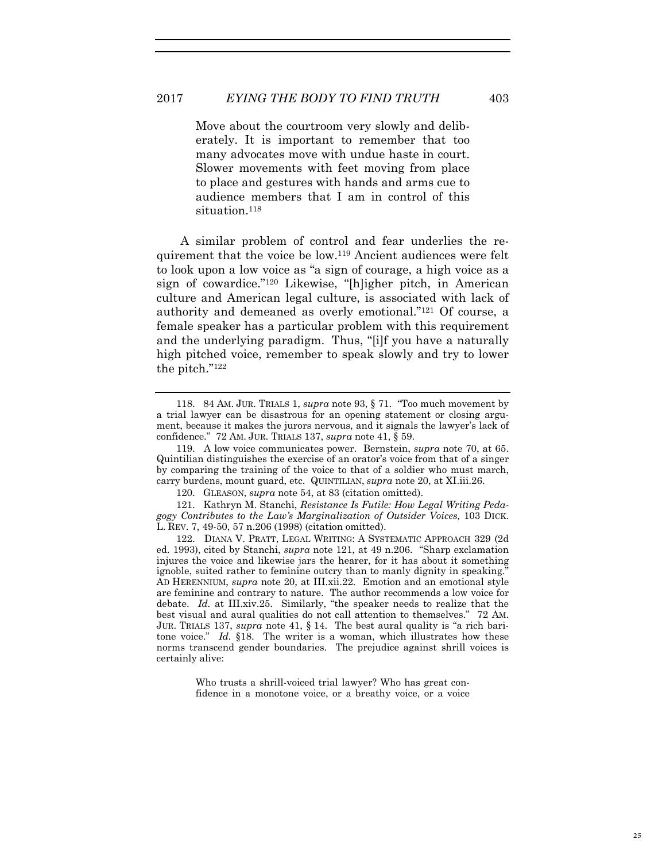Move about the courtroom very slowly and deliberately. It is important to remember that too many advocates move with undue haste in court. Slower movements with feet moving from place to place and gestures with hands and arms cue to audience members that I am in control of this situation.<sup>118</sup>

A similar problem of control and fear underlies the requirement that the voice be low.119 Ancient audiences were felt to look upon a low voice as "a sign of courage, a high voice as a sign of cowardice."120 Likewise, "[h]igher pitch, in American culture and American legal culture, is associated with lack of authority and demeaned as overly emotional."121 Of course, a female speaker has a particular problem with this requirement and the underlying paradigm. Thus, "[i]f you have a naturally high pitched voice, remember to speak slowly and try to lower the pitch."122

121. Kathryn M. Stanchi, *Resistance Is Futile: How Legal Writing Pedagogy Contributes to the Law's Marginalization of Outsider Voices,* 103 DICK. L. REV. 7, 49-50, 57 n.206 (1998) (citation omitted).

122. DIANA V. PRATT, LEGAL WRITING: A SYSTEMATIC APPROACH 329 (2d ed. 1993), cited by Stanchi, *supra* note 121, at 49 n.206. "Sharp exclamation injures the voice and likewise jars the hearer, for it has about it something ignoble, suited rather to feminine outcry than to manly dignity in speaking." AD HERENNIUM, *supra* note 20, at III.xii.22. Emotion and an emotional style are feminine and contrary to nature. The author recommends a low voice for debate. *Id.* at III.xiv.25. Similarly, "the speaker needs to realize that the best visual and aural qualities do not call attention to themselves." 72 AM. JUR. TRIALS 137, *supra* note 41, § 14. The best aural quality is "a rich baritone voice." *Id.* §18. The writer is a woman, which illustrates how these norms transcend gender boundaries. The prejudice against shrill voices is certainly alive:

> Who trusts a shrill-voiced trial lawyer? Who has great confidence in a monotone voice, or a breathy voice, or a voice

<sup>118. 84</sup> AM. JUR. TRIALS 1, *supra* note 93, § 71. "Too much movement by a trial lawyer can be disastrous for an opening statement or closing argument, because it makes the jurors nervous, and it signals the lawyer's lack of confidence." 72 AM. JUR. TRIALS 137, *supra* note 41, § 59.

<sup>119.</sup> A low voice communicates power. Bernstein, *supra* note 70, at 65. Quintilian distinguishes the exercise of an orator's voice from that of a singer by comparing the training of the voice to that of a soldier who must march, carry burdens, mount guard, etc. QUINTILIAN, *supra* note 20, at XI.iii.26.

<sup>120.</sup> GLEASON, *supra* note 54, at 83 (citation omitted).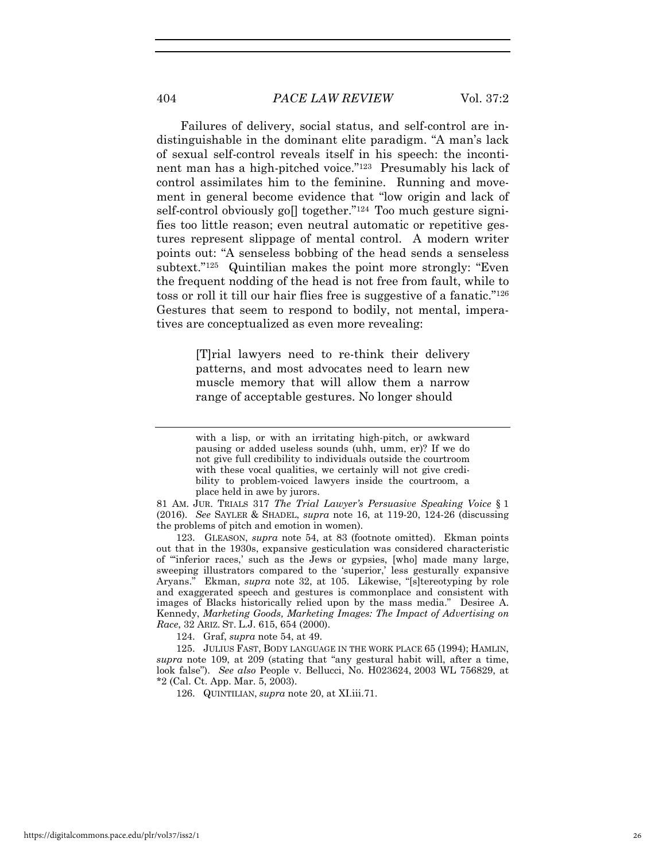## 404 *PACE LAW REVIEW* Vol. 37:2

Failures of delivery, social status, and self-control are indistinguishable in the dominant elite paradigm. "A man's lack of sexual self-control reveals itself in his speech: the incontinent man has a high-pitched voice."123 Presumably his lack of control assimilates him to the feminine. Running and movement in general become evidence that "low origin and lack of self-control obviously go $\parallel$  together."<sup>124</sup> Too much gesture signifies too little reason; even neutral automatic or repetitive gestures represent slippage of mental control. A modern writer points out: "A senseless bobbing of the head sends a senseless subtext."125 Quintilian makes the point more strongly: "Even the frequent nodding of the head is not free from fault, while to toss or roll it till our hair flies free is suggestive of a fanatic."126 Gestures that seem to respond to bodily, not mental, imperatives are conceptualized as even more revealing:

> [T]rial lawyers need to re-think their delivery patterns, and most advocates need to learn new muscle memory that will allow them a narrow range of acceptable gestures. No longer should

81 AM. JUR. TRIALS 317 *The Trial Lawyer's Persuasive Speaking Voice* § 1 (2016). *See* SAYLER & SHADEL, *supra* note 16, at 119-20, 124-26 (discussing the problems of pitch and emotion in women).

123. GLEASON, *supra* note 54, at 83 (footnote omitted). Ekman points out that in the 1930s, expansive gesticulation was considered characteristic of "'inferior races,' such as the Jews or gypsies, [who] made many large, sweeping illustrators compared to the 'superior,' less gesturally expansive Aryans." Ekman, *supra* note 32, at 105. Likewise, "[s]tereotyping by role and exaggerated speech and gestures is commonplace and consistent with images of Blacks historically relied upon by the mass media." Desiree A. Kennedy, *Marketing Goods, Marketing Images: The Impact of Advertising on Race*, 32 ARIZ. ST. L.J. 615, 654 (2000).

124. Graf, *supra* note 54, at 49.

125. JULIUS FAST, BODY LANGUAGE IN THE WORK PLACE 65 (1994); HAMLIN, *supra* note 109, at 209 (stating that "any gestural habit will, after a time, look false"). *See also* People v. Bellucci, No. H023624, 2003 WL 756829, at \*2 (Cal. Ct. App. Mar. 5, 2003).

126. QUINTILIAN, *supra* note 20, at XI.iii.71.

with a lisp, or with an irritating high-pitch, or awkward pausing or added useless sounds (uhh, umm, er)? If we do not give full credibility to individuals outside the courtroom with these vocal qualities, we certainly will not give credibility to problem-voiced lawyers inside the courtroom, a place held in awe by jurors.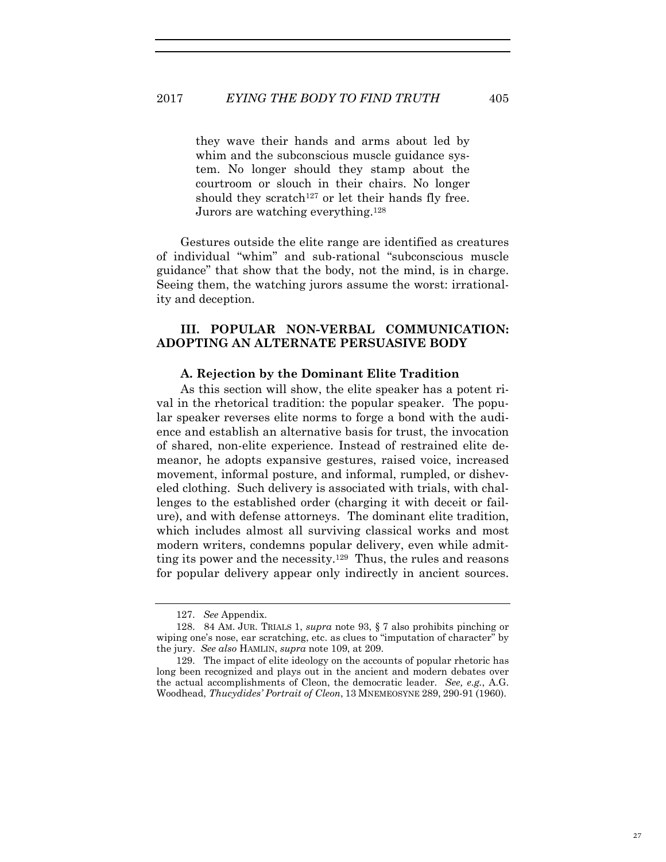they wave their hands and arms about led by whim and the subconscious muscle guidance system. No longer should they stamp about the courtroom or slouch in their chairs. No longer should they scratch<sup>127</sup> or let their hands fly free. Jurors are watching everything.128

Gestures outside the elite range are identified as creatures of individual "whim" and sub-rational "subconscious muscle guidance" that show that the body, not the mind, is in charge. Seeing them, the watching jurors assume the worst: irrationality and deception.

## **III. POPULAR NON-VERBAL COMMUNICATION: ADOPTING AN ALTERNATE PERSUASIVE BODY**

#### **A. Rejection by the Dominant Elite Tradition**

As this section will show, the elite speaker has a potent rival in the rhetorical tradition: the popular speaker. The popular speaker reverses elite norms to forge a bond with the audience and establish an alternative basis for trust, the invocation of shared, non-elite experience. Instead of restrained elite demeanor, he adopts expansive gestures, raised voice, increased movement, informal posture, and informal, rumpled, or disheveled clothing. Such delivery is associated with trials, with challenges to the established order (charging it with deceit or failure), and with defense attorneys. The dominant elite tradition, which includes almost all surviving classical works and most modern writers, condemns popular delivery, even while admitting its power and the necessity.129 Thus, the rules and reasons for popular delivery appear only indirectly in ancient sources.

<sup>127.</sup> *See* Appendix.

<sup>128. 84</sup> AM. JUR. TRIALS 1, *supra* note 93, § 7 also prohibits pinching or wiping one's nose, ear scratching, etc. as clues to "imputation of character" by the jury. *See also* HAMLIN, *supra* note 109, at 209.

<sup>129.</sup> The impact of elite ideology on the accounts of popular rhetoric has long been recognized and plays out in the ancient and modern debates over the actual accomplishments of Cleon, the democratic leader. *See, e.g.*, A.G. Woodhead, *Thucydides' Portrait of Cleon*, 13 MNEMEOSYNE 289, 290-91 (1960).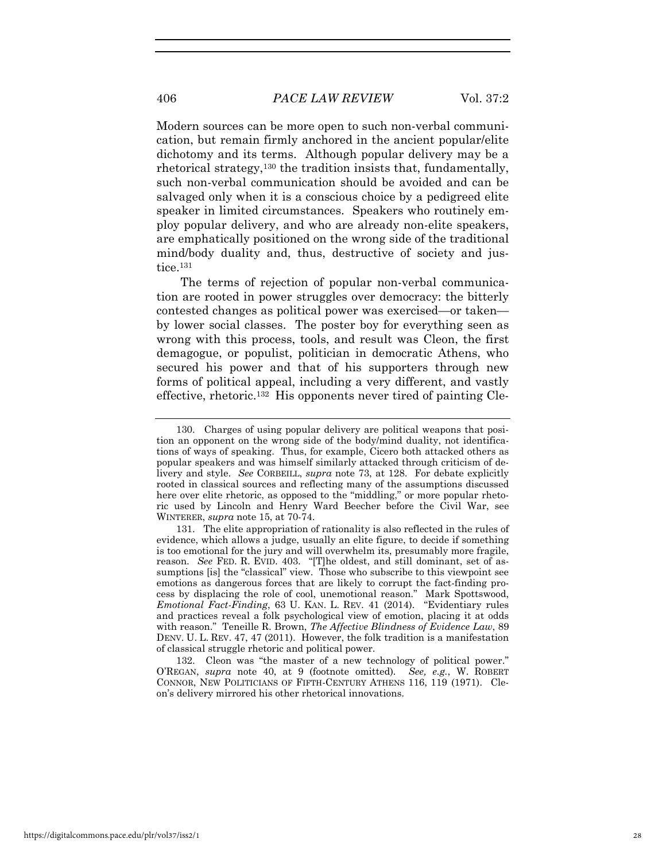Modern sources can be more open to such non-verbal communication, but remain firmly anchored in the ancient popular/elite dichotomy and its terms. Although popular delivery may be a rhetorical strategy,130 the tradition insists that, fundamentally, such non-verbal communication should be avoided and can be salvaged only when it is a conscious choice by a pedigreed elite speaker in limited circumstances. Speakers who routinely employ popular delivery, and who are already non-elite speakers, are emphatically positioned on the wrong side of the traditional mind/body duality and, thus, destructive of society and justice.131

The terms of rejection of popular non-verbal communication are rooted in power struggles over democracy: the bitterly contested changes as political power was exercised—or taken by lower social classes. The poster boy for everything seen as wrong with this process, tools, and result was Cleon, the first demagogue, or populist, politician in democratic Athens, who secured his power and that of his supporters through new forms of political appeal, including a very different, and vastly effective, rhetoric.132 His opponents never tired of painting Cle-

<sup>130.</sup> Charges of using popular delivery are political weapons that position an opponent on the wrong side of the body/mind duality, not identifications of ways of speaking. Thus, for example, Cicero both attacked others as popular speakers and was himself similarly attacked through criticism of delivery and style. *See* CORBEILL, *supra* note 73, at 128. For debate explicitly rooted in classical sources and reflecting many of the assumptions discussed here over elite rhetoric, as opposed to the "middling," or more popular rhetoric used by Lincoln and Henry Ward Beecher before the Civil War, see WINTERER, *supra* note 15, at 70-74.

<sup>131.</sup> The elite appropriation of rationality is also reflected in the rules of evidence, which allows a judge, usually an elite figure, to decide if something is too emotional for the jury and will overwhelm its, presumably more fragile, reason. *See* FED. R. EVID. 403. "[T]he oldest, and still dominant, set of assumptions [is] the "classical" view. Those who subscribe to this viewpoint see emotions as dangerous forces that are likely to corrupt the fact-finding process by displacing the role of cool, unemotional reason." Mark Spottswood, *Emotional Fact-Finding*, 63 U. KAN. L. REV. 41 (2014). "Evidentiary rules and practices reveal a folk psychological view of emotion, placing it at odds with reason." Teneille R. Brown, *The Affective Blindness of Evidence Law*, 89 DENV. U. L. REV. 47, 47 (2011). However, the folk tradition is a manifestation of classical struggle rhetoric and political power.

<sup>132.</sup> Cleon was "the master of a new technology of political power." O'REGAN, *supra* note 40, at 9 (footnote omitted)*. See, e.g.*, W. ROBERT CONNOR, NEW POLITICIANS OF FIFTH-CENTURY ATHENS 116, 119 (1971). Cleon's delivery mirrored his other rhetorical innovations.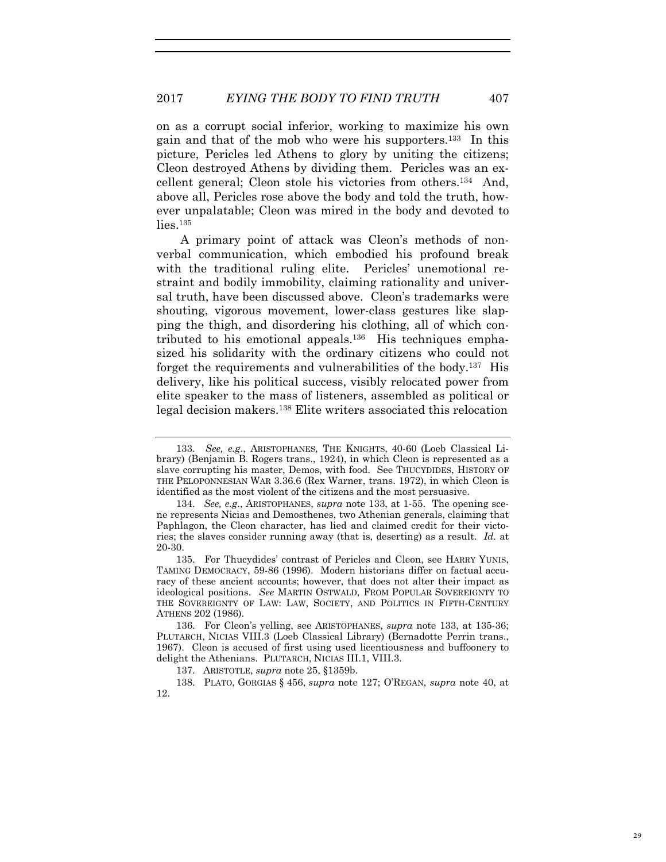on as a corrupt social inferior, working to maximize his own gain and that of the mob who were his supporters.133 In this picture, Pericles led Athens to glory by uniting the citizens; Cleon destroyed Athens by dividing them. Pericles was an excellent general; Cleon stole his victories from others.134 And, above all, Pericles rose above the body and told the truth, however unpalatable; Cleon was mired in the body and devoted to  $\frac{1}{1}$ ies.<sup>135</sup>

A primary point of attack was Cleon's methods of nonverbal communication, which embodied his profound break with the traditional ruling elite. Pericles' unemotional restraint and bodily immobility, claiming rationality and universal truth, have been discussed above. Cleon's trademarks were shouting, vigorous movement, lower-class gestures like slapping the thigh, and disordering his clothing, all of which contributed to his emotional appeals.136 His techniques emphasized his solidarity with the ordinary citizens who could not forget the requirements and vulnerabilities of the body.137 His delivery, like his political success, visibly relocated power from elite speaker to the mass of listeners, assembled as political or legal decision makers.138 Elite writers associated this relocation

<sup>133.</sup> *See, e.g*., ARISTOPHANES, THE KNIGHTS, 40-60 (Loeb Classical Library) (Benjamin B. Rogers trans., 1924), in which Cleon is represented as a slave corrupting his master, Demos, with food. See THUCYDIDES, HISTORY OF THE PELOPONNESIAN WAR 3.36.6 (Rex Warner, trans. 1972), in which Cleon is identified as the most violent of the citizens and the most persuasive.

<sup>134.</sup> *See, e.g*., ARISTOPHANES, *supra* note 133, at 1-55. The opening scene represents Nicias and Demosthenes, two Athenian generals, claiming that Paphlagon, the Cleon character, has lied and claimed credit for their victories; the slaves consider running away (that is, deserting) as a result. *Id.* at 20-30.

<sup>135.</sup> For Thucydides' contrast of Pericles and Cleon, see HARRY YUNIS, TAMING DEMOCRACY, 59-86 (1996). Modern historians differ on factual accuracy of these ancient accounts; however, that does not alter their impact as ideological positions. *See* MARTIN OSTWALD, FROM POPULAR SOVEREIGNTY TO THE SOVEREIGNTY OF LAW: LAW, SOCIETY, AND POLITICS IN FIFTH-CENTURY ATHENS 202 (1986).

<sup>136.</sup> For Cleon's yelling, see ARISTOPHANES, *supra* note 133, at 135-36; PLUTARCH, NICIAS VIII.3 (Loeb Classical Library) (Bernadotte Perrin trans., 1967). Cleon is accused of first using used licentiousness and buffoonery to delight the Athenians. PLUTARCH, NICIAS III.1, VIII.3.

<sup>137.</sup> ARISTOTLE, *supra* note 25, §1359b.

<sup>138.</sup> PLATO, GORGIAS § 456, *supra* note 127; O'REGAN, *supra* note 40, at 12.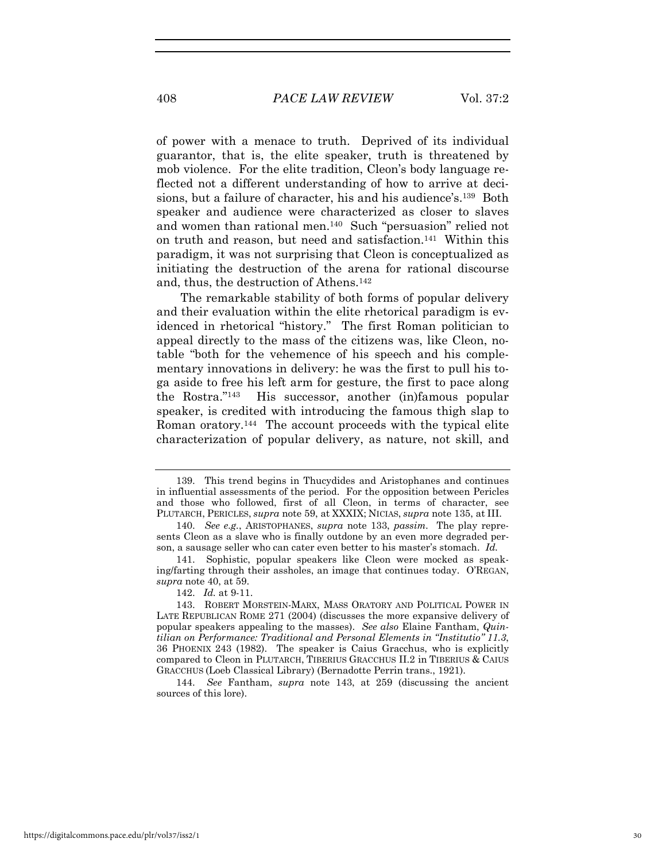of power with a menace to truth. Deprived of its individual guarantor, that is, the elite speaker, truth is threatened by mob violence. For the elite tradition, Cleon's body language reflected not a different understanding of how to arrive at decisions, but a failure of character, his and his audience's.139 Both speaker and audience were characterized as closer to slaves and women than rational men.140 Such "persuasion" relied not on truth and reason, but need and satisfaction.141 Within this paradigm, it was not surprising that Cleon is conceptualized as initiating the destruction of the arena for rational discourse and, thus, the destruction of Athens.142

The remarkable stability of both forms of popular delivery and their evaluation within the elite rhetorical paradigm is evidenced in rhetorical "history." The first Roman politician to appeal directly to the mass of the citizens was, like Cleon, notable "both for the vehemence of his speech and his complementary innovations in delivery: he was the first to pull his toga aside to free his left arm for gesture, the first to pace along the Rostra."143 His successor, another (in)famous popular speaker, is credited with introducing the famous thigh slap to Roman oratory.144 The account proceeds with the typical elite characterization of popular delivery, as nature, not skill, and

144. *See* Fantham, *supra* note 143, at 259 (discussing the ancient sources of this lore).

<sup>139.</sup> This trend begins in Thucydides and Aristophanes and continues in influential assessments of the period. For the opposition between Pericles and those who followed, first of all Cleon, in terms of character, see PLUTARCH, PERICLES, *supra* note 59, at XXXIX; NICIAS, *supra* note 135, at III.

<sup>140.</sup> *See e.g.*, ARISTOPHANES, *supra* note 133, *passim.* The play represents Cleon as a slave who is finally outdone by an even more degraded person, a sausage seller who can cater even better to his master's stomach. *Id.*

<sup>141.</sup> Sophistic, popular speakers like Cleon were mocked as speaking/farting through their assholes, an image that continues today. O'REGAN, *supra* note 40, at 59.

<sup>142.</sup> *Id.* at 9-11.

<sup>143.</sup> ROBERT MORSTEIN-MARX, MASS ORATORY AND POLITICAL POWER IN LATE REPUBLICAN ROME 271 (2004) (discusses the more expansive delivery of popular speakers appealing to the masses). *See also* Elaine Fantham, *Quintilian on Performance: Traditional and Personal Elements in "Institutio" 11.3*, 36 PHOENIX 243 (1982). The speaker is Caius Gracchus, who is explicitly compared to Cleon in PLUTARCH, TIBERIUS GRACCHUS II.2 in TIBERIUS & CAIUS GRACCHUS (Loeb Classical Library) (Bernadotte Perrin trans., 1921).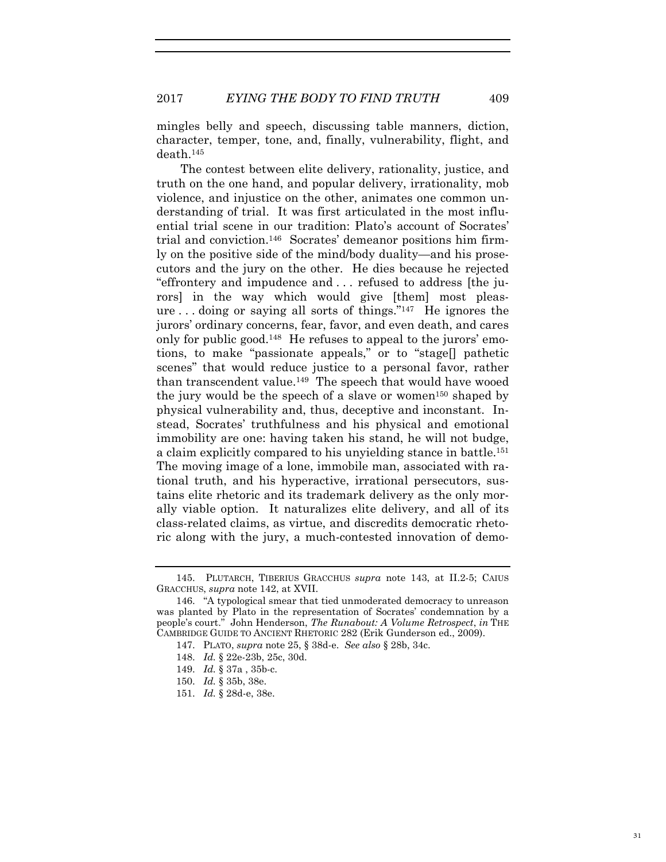mingles belly and speech, discussing table manners, diction, character, temper, tone, and, finally, vulnerability, flight, and death.145

The contest between elite delivery, rationality, justice, and truth on the one hand, and popular delivery, irrationality, mob violence, and injustice on the other, animates one common understanding of trial. It was first articulated in the most influential trial scene in our tradition: Plato's account of Socrates' trial and conviction.146 Socrates' demeanor positions him firmly on the positive side of the mind/body duality—and his prosecutors and the jury on the other. He dies because he rejected "effrontery and impudence and . . . refused to address [the jurors] in the way which would give [them] most pleasure . . . doing or saying all sorts of things."147 He ignores the jurors' ordinary concerns, fear, favor, and even death, and cares only for public good.148 He refuses to appeal to the jurors' emotions, to make "passionate appeals," or to "stage[] pathetic scenes" that would reduce justice to a personal favor, rather than transcendent value.149 The speech that would have wooed the jury would be the speech of a slave or women<sup>150</sup> shaped by physical vulnerability and, thus, deceptive and inconstant. Instead, Socrates' truthfulness and his physical and emotional immobility are one: having taken his stand, he will not budge, a claim explicitly compared to his unyielding stance in battle.151 The moving image of a lone, immobile man, associated with rational truth, and his hyperactive, irrational persecutors, sustains elite rhetoric and its trademark delivery as the only morally viable option. It naturalizes elite delivery, and all of its class-related claims, as virtue, and discredits democratic rhetoric along with the jury, a much-contested innovation of demo-

<sup>145.</sup> PLUTARCH, TIBERIUS GRACCHUS *supra* note 143, at II.2-5; CAIUS GRACCHUS, *supra* note 142, at XVII.

<sup>146. &</sup>quot;A typological smear that tied unmoderated democracy to unreason was planted by Plato in the representation of Socrates' condemnation by a people's court." John Henderson, *The Runabout: A Volume Retrospect*, *in* THE CAMBRIDGE GUIDE TO ANCIENT RHETORIC 282 (Erik Gunderson ed., 2009).

<sup>147.</sup> PLATO, *supra* note 25, § 38d-e. *See also* § 28b, 34c.

<sup>148.</sup> *Id.* § 22e-23b, 25c, 30d.

<sup>149.</sup> *Id.* § 37a , 35b-c.

<sup>150.</sup> *Id.* § 35b, 38e.

<sup>151.</sup> *Id.* § 28d-e, 38e.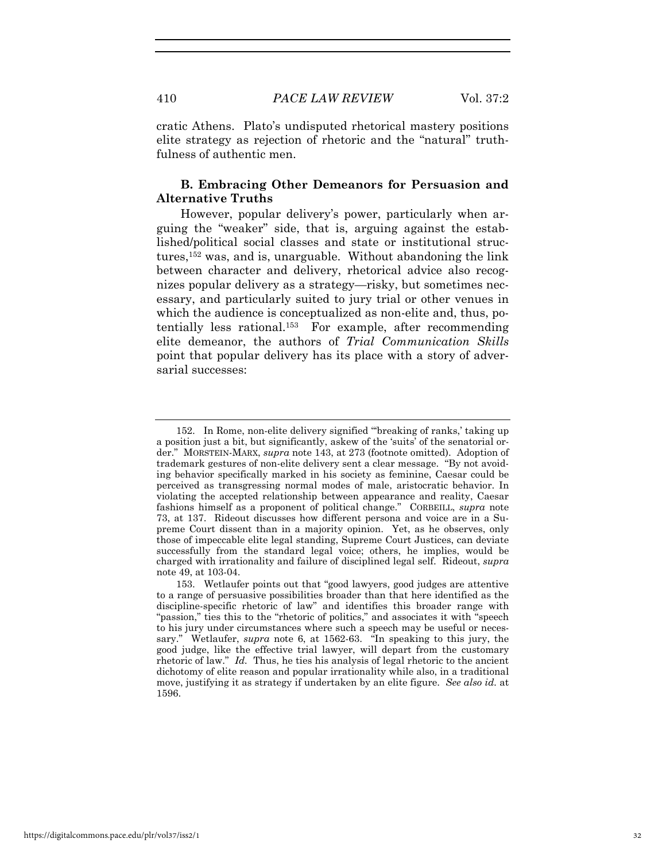cratic Athens. Plato's undisputed rhetorical mastery positions elite strategy as rejection of rhetoric and the "natural" truthfulness of authentic men.

## **B. Embracing Other Demeanors for Persuasion and Alternative Truths**

However, popular delivery's power, particularly when arguing the "weaker" side, that is, arguing against the established/political social classes and state or institutional structures,<sup>152</sup> was, and is, unarguable. Without abandoning the link between character and delivery, rhetorical advice also recognizes popular delivery as a strategy—risky, but sometimes necessary, and particularly suited to jury trial or other venues in which the audience is conceptualized as non-elite and, thus, potentially less rational.153 For example, after recommending elite demeanor, the authors of *Trial Communication Skills* point that popular delivery has its place with a story of adversarial successes:

<sup>152.</sup> In Rome, non-elite delivery signified "'breaking of ranks,' taking up a position just a bit, but significantly, askew of the 'suits' of the senatorial order." MORSTEIN-MARX, *supra* note 143, at 273 (footnote omitted). Adoption of trademark gestures of non-elite delivery sent a clear message. "By not avoiding behavior specifically marked in his society as feminine, Caesar could be perceived as transgressing normal modes of male, aristocratic behavior. In violating the accepted relationship between appearance and reality, Caesar fashions himself as a proponent of political change." CORBEILL, *supra* note 73, at 137. Rideout discusses how different persona and voice are in a Supreme Court dissent than in a majority opinion. Yet, as he observes, only those of impeccable elite legal standing, Supreme Court Justices, can deviate successfully from the standard legal voice; others, he implies, would be charged with irrationality and failure of disciplined legal self. Rideout, *supra* note 49, at 103-04.

<sup>153.</sup> Wetlaufer points out that "good lawyers, good judges are attentive to a range of persuasive possibilities broader than that here identified as the discipline-specific rhetoric of law" and identifies this broader range with "passion," ties this to the "rhetoric of politics," and associates it with "speech to his jury under circumstances where such a speech may be useful or necessary." Wetlaufer, *supra* note 6, at 1562-63. "In speaking to this jury, the good judge, like the effective trial lawyer, will depart from the customary rhetoric of law." *Id.* Thus, he ties his analysis of legal rhetoric to the ancient dichotomy of elite reason and popular irrationality while also, in a traditional move, justifying it as strategy if undertaken by an elite figure. *See also id.* at 1596.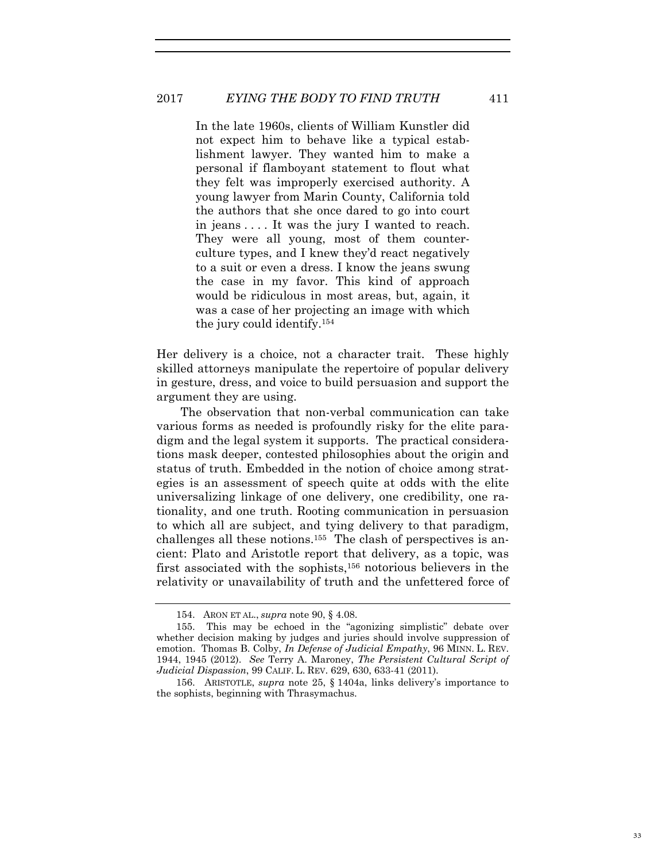## 2017 *EYING THE BODY TO FIND TRUTH* 411

In the late 1960s, clients of William Kunstler did not expect him to behave like a typical establishment lawyer. They wanted him to make a personal if flamboyant statement to flout what they felt was improperly exercised authority. A young lawyer from Marin County, California told the authors that she once dared to go into court in jeans . . . . It was the jury I wanted to reach. They were all young, most of them counterculture types, and I knew they'd react negatively to a suit or even a dress. I know the jeans swung the case in my favor. This kind of approach would be ridiculous in most areas, but, again, it was a case of her projecting an image with which the jury could identify.154

Her delivery is a choice, not a character trait. These highly skilled attorneys manipulate the repertoire of popular delivery in gesture, dress, and voice to build persuasion and support the argument they are using.

The observation that non-verbal communication can take various forms as needed is profoundly risky for the elite paradigm and the legal system it supports. The practical considerations mask deeper, contested philosophies about the origin and status of truth. Embedded in the notion of choice among strategies is an assessment of speech quite at odds with the elite universalizing linkage of one delivery, one credibility, one rationality, and one truth. Rooting communication in persuasion to which all are subject, and tying delivery to that paradigm, challenges all these notions.155 The clash of perspectives is ancient: Plato and Aristotle report that delivery, as a topic, was first associated with the sophists,156 notorious believers in the relativity or unavailability of truth and the unfettered force of

<sup>154.</sup> ARON ET AL., *supra* note 90, § 4.08.

<sup>155.</sup> This may be echoed in the "agonizing simplistic" debate over whether decision making by judges and juries should involve suppression of emotion. Thomas B. Colby, *In Defense of Judicial Empathy*, 96 MINN. L. REV. 1944, 1945 (2012). *See* Terry A. Maroney, *The Persistent Cultural Script of Judicial Dispassion*, 99 CALIF. L. REV. 629, 630, 633-41 (2011).

<sup>156.</sup> ARISTOTLE, *supra* note 25, § 1404a, links delivery's importance to the sophists, beginning with Thrasymachus.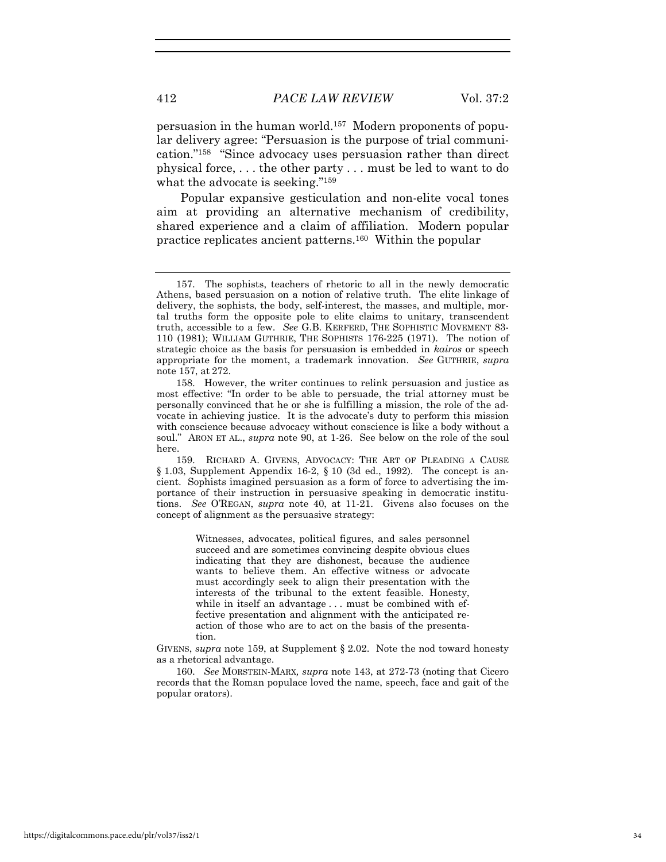412 *PACE LAW REVIEW* Vol. 37:2

persuasion in the human world.157 Modern proponents of popular delivery agree: "Persuasion is the purpose of trial communication."158 "Since advocacy uses persuasion rather than direct physical force, . . . the other party . . . must be led to want to do what the advocate is seeking."159

Popular expansive gesticulation and non-elite vocal tones aim at providing an alternative mechanism of credibility, shared experience and a claim of affiliation. Modern popular practice replicates ancient patterns.160 Within the popular

Witnesses, advocates, political figures, and sales personnel succeed and are sometimes convincing despite obvious clues indicating that they are dishonest, because the audience wants to believe them. An effective witness or advocate must accordingly seek to align their presentation with the interests of the tribunal to the extent feasible. Honesty, while in itself an advantage . . . must be combined with effective presentation and alignment with the anticipated reaction of those who are to act on the basis of the presentation.

GIVENS, *supra* note 159, at Supplement § 2.02. Note the nod toward honesty as a rhetorical advantage.

160. *See* MORSTEIN-MARX*, supra* note 143, at 272-73 (noting that Cicero records that the Roman populace loved the name, speech, face and gait of the popular orators).

<sup>157.</sup> The sophists, teachers of rhetoric to all in the newly democratic Athens, based persuasion on a notion of relative truth. The elite linkage of delivery, the sophists, the body, self-interest, the masses, and multiple, mortal truths form the opposite pole to elite claims to unitary, transcendent truth, accessible to a few. *See* G.B. KERFERD, THE SOPHISTIC MOVEMENT 83- 110 (1981); WILLIAM GUTHRIE, THE SOPHISTS 176-225 (1971). The notion of strategic choice as the basis for persuasion is embedded in *kairos* or speech appropriate for the moment, a trademark innovation. *See* GUTHRIE, *supra*  note 157, at 272.

<sup>158.</sup> However, the writer continues to relink persuasion and justice as most effective: "In order to be able to persuade, the trial attorney must be personally convinced that he or she is fulfilling a mission, the role of the advocate in achieving justice. It is the advocate's duty to perform this mission with conscience because advocacy without conscience is like a body without a soul." ARON ET AL., *supra* note 90, at 1-26. See below on the role of the soul here.

<sup>159.</sup> RICHARD A. GIVENS, ADVOCACY: THE ART OF PLEADING A CAUSE  $§ 1.03$ , Supplement Appendix 16-2, § 10 (3d ed., 1992). The concept is ancient. Sophists imagined persuasion as a form of force to advertising the importance of their instruction in persuasive speaking in democratic institutions. *See* O'REGAN, *supra* note 40, at 11-21. Givens also focuses on the concept of alignment as the persuasive strategy: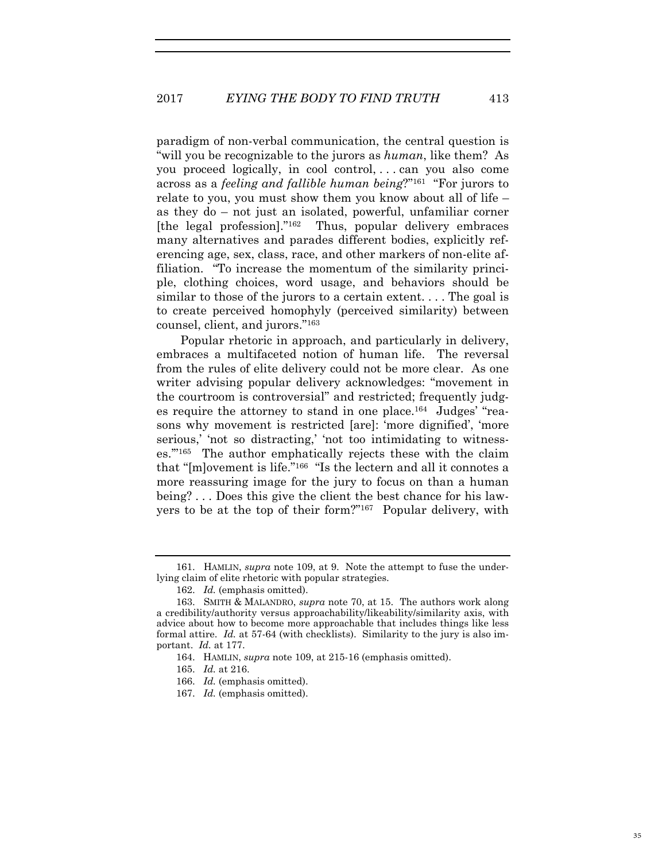paradigm of non-verbal communication, the central question is "will you be recognizable to the jurors as *human*, like them? As you proceed logically, in cool control, . . . can you also come across as a *feeling and fallible human being*?"161 "For jurors to relate to you, you must show them you know about all of life – as they do – not just an isolated, powerful, unfamiliar corner [the legal profession]."162 Thus, popular delivery embraces many alternatives and parades different bodies, explicitly referencing age, sex, class, race, and other markers of non-elite affiliation. "To increase the momentum of the similarity principle, clothing choices, word usage, and behaviors should be similar to those of the jurors to a certain extent. . . . The goal is to create perceived homophyly (perceived similarity) between counsel, client, and jurors."163

Popular rhetoric in approach, and particularly in delivery, embraces a multifaceted notion of human life. The reversal from the rules of elite delivery could not be more clear. As one writer advising popular delivery acknowledges: "movement in the courtroom is controversial" and restricted; frequently judges require the attorney to stand in one place.164 Judges' "reasons why movement is restricted [are]: 'more dignified', 'more serious,' 'not so distracting,' 'not too intimidating to witnesses.'"165 The author emphatically rejects these with the claim that "[m]ovement is life."166 "Is the lectern and all it connotes a more reassuring image for the jury to focus on than a human being? . . . Does this give the client the best chance for his lawyers to be at the top of their form?"167 Popular delivery, with

<sup>161.</sup> HAMLIN, *supra* note 109, at 9. Note the attempt to fuse the underlying claim of elite rhetoric with popular strategies.

<sup>162.</sup> *Id.* (emphasis omitted).

<sup>163.</sup> SMITH & MALANDRO, *supra* note 70, at 15. The authors work along a credibility/authority versus approachability/likeability/similarity axis, with advice about how to become more approachable that includes things like less formal attire. *Id.* at 57-64 (with checklists). Similarity to the jury is also important. *Id.* at 177.

<sup>164.</sup> HAMLIN, *supra* note 109, at 215-16 (emphasis omitted).

<sup>165.</sup> *Id.* at 216.

<sup>166.</sup> *Id.* (emphasis omitted).

<sup>167.</sup> *Id.* (emphasis omitted).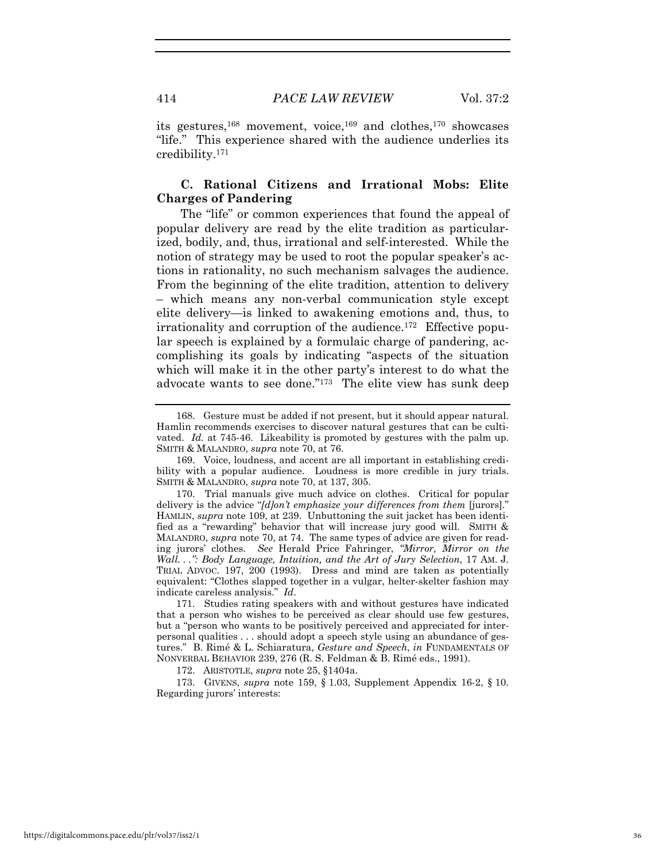its gestures,168 movement, voice,169 and clothes,170 showcases "life." This experience shared with the audience underlies its credibility.171

### **C. Rational Citizens and Irrational Mobs: Elite Charges of Pandering**

The "life" or common experiences that found the appeal of popular delivery are read by the elite tradition as particularized, bodily, and, thus, irrational and self-interested. While the notion of strategy may be used to root the popular speaker's actions in rationality, no such mechanism salvages the audience. From the beginning of the elite tradition, attention to delivery – which means any non-verbal communication style except elite delivery—is linked to awakening emotions and, thus, to irrationality and corruption of the audience.172 Effective popular speech is explained by a formulaic charge of pandering, accomplishing its goals by indicating "aspects of the situation which will make it in the other party's interest to do what the advocate wants to see done."173 The elite view has sunk deep

172. ARISTOTLE, *supra* note 25, §1404a.

173. GIVENS, *supra* note 159, § 1.03, Supplement Appendix 16-2, § 10. Regarding jurors' interests:

<sup>168.</sup> Gesture must be added if not present, but it should appear natural. Hamlin recommends exercises to discover natural gestures that can be cultivated. *Id.* at 745-46. Likeability is promoted by gestures with the palm up. SMITH & MALANDRO, *supra* note 70, at 76.

<sup>169.</sup> Voice, loudness, and accent are all important in establishing credibility with a popular audience. Loudness is more credible in jury trials. SMITH & MALANDRO, *supra* note 70, at 137, 305.

<sup>170.</sup> Trial manuals give much advice on clothes. Critical for popular delivery is the advice "*[d]on't emphasize your differences from them* [jurors]." HAMLIN, *supra* note 109, at 239. Unbuttoning the suit jacket has been identified as a "rewarding" behavior that will increase jury good will. SMITH & MALANDRO, *supra* note 70, at 74. The same types of advice are given for reading jurors' clothes. *See* Herald Price Fahringer, *"Mirror, Mirror on the Wall. . .": Body Language, Intuition, and the Art of Jury Selection*, 17 AM. J. TRIAL ADVOC. 197, 200 (1993). Dress and mind are taken as potentially equivalent: "Clothes slapped together in a vulgar, helter-skelter fashion may indicate careless analysis." *Id*.

<sup>171.</sup> Studies rating speakers with and without gestures have indicated that a person who wishes to be perceived as clear should use few gestures, but a "person who wants to be positively perceived and appreciated for interpersonal qualities . . . should adopt a speech style using an abundance of gestures." B. Rimé & L. Schiaratura, *Gesture and Speech*, *in* FUNDAMENTALS OF NONVERBAL BEHAVIOR 239, 276 (R. S. Feldman & B. Rimé eds., 1991).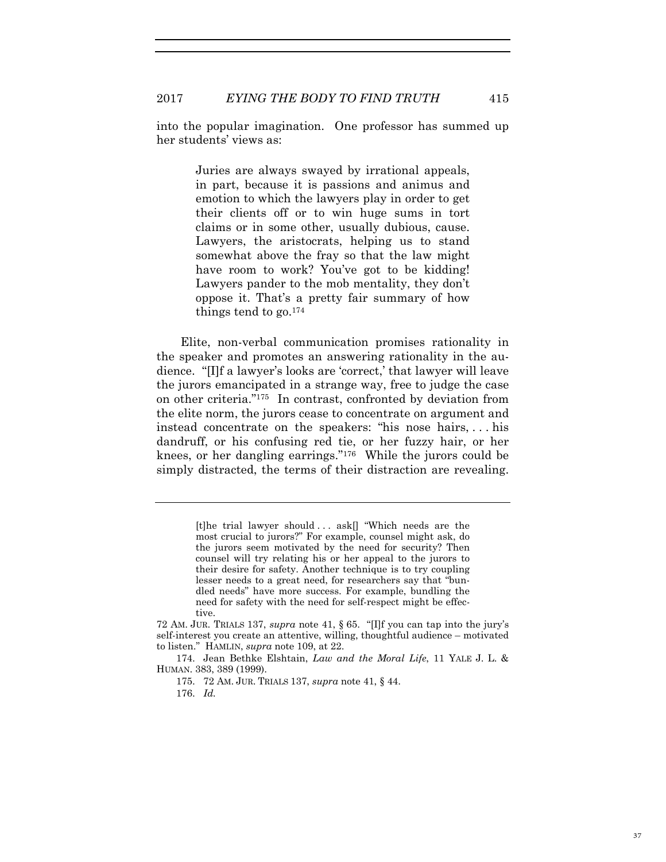into the popular imagination. One professor has summed up her students' views as:

> Juries are always swayed by irrational appeals, in part, because it is passions and animus and emotion to which the lawyers play in order to get their clients off or to win huge sums in tort claims or in some other, usually dubious, cause. Lawyers, the aristocrats, helping us to stand somewhat above the fray so that the law might have room to work? You've got to be kidding! Lawyers pander to the mob mentality, they don't oppose it. That's a pretty fair summary of how things tend to go. $174$

Elite, non-verbal communication promises rationality in the speaker and promotes an answering rationality in the audience. "[I]f a lawyer's looks are 'correct,' that lawyer will leave the jurors emancipated in a strange way, free to judge the case on other criteria."175 In contrast, confronted by deviation from the elite norm, the jurors cease to concentrate on argument and instead concentrate on the speakers: "his nose hairs, . . . his dandruff, or his confusing red tie, or her fuzzy hair, or her knees, or her dangling earrings."176 While the jurors could be simply distracted, the terms of their distraction are revealing.

> [t]he trial lawyer should . . . ask[] "Which needs are the most crucial to jurors?" For example, counsel might ask, do the jurors seem motivated by the need for security? Then counsel will try relating his or her appeal to the jurors to their desire for safety. Another technique is to try coupling lesser needs to a great need, for researchers say that "bundled needs" have more success. For example, bundling the need for safety with the need for self-respect might be effective.

<sup>72</sup> AM. JUR. TRIALS 137, *supra* note 41, § 65. "[I]f you can tap into the jury's self-interest you create an attentive, willing, thoughtful audience – motivated to listen." HAMLIN, *supra* note 109, at 22.

<sup>174.</sup> Jean Bethke Elshtain, *Law and the Moral Life*, 11 YALE J. L. & HUMAN. 383, 389 (1999).

<sup>175. 72</sup> AM. JUR. TRIALS 137, *supra* note 41, § 44.

<sup>176.</sup> *Id.*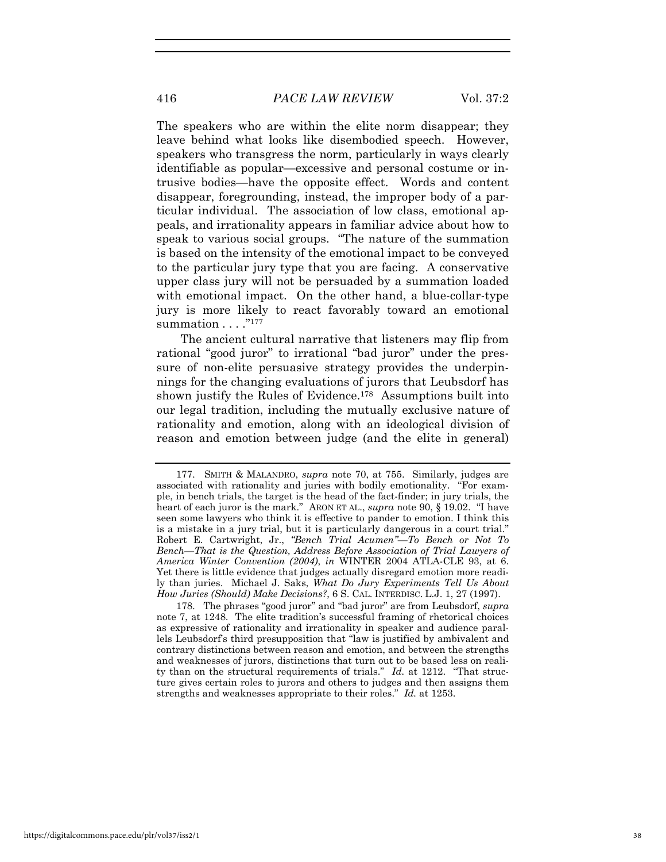The speakers who are within the elite norm disappear; they leave behind what looks like disembodied speech. However, speakers who transgress the norm, particularly in ways clearly identifiable as popular—excessive and personal costume or intrusive bodies—have the opposite effect. Words and content disappear, foregrounding, instead, the improper body of a particular individual. The association of low class, emotional appeals, and irrationality appears in familiar advice about how to speak to various social groups. "The nature of the summation is based on the intensity of the emotional impact to be conveyed to the particular jury type that you are facing. A conservative upper class jury will not be persuaded by a summation loaded with emotional impact. On the other hand, a blue-collar-type jury is more likely to react favorably toward an emotional summation  $\dots$ ."177

The ancient cultural narrative that listeners may flip from rational "good juror" to irrational "bad juror" under the pressure of non-elite persuasive strategy provides the underpinnings for the changing evaluations of jurors that Leubsdorf has shown justify the Rules of Evidence.178 Assumptions built into our legal tradition, including the mutually exclusive nature of rationality and emotion, along with an ideological division of reason and emotion between judge (and the elite in general)

178. The phrases "good juror" and "bad juror" are from Leubsdorf, *supra* note 7, at 1248. The elite tradition's successful framing of rhetorical choices as expressive of rationality and irrationality in speaker and audience parallels Leubsdorf's third presupposition that "law is justified by ambivalent and contrary distinctions between reason and emotion, and between the strengths and weaknesses of jurors, distinctions that turn out to be based less on reality than on the structural requirements of trials." *Id.* at 1212. "That structure gives certain roles to jurors and others to judges and then assigns them strengths and weaknesses appropriate to their roles." *Id.* at 1253.

<sup>177.</sup> SMITH & MALANDRO, *supra* note 70, at 755. Similarly, judges are associated with rationality and juries with bodily emotionality. "For example, in bench trials, the target is the head of the fact-finder; in jury trials, the heart of each juror is the mark." ARON ET AL., *supra* note 90, § 19.02. "I have seen some lawyers who think it is effective to pander to emotion. I think this is a mistake in a jury trial, but it is particularly dangerous in a court trial." Robert E. Cartwright, Jr., *"Bench Trial Acumen"—To Bench or Not To Bench—That is the Question, Address Before Association of Trial Lawyers of America Winter Convention (2004)*, *in* WINTER 2004 ATLA-CLE 93, at 6. Yet there is little evidence that judges actually disregard emotion more readily than juries. Michael J. Saks, *What Do Jury Experiments Tell Us About How Juries (Should) Make Decisions?*, 6 S. CAL. INTERDISC. L.J. 1, 27 (1997).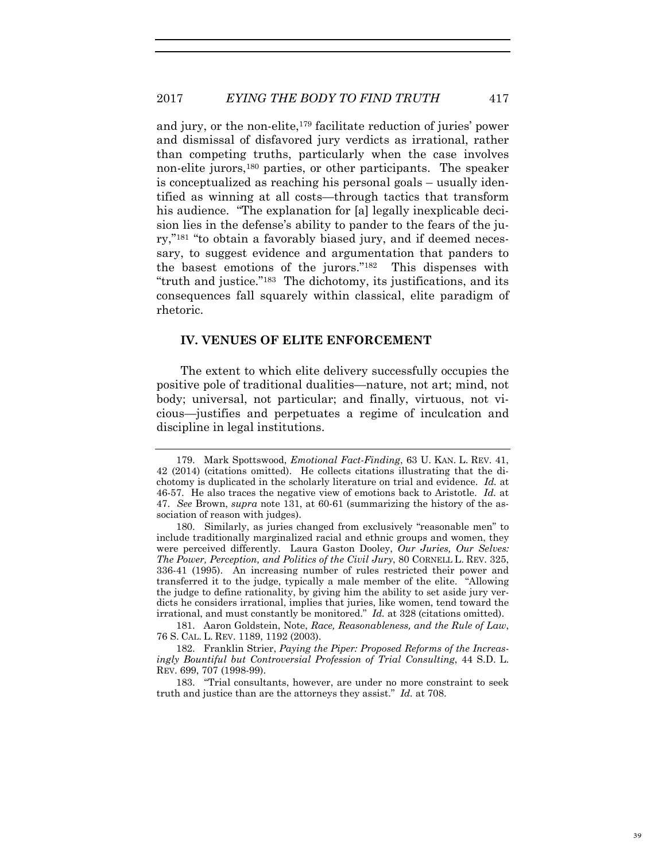and jury, or the non-elite,179 facilitate reduction of juries' power and dismissal of disfavored jury verdicts as irrational, rather than competing truths, particularly when the case involves non-elite jurors,180 parties, or other participants. The speaker is conceptualized as reaching his personal goals – usually identified as winning at all costs—through tactics that transform his audience. "The explanation for [a] legally inexplicable decision lies in the defense's ability to pander to the fears of the jury,"181 "to obtain a favorably biased jury, and if deemed necessary, to suggest evidence and argumentation that panders to the basest emotions of the jurors."182 This dispenses with "truth and justice."183 The dichotomy, its justifications, and its consequences fall squarely within classical, elite paradigm of rhetoric.

## **IV. VENUES OF ELITE ENFORCEMENT**

The extent to which elite delivery successfully occupies the positive pole of traditional dualities—nature, not art; mind, not body; universal, not particular; and finally, virtuous, not vicious—justifies and perpetuates a regime of inculcation and discipline in legal institutions.

181. Aaron Goldstein, Note, *Race, Reasonableness, and the Rule of Law*, 76 S. CAL. L. REV. 1189, 1192 (2003).

182. Franklin Strier, *Paying the Piper: Proposed Reforms of the Increasingly Bountiful but Controversial Profession of Trial Consulting*, 44 S.D. L. REV. 699, 707 (1998-99).

<sup>179.</sup> Mark Spottswood, *Emotional Fact-Finding*, 63 U. KAN. L. REV. 41, 42 (2014) (citations omitted). He collects citations illustrating that the dichotomy is duplicated in the scholarly literature on trial and evidence. *Id.* at 46-57. He also traces the negative view of emotions back to Aristotle. *Id.* at 47. *See* Brown, *supra* note 131, at 60-61 (summarizing the history of the association of reason with judges).

<sup>180.</sup> Similarly, as juries changed from exclusively "reasonable men" to include traditionally marginalized racial and ethnic groups and women, they were perceived differently. Laura Gaston Dooley, *Our Juries, Our Selves: The Power, Perception, and Politics of the Civil Jury*, 80 CORNELL L. REV. 325, 336-41 (1995). An increasing number of rules restricted their power and transferred it to the judge, typically a male member of the elite. "Allowing the judge to define rationality, by giving him the ability to set aside jury verdicts he considers irrational, implies that juries, like women, tend toward the irrational, and must constantly be monitored." *Id.* at 328 (citations omitted).

<sup>183. &</sup>quot;Trial consultants, however, are under no more constraint to seek truth and justice than are the attorneys they assist." *Id.* at 708.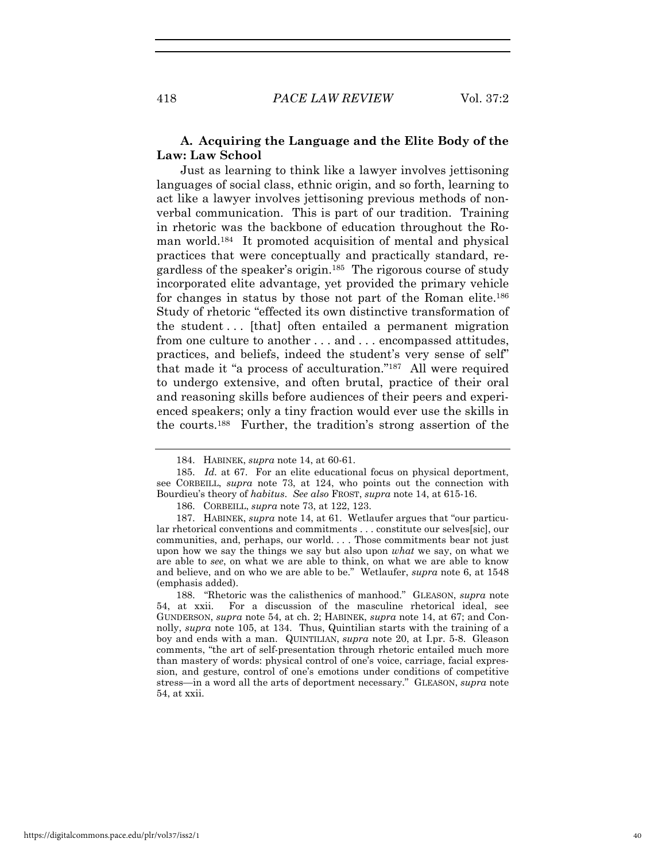### **A. Acquiring the Language and the Elite Body of the Law: Law School**

Just as learning to think like a lawyer involves jettisoning languages of social class, ethnic origin, and so forth, learning to act like a lawyer involves jettisoning previous methods of nonverbal communication. This is part of our tradition. Training in rhetoric was the backbone of education throughout the Roman world.184 It promoted acquisition of mental and physical practices that were conceptually and practically standard, regardless of the speaker's origin.185 The rigorous course of study incorporated elite advantage, yet provided the primary vehicle for changes in status by those not part of the Roman elite.<sup>186</sup> Study of rhetoric "effected its own distinctive transformation of the student ... [that] often entailed a permanent migration from one culture to another . . . and . . . encompassed attitudes, practices, and beliefs, indeed the student's very sense of self" that made it "a process of acculturation."187 All were required to undergo extensive, and often brutal, practice of their oral and reasoning skills before audiences of their peers and experienced speakers; only a tiny fraction would ever use the skills in the courts.188 Further, the tradition's strong assertion of the

<sup>184.</sup> HABINEK, *supra* note 14, at 60-61.

<sup>185.</sup> *Id.* at 67. For an elite educational focus on physical deportment, see CORBEILL, *supra* note 73, at 124, who points out the connection with Bourdieu's theory of *habitus*. *See also* FROST, *supra* note 14, at 615-16.

<sup>186.</sup> CORBEILL, *supra* note 73, at 122, 123.

<sup>187.</sup> HABINEK, *supra* note 14, at 61. Wetlaufer argues that "our particular rhetorical conventions and commitments . . . constitute our selves[sic], our communities, and, perhaps, our world. . . . Those commitments bear not just upon how we say the things we say but also upon *what* we say, on what we are able to *see*, on what we are able to think, on what we are able to know and believe, and on who we are able to be." Wetlaufer, *supra* note 6, at 1548 (emphasis added).

<sup>188. &</sup>quot;Rhetoric was the calisthenics of manhood." GLEASON, *supra* note 54, at xxii. For a discussion of the masculine rhetorical ideal, see GUNDERSON, *supra* note 54, at ch. 2; HABINEK, *supra* note 14, at 67; and Connolly, *supra* note 105, at 134. Thus, Quintilian starts with the training of a boy and ends with a man. QUINTILIAN, *supra* note 20, at I.pr. 5-8. Gleason comments, "the art of self-presentation through rhetoric entailed much more than mastery of words: physical control of one's voice, carriage, facial expression, and gesture, control of one's emotions under conditions of competitive stress—in a word all the arts of deportment necessary." GLEASON, *supra* note 54, at xxii.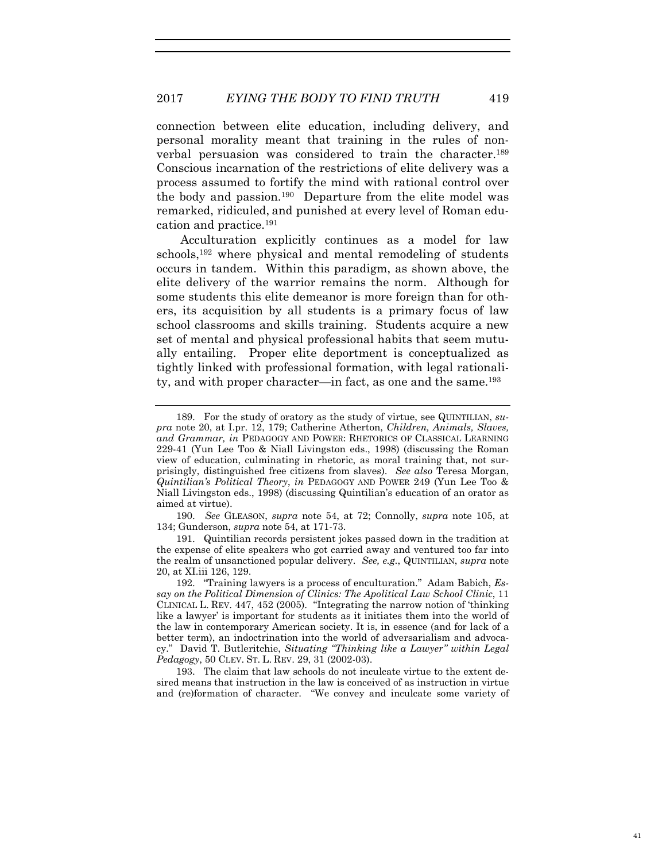connection between elite education, including delivery, and personal morality meant that training in the rules of nonverbal persuasion was considered to train the character.189 Conscious incarnation of the restrictions of elite delivery was a process assumed to fortify the mind with rational control over the body and passion.190 Departure from the elite model was remarked, ridiculed, and punished at every level of Roman education and practice.191

Acculturation explicitly continues as a model for law schools,<sup>192</sup> where physical and mental remodeling of students occurs in tandem. Within this paradigm, as shown above, the elite delivery of the warrior remains the norm. Although for some students this elite demeanor is more foreign than for others, its acquisition by all students is a primary focus of law school classrooms and skills training. Students acquire a new set of mental and physical professional habits that seem mutually entailing. Proper elite deportment is conceptualized as tightly linked with professional formation, with legal rationality, and with proper character—in fact, as one and the same.193

41

<sup>189.</sup> For the study of oratory as the study of virtue, see QUINTILIAN, *supra* note 20, at I.pr. 12, 179; Catherine Atherton, *Children, Animals, Slaves, and Grammar, in* PEDAGOGY AND POWER: RHETORICS OF CLASSICAL LEARNING 229-41 (Yun Lee Too & Niall Livingston eds., 1998) (discussing the Roman view of education, culminating in rhetoric, as moral training that, not surprisingly, distinguished free citizens from slaves). *See also* Teresa Morgan, *Quintilian's Political Theory*, *in* PEDAGOGY AND POWER 249 (Yun Lee Too & Niall Livingston eds., 1998) (discussing Quintilian's education of an orator as aimed at virtue).

<sup>190.</sup> *See* GLEASON, *supra* note 54, at 72; Connolly, *supra* note 105, at 134; Gunderson, *supra* note 54, at 171-73.

<sup>191.</sup> Quintilian records persistent jokes passed down in the tradition at the expense of elite speakers who got carried away and ventured too far into the realm of unsanctioned popular delivery. *See, e.g.*, QUINTILIAN, *supra* note 20, at XI.iii 126, 129.

<sup>192. &</sup>quot;Training lawyers is a process of enculturation." Adam Babich, *Essay on the Political Dimension of Clinics: The Apolitical Law School Clinic*, 11 CLINICAL L. REV. 447, 452 (2005). "Integrating the narrow notion of 'thinking like a lawyer' is important for students as it initiates them into the world of the law in contemporary American society. It is, in essence (and for lack of a better term), an indoctrination into the world of adversarialism and advocacy." David T. Butleritchie, *Situating "Thinking like a Lawyer" within Legal Pedagogy*, 50 CLEV. ST. L. REV. 29, 31 (2002-03).

<sup>193.</sup> The claim that law schools do not inculcate virtue to the extent desired means that instruction in the law is conceived of as instruction in virtue and (re)formation of character. "We convey and inculcate some variety of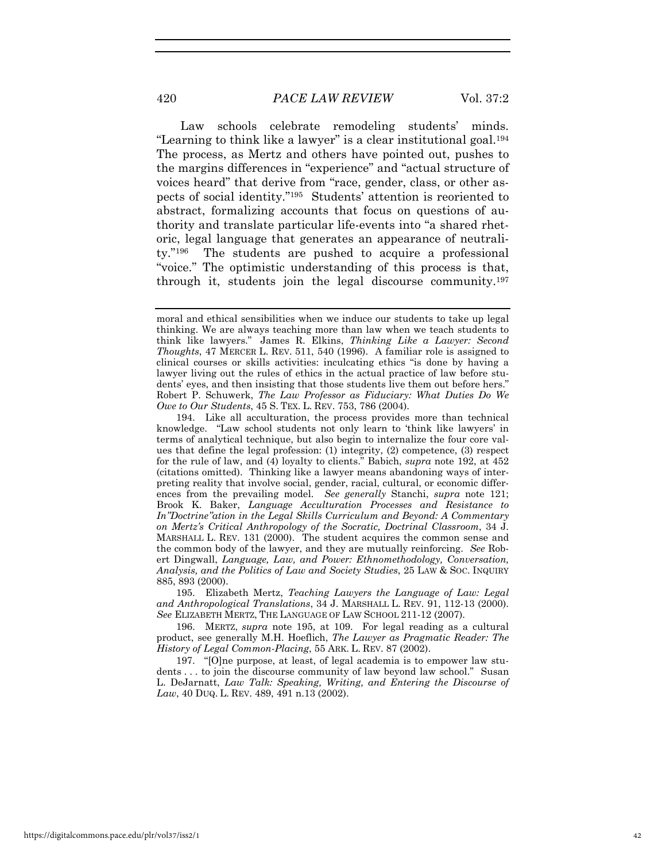Law schools celebrate remodeling students' minds. "Learning to think like a lawyer" is a clear institutional goal.194 The process, as Mertz and others have pointed out, pushes to the margins differences in "experience" and "actual structure of voices heard" that derive from "race, gender, class, or other aspects of social identity."195 Students' attention is reoriented to abstract, formalizing accounts that focus on questions of authority and translate particular life-events into "a shared rhetoric, legal language that generates an appearance of neutrality."196 The students are pushed to acquire a professional "voice." The optimistic understanding of this process is that, through it, students join the legal discourse community.197

195. Elizabeth Mertz, *Teaching Lawyers the Language of Law: Legal and Anthropological Translations*, 34 J. MARSHALL L. REV. 91, 112-13 (2000). *See* ELIZABETH MERTZ, THE LANGUAGE OF LAW SCHOOL 211-12 (2007).

196. MERTZ, *supra* note 195, at 109. For legal reading as a cultural product, see generally M.H. Hoeflich, *The Lawyer as Pragmatic Reader: The History of Legal Common-Placing*, 55 ARK. L. REV. 87 (2002).

197. "[O]ne purpose, at least, of legal academia is to empower law students . . . to join the discourse community of law beyond law school." Susan L. DeJarnatt, *Law Talk: Speaking, Writing, and Entering the Discourse of Law*, 40 DUQ. L. REV. 489, 491 n.13 (2002).

moral and ethical sensibilities when we induce our students to take up legal thinking. We are always teaching more than law when we teach students to think like lawyers." James R. Elkins, *Thinking Like a Lawyer: Second Thoughts*, 47 MERCER L. REV. 511, 540 (1996). A familiar role is assigned to clinical courses or skills activities: inculcating ethics "is done by having a lawyer living out the rules of ethics in the actual practice of law before students' eyes, and then insisting that those students live them out before hers." Robert P. Schuwerk, *The Law Professor as Fiduciary: What Duties Do We Owe to Our Students*, 45 S. TEX. L. REV. 753, 786 (2004).

<sup>194.</sup> Like all acculturation, the process provides more than technical knowledge. "Law school students not only learn to 'think like lawyers' in terms of analytical technique, but also begin to internalize the four core values that define the legal profession: (1) integrity, (2) competence, (3) respect for the rule of law, and (4) loyalty to clients." Babich, *supra* note 192, at 452 (citations omitted). Thinking like a lawyer means abandoning ways of interpreting reality that involve social, gender, racial, cultural, or economic differences from the prevailing model. *See generally* Stanchi, *supra* note 121; Brook K. Baker, *Language Acculturation Processes and Resistance to In"Doctrine"ation in the Legal Skills Curriculum and Beyond: A Commentary on Mertz's Critical Anthropology of the Socratic, Doctrinal Classroom*, 34 J. MARSHALL L. REV. 131 (2000). The student acquires the common sense and the common body of the lawyer, and they are mutually reinforcing. *See* Robert Dingwall, *Language, Law, and Power: Ethnomethodology, Conversation, Analysis, and the Politics of Law and Society Studies*, 25 LAW & SOC. INQUIRY 885, 893 (2000).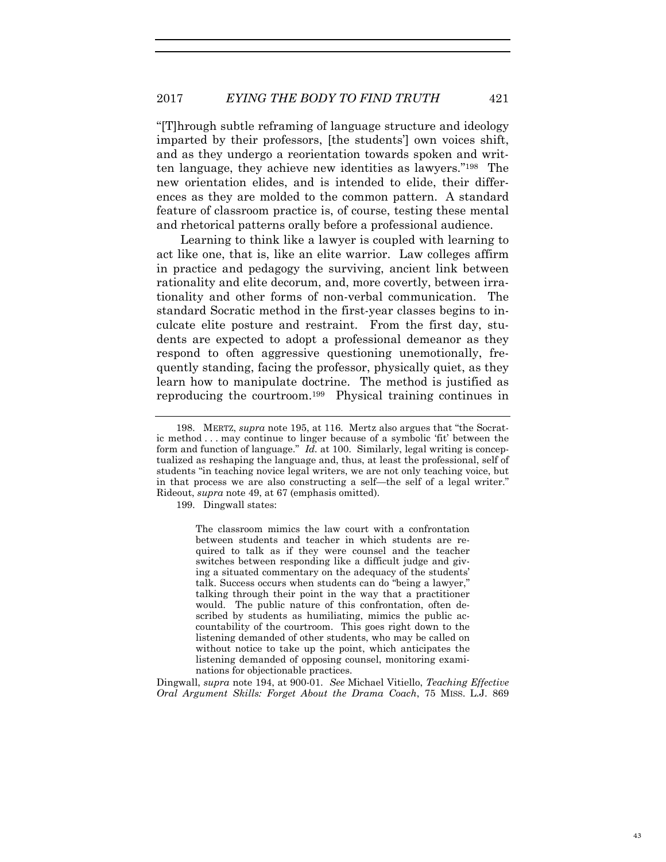"[T]hrough subtle reframing of language structure and ideology imparted by their professors, [the students'] own voices shift, and as they undergo a reorientation towards spoken and written language, they achieve new identities as lawyers."198 The new orientation elides, and is intended to elide, their differences as they are molded to the common pattern. A standard feature of classroom practice is, of course, testing these mental and rhetorical patterns orally before a professional audience.

Learning to think like a lawyer is coupled with learning to act like one, that is, like an elite warrior. Law colleges affirm in practice and pedagogy the surviving, ancient link between rationality and elite decorum, and, more covertly, between irrationality and other forms of non-verbal communication. The standard Socratic method in the first-year classes begins to inculcate elite posture and restraint. From the first day, students are expected to adopt a professional demeanor as they respond to often aggressive questioning unemotionally, frequently standing, facing the professor, physically quiet, as they learn how to manipulate doctrine. The method is justified as reproducing the courtroom.199 Physical training continues in

199. Dingwall states:

The classroom mimics the law court with a confrontation between students and teacher in which students are required to talk as if they were counsel and the teacher switches between responding like a difficult judge and giving a situated commentary on the adequacy of the students' talk. Success occurs when students can do "being a lawyer," talking through their point in the way that a practitioner would. The public nature of this confrontation, often described by students as humiliating, mimics the public accountability of the courtroom. This goes right down to the listening demanded of other students, who may be called on without notice to take up the point, which anticipates the listening demanded of opposing counsel, monitoring examinations for objectionable practices.

Dingwall, *supra* note 194, at 900-01. *See* Michael Vitiello, *Teaching Effective Oral Argument Skills: Forget About the Drama Coach*, 75 MISS. L.J. 869

43

<sup>198.</sup> MERTZ, *supra* note 195, at 116. Mertz also argues that "the Socratic method . . . may continue to linger because of a symbolic 'fit' between the form and function of language." *Id.* at 100. Similarly, legal writing is conceptualized as reshaping the language and, thus, at least the professional, self of students "in teaching novice legal writers, we are not only teaching voice, but in that process we are also constructing a self—the self of a legal writer." Rideout, *supra* note 49, at 67 (emphasis omitted).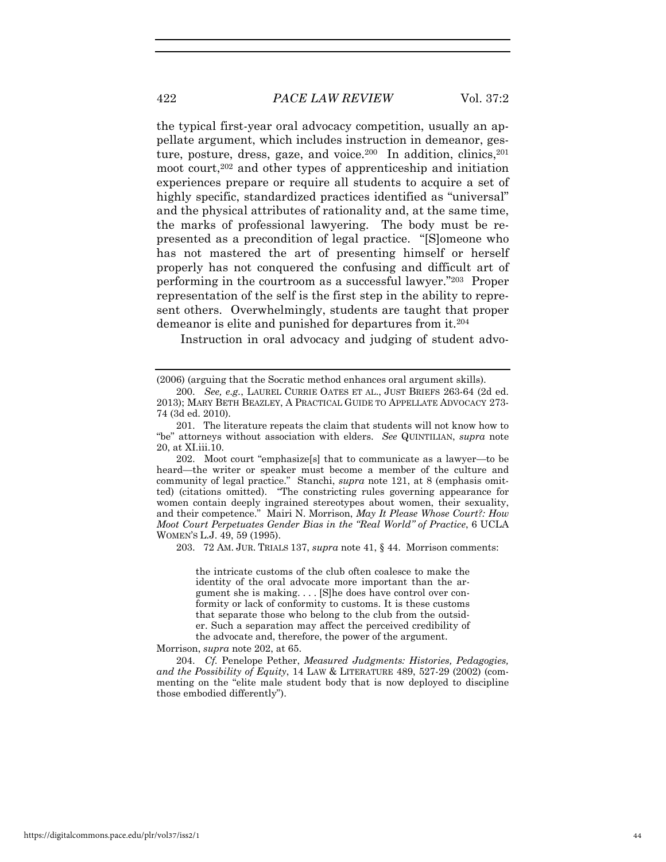the typical first-year oral advocacy competition, usually an appellate argument, which includes instruction in demeanor, gesture, posture, dress, gaze, and voice.<sup>200</sup> In addition, clinics,  $201$ moot court,202 and other types of apprenticeship and initiation experiences prepare or require all students to acquire a set of highly specific, standardized practices identified as "universal" and the physical attributes of rationality and, at the same time, the marks of professional lawyering. The body must be represented as a precondition of legal practice. "[S]omeone who has not mastered the art of presenting himself or herself properly has not conquered the confusing and difficult art of performing in the courtroom as a successful lawyer."203 Proper representation of the self is the first step in the ability to represent others. Overwhelmingly, students are taught that proper demeanor is elite and punished for departures from it.204

Instruction in oral advocacy and judging of student advo-

202. Moot court "emphasize[s] that to communicate as a lawyer—to be heard—the writer or speaker must become a member of the culture and community of legal practice." Stanchi, *supra* note 121, at 8 (emphasis omitted) (citations omitted). "The constricting rules governing appearance for women contain deeply ingrained stereotypes about women, their sexuality, and their competence." Mairi N. Morrison, *May It Please Whose Court?: How Moot Court Perpetuates Gender Bias in the "Real World" of Practice*, 6 UCLA WOMEN'S L.J. 49, 59 (1995).

203. 72 AM. JUR. TRIALS 137, *supra* note 41, § 44. Morrison comments:

the intricate customs of the club often coalesce to make the identity of the oral advocate more important than the argument she is making. . . . [S]he does have control over conformity or lack of conformity to customs. It is these customs that separate those who belong to the club from the outsider. Such a separation may affect the perceived credibility of the advocate and, therefore, the power of the argument.

Morrison, *supra* note 202, at 65.

204. *Cf.* Penelope Pether, *Measured Judgments: Histories, Pedagogies, and the Possibility of Equity*, 14 LAW & LITERATURE 489, 527-29 (2002) (commenting on the "elite male student body that is now deployed to discipline those embodied differently").

<sup>(2006) (</sup>arguing that the Socratic method enhances oral argument skills).

<sup>200.</sup> *See, e.g.*, LAUREL CURRIE OATES ET AL., JUST BRIEFS 263-64 (2d ed. 2013); MARY BETH BEAZLEY, A PRACTICAL GUIDE TO APPELLATE ADVOCACY 273- 74 (3d ed. 2010).

<sup>201.</sup> The literature repeats the claim that students will not know how to "be" attorneys without association with elders. *See* QUINTILIAN, *supra* note 20, at XI.iii.10.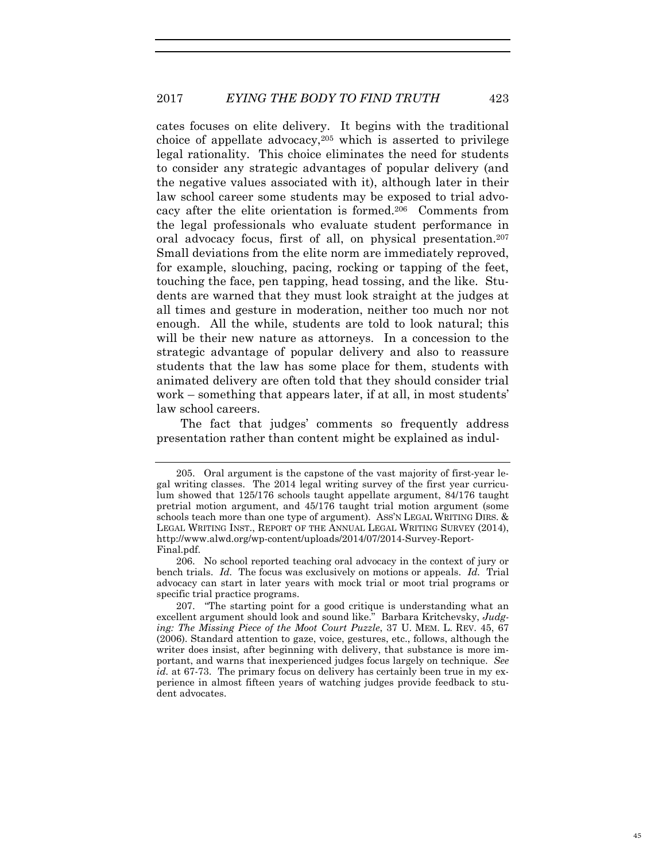### 2017 *EYING THE BODY TO FIND TRUTH* 423

cates focuses on elite delivery. It begins with the traditional choice of appellate advocacy,  $205$  which is asserted to privilege legal rationality. This choice eliminates the need for students to consider any strategic advantages of popular delivery (and the negative values associated with it), although later in their law school career some students may be exposed to trial advocacy after the elite orientation is formed.206 Comments from the legal professionals who evaluate student performance in oral advocacy focus, first of all, on physical presentation.207 Small deviations from the elite norm are immediately reproved, for example, slouching, pacing, rocking or tapping of the feet, touching the face, pen tapping, head tossing, and the like. Students are warned that they must look straight at the judges at all times and gesture in moderation, neither too much nor not enough. All the while, students are told to look natural; this will be their new nature as attorneys. In a concession to the strategic advantage of popular delivery and also to reassure students that the law has some place for them, students with animated delivery are often told that they should consider trial work – something that appears later, if at all, in most students' law school careers.

The fact that judges' comments so frequently address presentation rather than content might be explained as indul-

<sup>205.</sup> Oral argument is the capstone of the vast majority of first-year legal writing classes. The 2014 legal writing survey of the first year curriculum showed that 125/176 schools taught appellate argument, 84/176 taught pretrial motion argument, and 45/176 taught trial motion argument (some schools teach more than one type of argument). ASS'N LEGAL WRITING DIRS. & LEGAL WRITING INST., REPORT OF THE ANNUAL LEGAL WRITING SURVEY (2014), http://www.alwd.org/wp-content/uploads/2014/07/2014-Survey-Report-Final.pdf.

<sup>206.</sup> No school reported teaching oral advocacy in the context of jury or bench trials. *Id.* The focus was exclusively on motions or appeals. *Id.* Trial advocacy can start in later years with mock trial or moot trial programs or specific trial practice programs.

<sup>207. &</sup>quot;The starting point for a good critique is understanding what an excellent argument should look and sound like." Barbara Kritchevsky, *Judging: The Missing Piece of the Moot Court Puzzle*, 37 U. MEM. L. REV. 45, 67 (2006). Standard attention to gaze, voice, gestures, etc., follows, although the writer does insist, after beginning with delivery, that substance is more important, and warns that inexperienced judges focus largely on technique. *See id.* at 67-73. The primary focus on delivery has certainly been true in my experience in almost fifteen years of watching judges provide feedback to student advocates.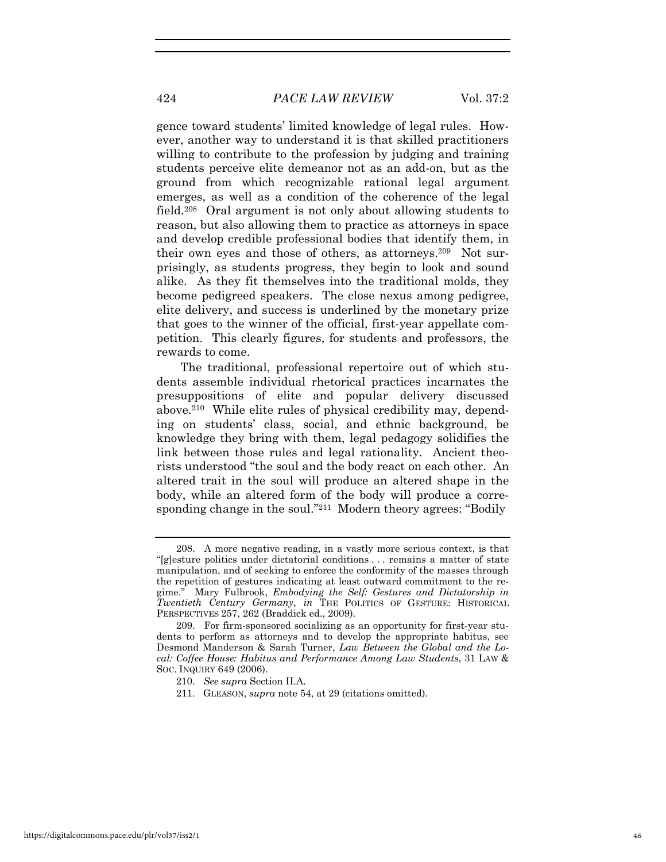gence toward students' limited knowledge of legal rules. However, another way to understand it is that skilled practitioners willing to contribute to the profession by judging and training students perceive elite demeanor not as an add-on, but as the ground from which recognizable rational legal argument emerges, as well as a condition of the coherence of the legal field.208 Oral argument is not only about allowing students to reason, but also allowing them to practice as attorneys in space and develop credible professional bodies that identify them, in their own eyes and those of others, as attorneys.209 Not surprisingly, as students progress, they begin to look and sound alike. As they fit themselves into the traditional molds, they become pedigreed speakers. The close nexus among pedigree, elite delivery, and success is underlined by the monetary prize that goes to the winner of the official, first-year appellate competition. This clearly figures, for students and professors, the rewards to come.

The traditional, professional repertoire out of which students assemble individual rhetorical practices incarnates the presuppositions of elite and popular delivery discussed above.210 While elite rules of physical credibility may, depending on students' class, social, and ethnic background, be knowledge they bring with them, legal pedagogy solidifies the link between those rules and legal rationality. Ancient theorists understood "the soul and the body react on each other. An altered trait in the soul will produce an altered shape in the body, while an altered form of the body will produce a corresponding change in the soul."<sup>211</sup> Modern theory agrees: "Bodily"

<sup>208.</sup> A more negative reading, in a vastly more serious context, is that "[g]esture politics under dictatorial conditions . . . remains a matter of state manipulation, and of seeking to enforce the conformity of the masses through the repetition of gestures indicating at least outward commitment to the regime." Mary Fulbrook, *Embodying the Self: Gestures and Dictatorship in Twentieth Century Germany*, *in* THE POLITICS OF GESTURE: HISTORICAL PERSPECTIVES 257, 262 (Braddick ed., 2009).

<sup>209.</sup> For firm-sponsored socializing as an opportunity for first-year students to perform as attorneys and to develop the appropriate habitus, see Desmond Manderson & Sarah Turner, *Law Between the Global and the Local: Coffee House: Habitus and Performance Among Law Students*, 31 LAW & SOC. INQUIRY 649 (2006).

<sup>210.</sup> *See supra* Section II.A.

<sup>211.</sup> GLEASON, *supra* note 54, at 29 (citations omitted).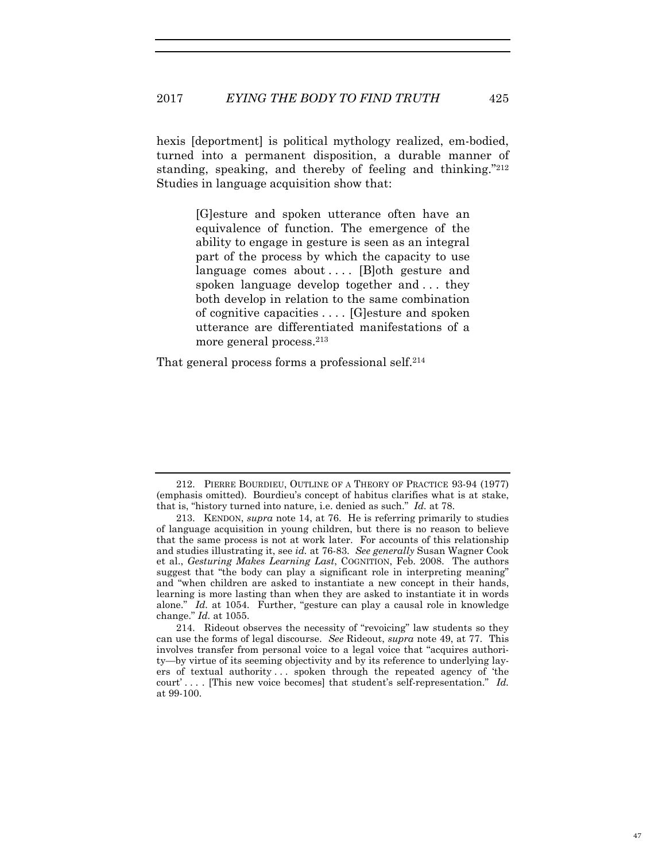hexis [deportment] is political mythology realized, em-bodied, turned into a permanent disposition, a durable manner of standing, speaking, and thereby of feeling and thinking."212 Studies in language acquisition show that:

> [G]esture and spoken utterance often have an equivalence of function. The emergence of the ability to engage in gesture is seen as an integral part of the process by which the capacity to use language comes about .... [B]oth gesture and spoken language develop together and . . . they both develop in relation to the same combination of cognitive capacities . . . . [G]esture and spoken utterance are differentiated manifestations of a more general process.213

That general process forms a professional self.<sup>214</sup>

<sup>212.</sup> PIERRE BOURDIEU, OUTLINE OF A THEORY OF PRACTICE 93-94 (1977) (emphasis omitted). Bourdieu's concept of habitus clarifies what is at stake, that is, "history turned into nature, i.e. denied as such." *Id.* at 78.

<sup>213.</sup> KENDON, *supra* note 14, at 76. He is referring primarily to studies of language acquisition in young children, but there is no reason to believe that the same process is not at work later. For accounts of this relationship and studies illustrating it, see *id.* at 76-83. *See generally* Susan Wagner Cook et al., *Gesturing Makes Learning Last*, COGNITION, Feb. 2008. The authors suggest that "the body can play a significant role in interpreting meaning" and "when children are asked to instantiate a new concept in their hands, learning is more lasting than when they are asked to instantiate it in words alone." *Id.* at 1054. Further, "gesture can play a causal role in knowledge change." *Id.* at 1055.

<sup>214.</sup> Rideout observes the necessity of "revoicing" law students so they can use the forms of legal discourse. *See* Rideout, *supra* note 49, at 77. This involves transfer from personal voice to a legal voice that "acquires authority—by virtue of its seeming objectivity and by its reference to underlying layers of textual authority . . . spoken through the repeated agency of 'the court' . . . . [This new voice becomes] that student's self-representation." *Id.* at 99-100.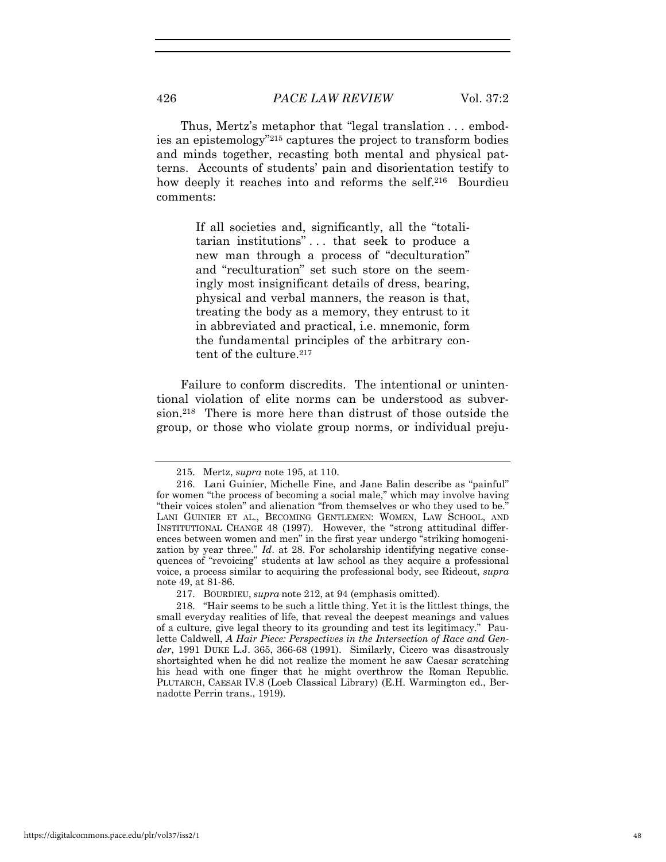Thus, Mertz's metaphor that "legal translation . . . embodies an epistemology"215 captures the project to transform bodies and minds together, recasting both mental and physical patterns. Accounts of students' pain and disorientation testify to how deeply it reaches into and reforms the self.<sup>216</sup> Bourdieu comments:

> If all societies and, significantly, all the "totalitarian institutions" . . . that seek to produce a new man through a process of "deculturation" and "reculturation" set such store on the seemingly most insignificant details of dress, bearing, physical and verbal manners, the reason is that, treating the body as a memory, they entrust to it in abbreviated and practical, i.e. mnemonic, form the fundamental principles of the arbitrary content of the culture.<sup>217</sup>

Failure to conform discredits. The intentional or unintentional violation of elite norms can be understood as subversion.218 There is more here than distrust of those outside the group, or those who violate group norms, or individual preju-

<sup>215.</sup> Mertz, *supra* note 195, at 110.

<sup>216.</sup> Lani Guinier, Michelle Fine, and Jane Balin describe as "painful" for women "the process of becoming a social male," which may involve having "their voices stolen" and alienation "from themselves or who they used to be." LANI GUINIER ET AL., BECOMING GENTLEMEN: WOMEN, LAW SCHOOL, AND INSTITUTIONAL CHANGE 48 (1997). However, the "strong attitudinal differences between women and men" in the first year undergo "striking homogenization by year three." *Id*. at 28. For scholarship identifying negative consequences of "revoicing" students at law school as they acquire a professional voice, a process similar to acquiring the professional body, see Rideout, *supra* note 49, at 81-86.

<sup>217.</sup> BOURDIEU, *supra* note 212, at 94 (emphasis omitted).

<sup>218. &</sup>quot;Hair seems to be such a little thing. Yet it is the littlest things, the small everyday realities of life, that reveal the deepest meanings and values of a culture, give legal theory to its grounding and test its legitimacy." Paulette Caldwell, *A Hair Piece: Perspectives in the Intersection of Race and Gender*, 1991 DUKE L.J. 365, 366-68 (1991). Similarly, Cicero was disastrously shortsighted when he did not realize the moment he saw Caesar scratching his head with one finger that he might overthrow the Roman Republic. PLUTARCH, CAESAR IV.8 (Loeb Classical Library) (E.H. Warmington ed., Bernadotte Perrin trans., 1919).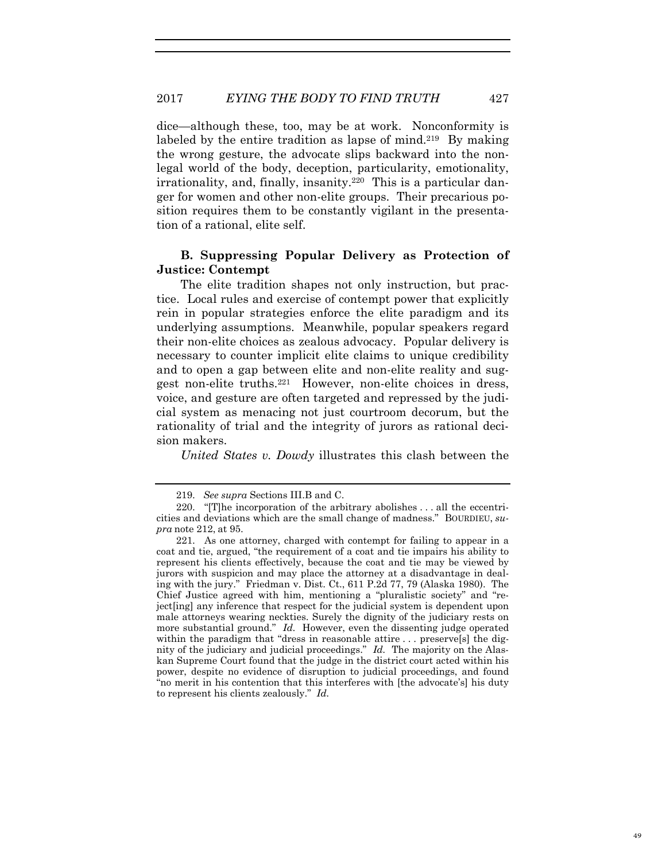dice—although these, too, may be at work. Nonconformity is labeled by the entire tradition as lapse of mind.<sup>219</sup> By making the wrong gesture, the advocate slips backward into the nonlegal world of the body, deception, particularity, emotionality, irrationality, and, finally, insanity.220 This is a particular danger for women and other non-elite groups. Their precarious position requires them to be constantly vigilant in the presentation of a rational, elite self.

## **B. Suppressing Popular Delivery as Protection of Justice: Contempt**

The elite tradition shapes not only instruction, but practice. Local rules and exercise of contempt power that explicitly rein in popular strategies enforce the elite paradigm and its underlying assumptions. Meanwhile, popular speakers regard their non-elite choices as zealous advocacy. Popular delivery is necessary to counter implicit elite claims to unique credibility and to open a gap between elite and non-elite reality and suggest non-elite truths.221 However, non-elite choices in dress, voice, and gesture are often targeted and repressed by the judicial system as menacing not just courtroom decorum, but the rationality of trial and the integrity of jurors as rational decision makers.

*United States v. Dowdy* illustrates this clash between the

<sup>219.</sup> *See supra* Sections III.B and C.

<sup>220. &</sup>quot;[T]he incorporation of the arbitrary abolishes . . . all the eccentricities and deviations which are the small change of madness." BOURDIEU, *supra* note 212, at 95.

<sup>221.</sup> As one attorney, charged with contempt for failing to appear in a coat and tie, argued, "the requirement of a coat and tie impairs his ability to represent his clients effectively, because the coat and tie may be viewed by jurors with suspicion and may place the attorney at a disadvantage in dealing with the jury." Friedman v. Dist. Ct., 611 P.2d 77, 79 (Alaska 1980). The Chief Justice agreed with him, mentioning a "pluralistic society" and "reject[ing] any inference that respect for the judicial system is dependent upon male attorneys wearing neckties. Surely the dignity of the judiciary rests on more substantial ground." *Id.* However, even the dissenting judge operated within the paradigm that "dress in reasonable attire . . . preserve[s] the dignity of the judiciary and judicial proceedings." *Id.* The majority on the Alaskan Supreme Court found that the judge in the district court acted within his power, despite no evidence of disruption to judicial proceedings, and found "no merit in his contention that this interferes with [the advocate's] his duty to represent his clients zealously." *Id.*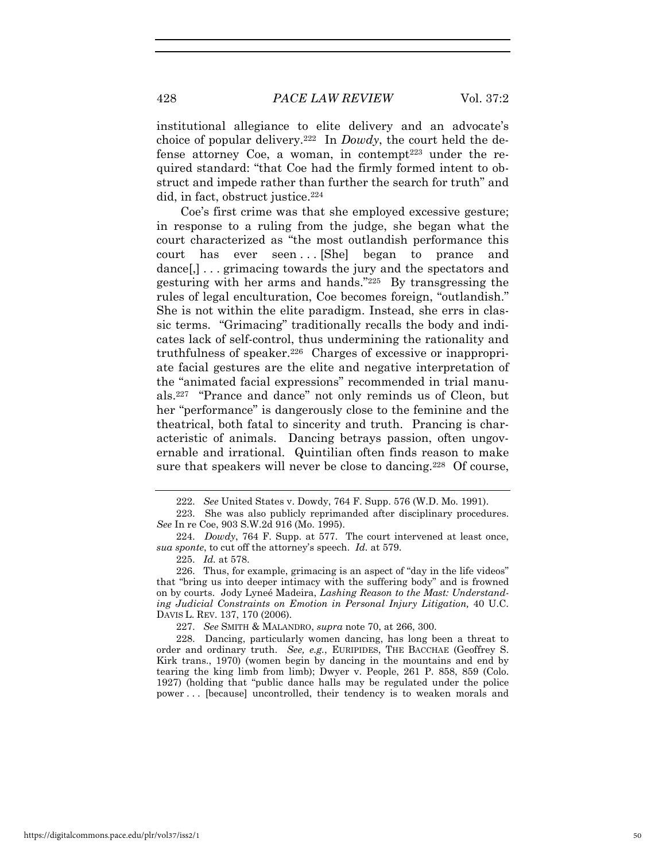428 *PACE LAW REVIEW* Vol. 37:2

institutional allegiance to elite delivery and an advocate's choice of popular delivery.222 In *Dowdy*, the court held the defense attorney Coe, a woman, in contempt<sup>223</sup> under the required standard: "that Coe had the firmly formed intent to obstruct and impede rather than further the search for truth" and did, in fact, obstruct justice.<sup>224</sup>

Coe's first crime was that she employed excessive gesture; in response to a ruling from the judge, she began what the court characterized as "the most outlandish performance this court has ever seen... [She] began to prance and dance[,] . . . grimacing towards the jury and the spectators and gesturing with her arms and hands."225 By transgressing the rules of legal enculturation, Coe becomes foreign, "outlandish." She is not within the elite paradigm. Instead, she errs in classic terms. "Grimacing" traditionally recalls the body and indicates lack of self-control, thus undermining the rationality and truthfulness of speaker.<sup>226</sup> Charges of excessive or inappropriate facial gestures are the elite and negative interpretation of the "animated facial expressions" recommended in trial manuals.227 "Prance and dance" not only reminds us of Cleon, but her "performance" is dangerously close to the feminine and the theatrical, both fatal to sincerity and truth. Prancing is characteristic of animals. Dancing betrays passion, often ungovernable and irrational. Quintilian often finds reason to make sure that speakers will never be close to dancing.<sup>228</sup> Of course,

<sup>222.</sup> *See* United States v. Dowdy, 764 F. Supp. 576 (W.D. Mo. 1991).

<sup>223.</sup> She was also publicly reprimanded after disciplinary procedures. *See* In re Coe, 903 S.W.2d 916 (Mo. 1995).

<sup>224.</sup> *Dowdy*, 764 F. Supp. at 577. The court intervened at least once, *sua sponte*, to cut off the attorney's speech. *Id.* at 579.

<sup>225.</sup> *Id.* at 578.

<sup>226.</sup> Thus, for example, grimacing is an aspect of "day in the life videos" that "bring us into deeper intimacy with the suffering body" and is frowned on by courts. Jody Lyneé Madeira, *Lashing Reason to the Mast: Understanding Judicial Constraints on Emotion in Personal Injury Litigation,* 40 U.C. DAVIS L. REV. 137, 170 (2006).

<sup>227.</sup> *See* SMITH & MALANDRO, *supra* note 70, at 266, 300.

<sup>228.</sup> Dancing, particularly women dancing, has long been a threat to order and ordinary truth. *See, e.g.*, EURIPIDES, THE BACCHAE (Geoffrey S. Kirk trans., 1970) (women begin by dancing in the mountains and end by tearing the king limb from limb); Dwyer v. People, 261 P. 858, 859 (Colo. 1927) (holding that "public dance halls may be regulated under the police power . . . [because] uncontrolled, their tendency is to weaken morals and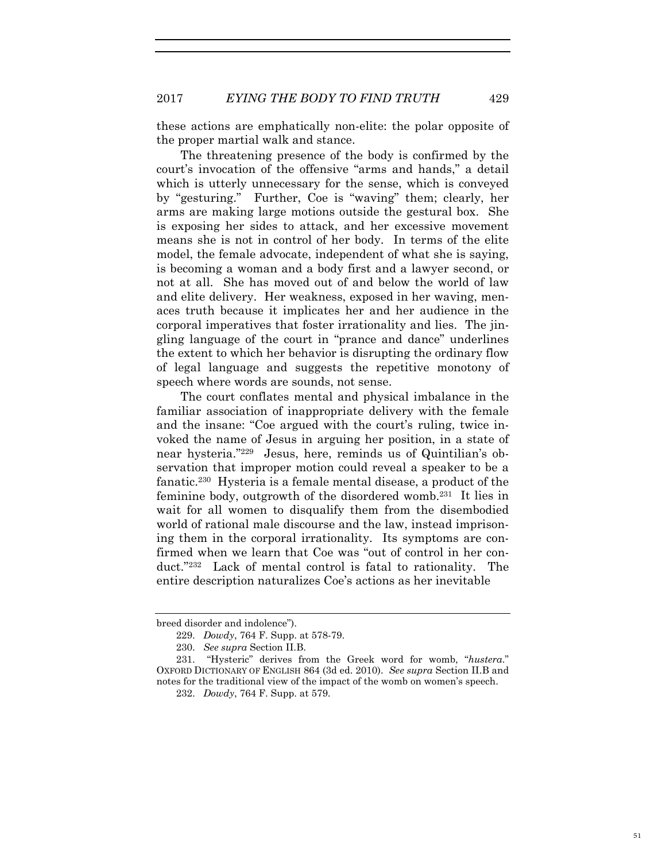these actions are emphatically non-elite: the polar opposite of the proper martial walk and stance.

The threatening presence of the body is confirmed by the court's invocation of the offensive "arms and hands," a detail which is utterly unnecessary for the sense, which is conveyed by "gesturing." Further, Coe is "waving" them; clearly, her arms are making large motions outside the gestural box. She is exposing her sides to attack, and her excessive movement means she is not in control of her body. In terms of the elite model, the female advocate, independent of what she is saying, is becoming a woman and a body first and a lawyer second, or not at all. She has moved out of and below the world of law and elite delivery. Her weakness, exposed in her waving, menaces truth because it implicates her and her audience in the corporal imperatives that foster irrationality and lies. The jingling language of the court in "prance and dance" underlines the extent to which her behavior is disrupting the ordinary flow of legal language and suggests the repetitive monotony of speech where words are sounds, not sense.

The court conflates mental and physical imbalance in the familiar association of inappropriate delivery with the female and the insane: "Coe argued with the court's ruling, twice invoked the name of Jesus in arguing her position, in a state of near hysteria."229 Jesus, here, reminds us of Quintilian's observation that improper motion could reveal a speaker to be a fanatic.230 Hysteria is a female mental disease, a product of the feminine body, outgrowth of the disordered womb.231 It lies in wait for all women to disqualify them from the disembodied world of rational male discourse and the law, instead imprisoning them in the corporal irrationality. Its symptoms are confirmed when we learn that Coe was "out of control in her conduct."232 Lack of mental control is fatal to rationality. The entire description naturalizes Coe's actions as her inevitable

breed disorder and indolence").

<sup>229.</sup> *Dowdy*, 764 F. Supp. at 578-79.

<sup>230.</sup> *See supra* Section II.B.

<sup>231. &</sup>quot;Hysteric" derives from the Greek word for womb, "*hustera*." OXFORD DICTIONARY OF ENGLISH 864 (3d ed. 2010). *See supra* Section II.B and notes for the traditional view of the impact of the womb on women's speech.

<sup>232.</sup> *Dowdy*, 764 F. Supp. at 579.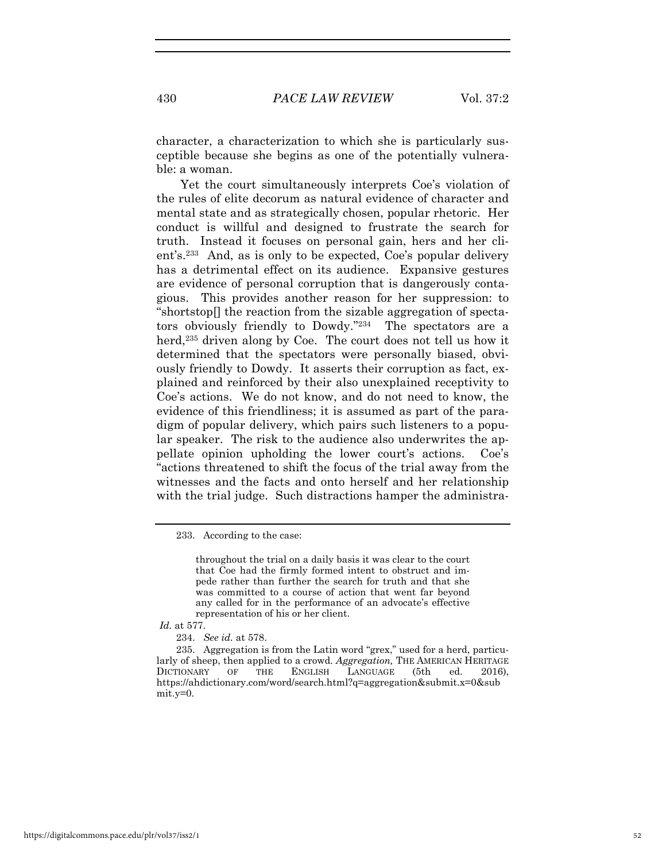character, a characterization to which she is particularly susceptible because she begins as one of the potentially vulnerable: a woman.

Yet the court simultaneously interprets Coe's violation of the rules of elite decorum as natural evidence of character and mental state and as strategically chosen, popular rhetoric. Her conduct is willful and designed to frustrate the search for truth. Instead it focuses on personal gain, hers and her client's.233 And, as is only to be expected, Coe's popular delivery has a detrimental effect on its audience. Expansive gestures are evidence of personal corruption that is dangerously contagious. This provides another reason for her suppression: to "shortstop[] the reaction from the sizable aggregation of spectators obviously friendly to Dowdy."234 The spectators are a herd,<sup>235</sup> driven along by Coe. The court does not tell us how it determined that the spectators were personally biased, obviously friendly to Dowdy. It asserts their corruption as fact, explained and reinforced by their also unexplained receptivity to Coe's actions. We do not know, and do not need to know, the evidence of this friendliness; it is assumed as part of the paradigm of popular delivery, which pairs such listeners to a popular speaker. The risk to the audience also underwrites the appellate opinion upholding the lower court's actions. Coe's "actions threatened to shift the focus of the trial away from the witnesses and the facts and onto herself and her relationship with the trial judge. Such distractions hamper the administra-

throughout the trial on a daily basis it was clear to the court that Coe had the firmly formed intent to obstruct and impede rather than further the search for truth and that she was committed to a course of action that went far beyond any called for in the performance of an advocate's effective representation of his or her client.

234. *See id.* at 578.

235. Aggregation is from the Latin word "grex," used for a herd, particularly of sheep, then applied to a crowd. *Aggregation,* THE AMERICAN HERITAGE DICTIONARY OF THE ENGLISH LANGUAGE (5th ed. 2016), https://ahdictionary.com/word/search.html?q=aggregation&submit.x=0&sub mit.y=0.

<sup>233.</sup> According to the case:

*Id.* at 577.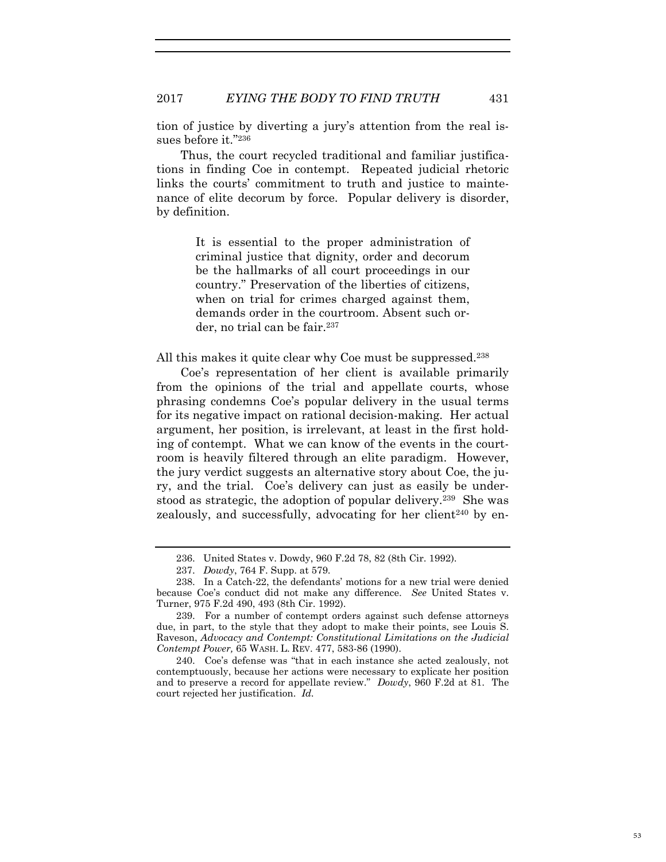tion of justice by diverting a jury's attention from the real issues before it."236

Thus, the court recycled traditional and familiar justifications in finding Coe in contempt. Repeated judicial rhetoric links the courts' commitment to truth and justice to maintenance of elite decorum by force. Popular delivery is disorder, by definition.

> It is essential to the proper administration of criminal justice that dignity, order and decorum be the hallmarks of all court proceedings in our country." Preservation of the liberties of citizens, when on trial for crimes charged against them, demands order in the courtroom. Absent such order, no trial can be fair.<sup>237</sup>

All this makes it quite clear why Coe must be suppressed.<sup>238</sup>

Coe's representation of her client is available primarily from the opinions of the trial and appellate courts, whose phrasing condemns Coe's popular delivery in the usual terms for its negative impact on rational decision-making. Her actual argument, her position, is irrelevant, at least in the first holding of contempt. What we can know of the events in the courtroom is heavily filtered through an elite paradigm. However, the jury verdict suggests an alternative story about Coe, the jury, and the trial. Coe's delivery can just as easily be understood as strategic, the adoption of popular delivery.239 She was zealously, and successfully, advocating for her client<sup> $240$ </sup> by en-

<sup>236.</sup> United States v. Dowdy, 960 F.2d 78, 82 (8th Cir. 1992).

<sup>237.</sup> *Dowdy*, 764 F. Supp. at 579.

<sup>238.</sup> In a Catch-22, the defendants' motions for a new trial were denied because Coe's conduct did not make any difference. *See* United States v. Turner, 975 F.2d 490, 493 (8th Cir. 1992).

<sup>239.</sup> For a number of contempt orders against such defense attorneys due, in part, to the style that they adopt to make their points, see Louis S. Raveson, *Advocacy and Contempt: Constitutional Limitations on the Judicial Contempt Power,* 65 WASH. L. REV. 477, 583-86 (1990).

<sup>240.</sup> Coe's defense was "that in each instance she acted zealously, not contemptuously, because her actions were necessary to explicate her position and to preserve a record for appellate review." *Dowdy*, 960 F.2d at 81. The court rejected her justification. *Id.*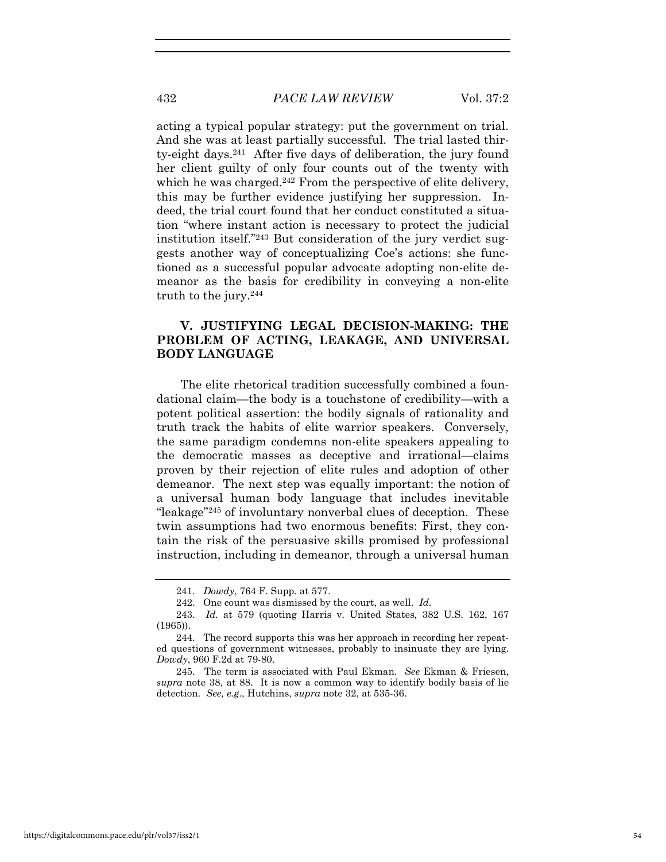acting a typical popular strategy: put the government on trial. And she was at least partially successful. The trial lasted thirty-eight days.241 After five days of deliberation, the jury found her client guilty of only four counts out of the twenty with which he was charged.<sup>242</sup> From the perspective of elite delivery, this may be further evidence justifying her suppression. Indeed, the trial court found that her conduct constituted a situation "where instant action is necessary to protect the judicial institution itself."243 But consideration of the jury verdict suggests another way of conceptualizing Coe's actions: she functioned as a successful popular advocate adopting non-elite demeanor as the basis for credibility in conveying a non-elite truth to the jury.244

# **V. JUSTIFYING LEGAL DECISION-MAKING: THE PROBLEM OF ACTING, LEAKAGE, AND UNIVERSAL BODY LANGUAGE**

The elite rhetorical tradition successfully combined a foundational claim—the body is a touchstone of credibility—with a potent political assertion: the bodily signals of rationality and truth track the habits of elite warrior speakers. Conversely, the same paradigm condemns non-elite speakers appealing to the democratic masses as deceptive and irrational—claims proven by their rejection of elite rules and adoption of other demeanor. The next step was equally important: the notion of a universal human body language that includes inevitable "leakage"245 of involuntary nonverbal clues of deception. These twin assumptions had two enormous benefits: First, they contain the risk of the persuasive skills promised by professional instruction, including in demeanor, through a universal human

<sup>241.</sup> *Dowdy*, 764 F. Supp. at 577.

<sup>242.</sup> One count was dismissed by the court, as well. *Id.*

<sup>243.</sup> *Id.* at 579 (quoting Harris v. United States*,* 382 U.S. 162, 167 (1965)).

<sup>244.</sup> The record supports this was her approach in recording her repeated questions of government witnesses, probably to insinuate they are lying. *Dowdy*, 960 F.2d at 79-80.

<sup>245.</sup> The term is associated with Paul Ekman. *See* Ekman & Friesen, *supra* note 38, at 88. It is now a common way to identify bodily basis of lie detection. *See, e.g.*, Hutchins, *supra* note 32, at 535-36.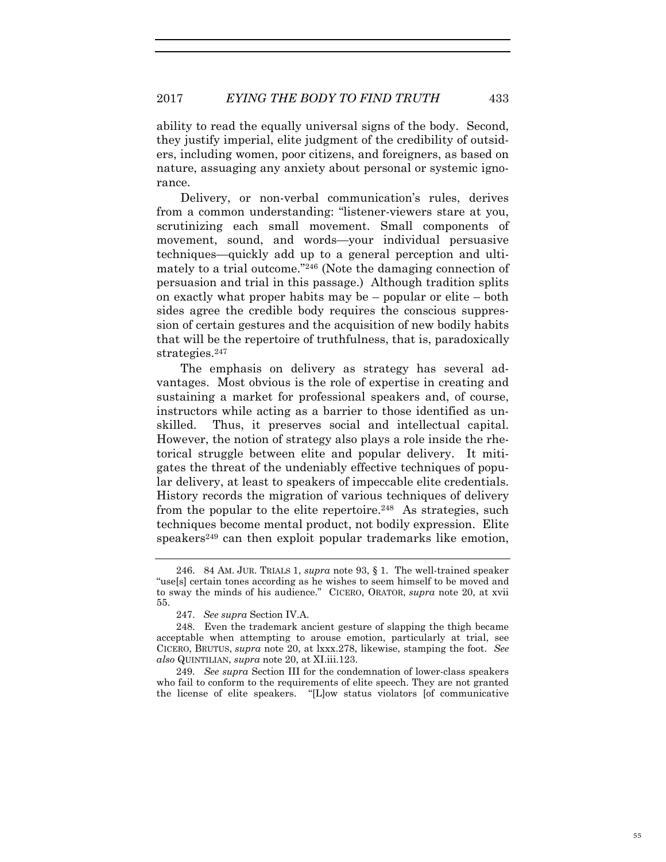ability to read the equally universal signs of the body. Second, they justify imperial, elite judgment of the credibility of outsiders, including women, poor citizens, and foreigners, as based on nature, assuaging any anxiety about personal or systemic ignorance.

Delivery, or non-verbal communication's rules, derives from a common understanding: "listener-viewers stare at you, scrutinizing each small movement. Small components of movement, sound, and words—your individual persuasive techniques—quickly add up to a general perception and ultimately to a trial outcome."246 (Note the damaging connection of persuasion and trial in this passage.) Although tradition splits on exactly what proper habits may be – popular or elite – both sides agree the credible body requires the conscious suppression of certain gestures and the acquisition of new bodily habits that will be the repertoire of truthfulness, that is, paradoxically strategies.<sup>247</sup>

The emphasis on delivery as strategy has several advantages. Most obvious is the role of expertise in creating and sustaining a market for professional speakers and, of course, instructors while acting as a barrier to those identified as unskilled. Thus, it preserves social and intellectual capital. However, the notion of strategy also plays a role inside the rhetorical struggle between elite and popular delivery. It mitigates the threat of the undeniably effective techniques of popular delivery, at least to speakers of impeccable elite credentials. History records the migration of various techniques of delivery from the popular to the elite repertoire.<sup>248</sup> As strategies, such techniques become mental product, not bodily expression. Elite speakers<sup>249</sup> can then exploit popular trademarks like emotion,

249. *See supra* Section III for the condemnation of lower-class speakers who fail to conform to the requirements of elite speech. They are not granted the license of elite speakers. "[L]ow status violators [of communicative

<sup>246. 84</sup> AM. JUR. TRIALS 1, *supra* note 93, § 1. The well-trained speaker "use[s] certain tones according as he wishes to seem himself to be moved and to sway the minds of his audience." CICERO, ORATOR, *supra* note 20, at xvii 55.

<sup>247.</sup> *See supra* Section IV.A.

<sup>248.</sup> Even the trademark ancient gesture of slapping the thigh became acceptable when attempting to arouse emotion, particularly at trial, see CICERO, BRUTUS, *supra* note 20, at lxxx.278, likewise, stamping the foot. *See also* QUINTILIAN, *supra* note 20, at XI.iii.123.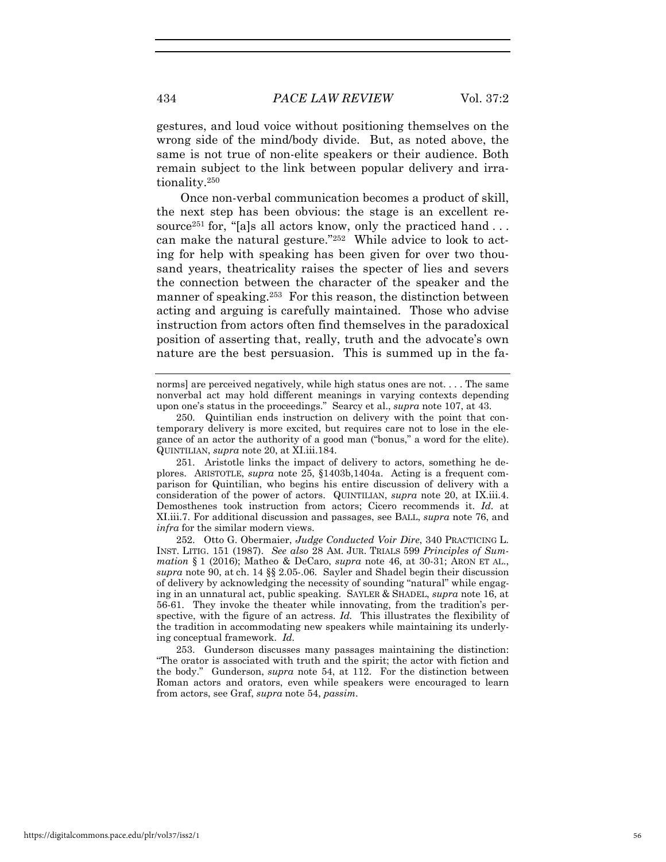gestures, and loud voice without positioning themselves on the wrong side of the mind/body divide. But, as noted above, the same is not true of non-elite speakers or their audience. Both remain subject to the link between popular delivery and irrationality.250

Once non-verbal communication becomes a product of skill, the next step has been obvious: the stage is an excellent resource<sup>251</sup> for, "[a]s all actors know, only the practiced hand  $\dots$ can make the natural gesture."252 While advice to look to acting for help with speaking has been given for over two thousand years, theatricality raises the specter of lies and severs the connection between the character of the speaker and the manner of speaking.<sup>253</sup> For this reason, the distinction between acting and arguing is carefully maintained. Those who advise instruction from actors often find themselves in the paradoxical position of asserting that, really, truth and the advocate's own nature are the best persuasion. This is summed up in the fa-

norms] are perceived negatively, while high status ones are not. . . . The same nonverbal act may hold different meanings in varying contexts depending upon one's status in the proceedings." Searcy et al., *supra* note 107, at 43.

251. Aristotle links the impact of delivery to actors, something he deplores. ARISTOTLE, *supra* note 25, §1403b,1404a. Acting is a frequent comparison for Quintilian, who begins his entire discussion of delivery with a consideration of the power of actors. QUINTILIAN, *supra* note 20, at IX.iii.4. Demosthenes took instruction from actors; Cicero recommends it. *Id.* at XI.iii.7. For additional discussion and passages, see BALL, *supra* note 76, and *infra* for the similar modern views.

252. Otto G. Obermaier, *Judge Conducted Voir Dire*, 340 PRACTICING L. INST. LITIG. 151 (1987). *See also* 28 AM. JUR. TRIALS 599 *Principles of Summation* § 1 (2016); Matheo & DeCaro, *supra* note 46, at 30-31; ARON ET AL., *supra* note 90, at ch. 14 §§ 2.05-.06. Sayler and Shadel begin their discussion of delivery by acknowledging the necessity of sounding "natural" while engaging in an unnatural act, public speaking. SAYLER & SHADEL, *supra* note 16, at 56-61. They invoke the theater while innovating, from the tradition's perspective, with the figure of an actress. *Id.* This illustrates the flexibility of the tradition in accommodating new speakers while maintaining its underlying conceptual framework. *Id.*

253. Gunderson discusses many passages maintaining the distinction: "The orator is associated with truth and the spirit; the actor with fiction and the body." Gunderson, *supra* note 54, at 112. For the distinction between Roman actors and orators, even while speakers were encouraged to learn from actors, see Graf, *supra* note 54, *passim*.

<sup>250.</sup> Quintilian ends instruction on delivery with the point that contemporary delivery is more excited, but requires care not to lose in the elegance of an actor the authority of a good man ("bonus," a word for the elite). QUINTILIAN, *supra* note 20, at XI.iii.184.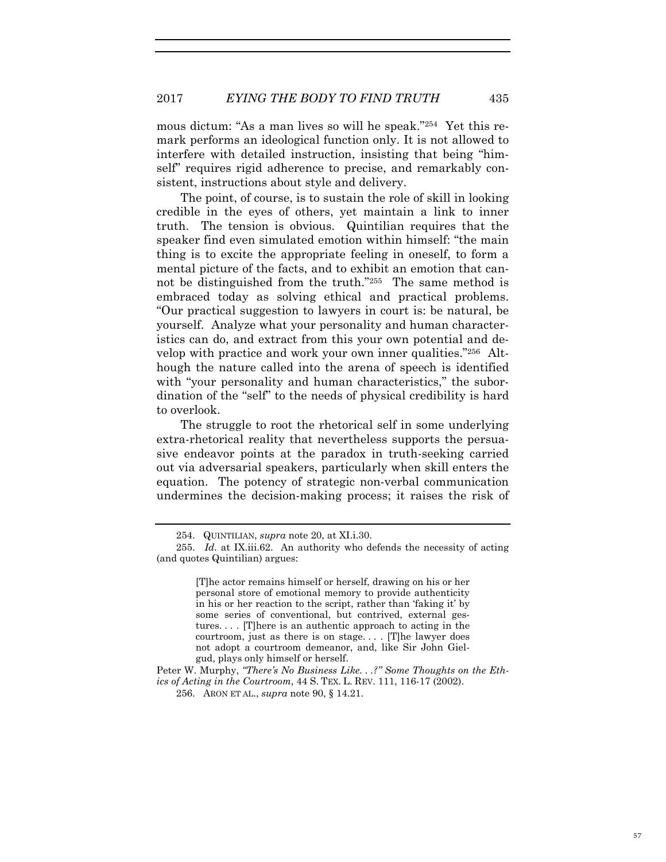mous dictum: "As a man lives so will he speak."254 Yet this remark performs an ideological function only. It is not allowed to interfere with detailed instruction, insisting that being "himself" requires rigid adherence to precise, and remarkably consistent, instructions about style and delivery.

The point, of course, is to sustain the role of skill in looking credible in the eyes of others, yet maintain a link to inner truth. The tension is obvious. Quintilian requires that the speaker find even simulated emotion within himself: "the main thing is to excite the appropriate feeling in oneself, to form a mental picture of the facts, and to exhibit an emotion that cannot be distinguished from the truth."255 The same method is embraced today as solving ethical and practical problems. "Our practical suggestion to lawyers in court is: be natural, be yourself. Analyze what your personality and human characteristics can do, and extract from this your own potential and develop with practice and work your own inner qualities."256 Although the nature called into the arena of speech is identified with "your personality and human characteristics," the subordination of the "self" to the needs of physical credibility is hard to overlook.

The struggle to root the rhetorical self in some underlying extra-rhetorical reality that nevertheless supports the persuasive endeavor points at the paradox in truth-seeking carried out via adversarial speakers, particularly when skill enters the equation. The potency of strategic non-verbal communication undermines the decision-making process; it raises the risk of

<sup>254.</sup> QUINTILIAN, *supra* note 20, at XI.i.30.

<sup>255.</sup> *Id.* at IX.iii.62. An authority who defends the necessity of acting (and quotes Quintilian) argues:

<sup>[</sup>T]he actor remains himself or herself, drawing on his or her personal store of emotional memory to provide authenticity in his or her reaction to the script, rather than 'faking it' by some series of conventional, but contrived, external gestures. . . . [T]here is an authentic approach to acting in the courtroom, just as there is on stage. . . . [T]he lawyer does not adopt a courtroom demeanor, and, like Sir John Gielgud, plays only himself or herself.

Peter W. Murphy, *"There's No Business Like. . .?" Some Thoughts on the Ethics of Acting in the Courtroom*, 44 S. TEX. L. REV. 111, 116-17 (2002).

<sup>256.</sup> ARON ET AL., *supra* note 90, § 14.21.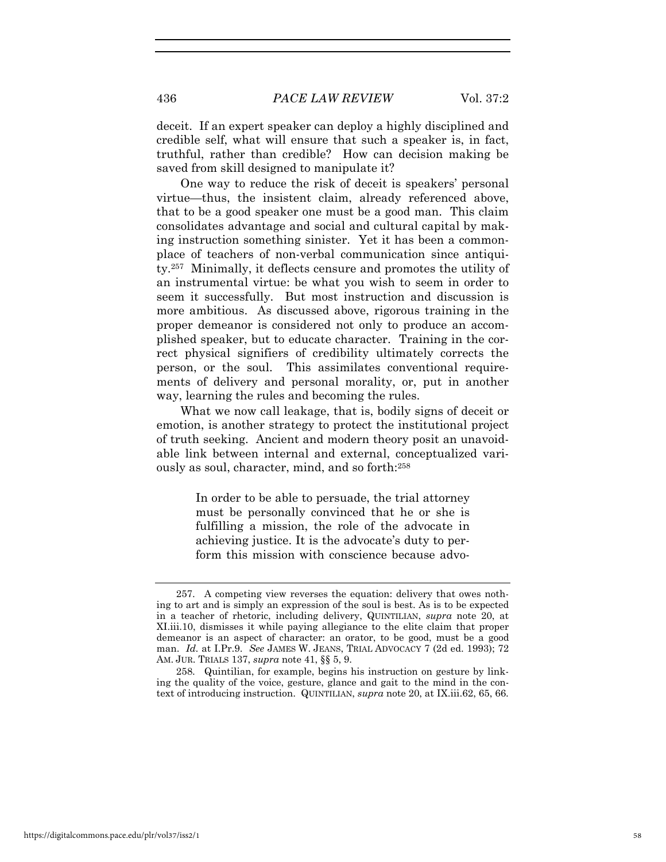deceit. If an expert speaker can deploy a highly disciplined and credible self, what will ensure that such a speaker is, in fact, truthful, rather than credible? How can decision making be saved from skill designed to manipulate it?

One way to reduce the risk of deceit is speakers' personal virtue—thus, the insistent claim, already referenced above, that to be a good speaker one must be a good man. This claim consolidates advantage and social and cultural capital by making instruction something sinister. Yet it has been a commonplace of teachers of non-verbal communication since antiquity.257 Minimally, it deflects censure and promotes the utility of an instrumental virtue: be what you wish to seem in order to seem it successfully. But most instruction and discussion is more ambitious. As discussed above, rigorous training in the proper demeanor is considered not only to produce an accomplished speaker, but to educate character. Training in the correct physical signifiers of credibility ultimately corrects the person, or the soul. This assimilates conventional requirements of delivery and personal morality, or, put in another way, learning the rules and becoming the rules.

What we now call leakage, that is, bodily signs of deceit or emotion, is another strategy to protect the institutional project of truth seeking. Ancient and modern theory posit an unavoidable link between internal and external, conceptualized variously as soul, character, mind, and so forth:258

> In order to be able to persuade, the trial attorney must be personally convinced that he or she is fulfilling a mission, the role of the advocate in achieving justice. It is the advocate's duty to perform this mission with conscience because advo-

<sup>257.</sup> A competing view reverses the equation: delivery that owes nothing to art and is simply an expression of the soul is best. As is to be expected in a teacher of rhetoric, including delivery, QUINTILIAN, *supra* note 20, at XI.iii.10, dismisses it while paying allegiance to the elite claim that proper demeanor is an aspect of character: an orator, to be good, must be a good man. *Id.* at I.Pr.9. *See* JAMES W. JEANS, TRIAL ADVOCACY 7 (2d ed. 1993); 72 AM. JUR. TRIALS 137, *supra* note 41, §§ 5, 9.

<sup>258.</sup> Quintilian, for example, begins his instruction on gesture by linking the quality of the voice, gesture, glance and gait to the mind in the context of introducing instruction. QUINTILIAN, *supra* note 20, at IX.iii.62, 65, 66.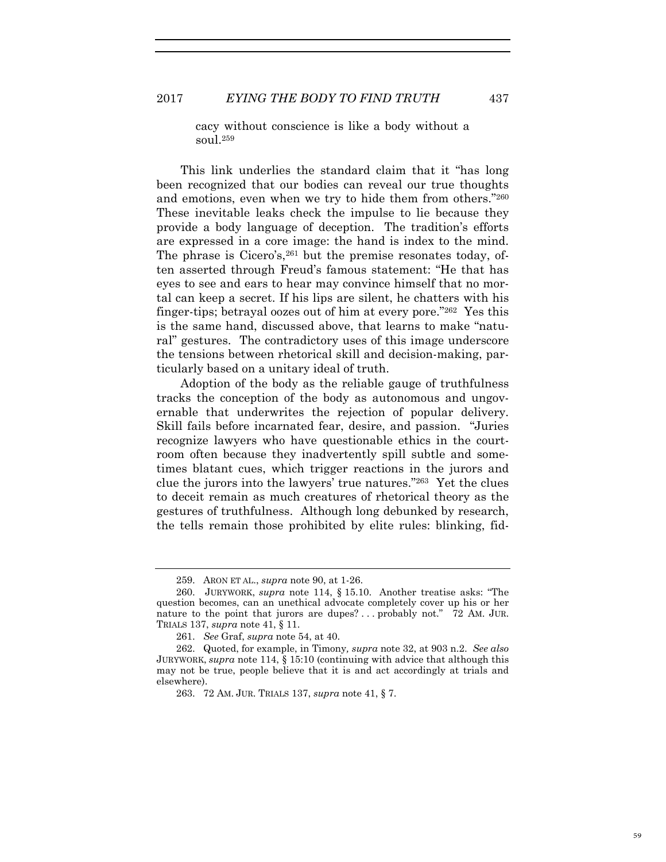cacy without conscience is like a body without a soul.259

This link underlies the standard claim that it "has long been recognized that our bodies can reveal our true thoughts and emotions, even when we try to hide them from others."260 These inevitable leaks check the impulse to lie because they provide a body language of deception. The tradition's efforts are expressed in a core image: the hand is index to the mind. The phrase is Cicero's, <sup>261</sup> but the premise resonates today, often asserted through Freud's famous statement: "He that has eyes to see and ears to hear may convince himself that no mortal can keep a secret. If his lips are silent, he chatters with his finger-tips; betrayal oozes out of him at every pore."262 Yes this is the same hand, discussed above, that learns to make "natural" gestures. The contradictory uses of this image underscore the tensions between rhetorical skill and decision-making, particularly based on a unitary ideal of truth.

Adoption of the body as the reliable gauge of truthfulness tracks the conception of the body as autonomous and ungovernable that underwrites the rejection of popular delivery. Skill fails before incarnated fear, desire, and passion. "Juries recognize lawyers who have questionable ethics in the courtroom often because they inadvertently spill subtle and sometimes blatant cues, which trigger reactions in the jurors and clue the jurors into the lawyers' true natures."263 Yet the clues to deceit remain as much creatures of rhetorical theory as the gestures of truthfulness. Although long debunked by research, the tells remain those prohibited by elite rules: blinking, fid-

<sup>259.</sup> ARON ET AL., *supra* note 90, at 1-26.

<sup>260.</sup> JURYWORK, *supra* note 114, § 15.10. Another treatise asks: "The question becomes, can an unethical advocate completely cover up his or her nature to the point that jurors are dupes? ... probably not."  $72$  AM. JUR. TRIALS 137, *supra* note 41, § 11.

<sup>261.</sup> *See* Graf, *supra* note 54, at 40.

<sup>262.</sup> Quoted, for example, in Timony*, supra* note 32, at 903 n.2. *See also* JURYWORK, *supra* note 114, § 15:10 (continuing with advice that although this may not be true, people believe that it is and act accordingly at trials and elsewhere).

<sup>263. 72</sup> AM. JUR. TRIALS 137, *supra* note 41, § 7.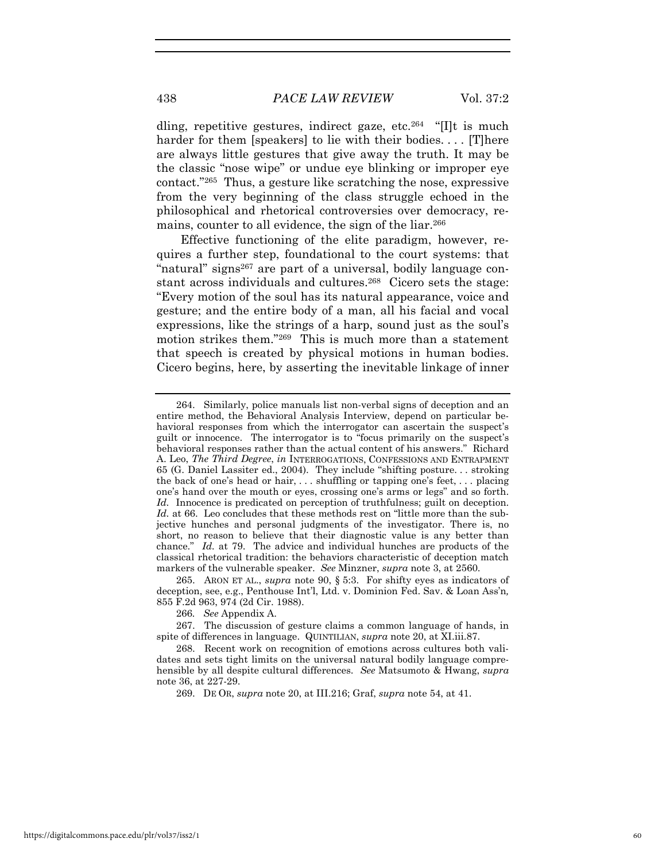dling, repetitive gestures, indirect gaze, etc.264 "[I]t is much harder for them [speakers] to lie with their bodies.... [T]here are always little gestures that give away the truth. It may be the classic "nose wipe" or undue eye blinking or improper eye contact."265 Thus, a gesture like scratching the nose, expressive from the very beginning of the class struggle echoed in the philosophical and rhetorical controversies over democracy, remains, counter to all evidence, the sign of the liar.<sup>266</sup>

Effective functioning of the elite paradigm, however, requires a further step, foundational to the court systems: that "natural" signs<sup>267</sup> are part of a universal, bodily language constant across individuals and cultures.268 Cicero sets the stage: "Every motion of the soul has its natural appearance, voice and gesture; and the entire body of a man, all his facial and vocal expressions, like the strings of a harp, sound just as the soul's motion strikes them."269 This is much more than a statement that speech is created by physical motions in human bodies. Cicero begins, here, by asserting the inevitable linkage of inner

265. ARON ET AL., *supra* note 90, § 5:3. For shifty eyes as indicators of deception, see, e.g., Penthouse Int'l, Ltd. v. Dominion Fed. Sav. & Loan Ass'n*,* 855 F.2d 963, 974 (2d Cir. 1988).

266*. See* Appendix A.

267. The discussion of gesture claims a common language of hands, in spite of differences in language. QUINTILIAN, *supra* note 20, at XI.iii.87.

268. Recent work on recognition of emotions across cultures both validates and sets tight limits on the universal natural bodily language comprehensible by all despite cultural differences. *See* Matsumoto & Hwang, *supra* note 36, at 227-29.

269. DE OR, *supra* note 20, at III.216; Graf, *supra* note 54, at 41.

<sup>264.</sup> Similarly, police manuals list non-verbal signs of deception and an entire method, the Behavioral Analysis Interview, depend on particular behavioral responses from which the interrogator can ascertain the suspect's guilt or innocence. The interrogator is to "focus primarily on the suspect's behavioral responses rather than the actual content of his answers." Richard A. Leo, *The Third Degree*, *in* INTERROGATIONS, CONFESSIONS AND ENTRAPMENT 65 (G. Daniel Lassiter ed., 2004). They include "shifting posture. . . stroking the back of one's head or hair, . . . shuffling or tapping one's feet, . . . placing one's hand over the mouth or eyes, crossing one's arms or legs" and so forth. *Id.* Innocence is predicated on perception of truthfulness; guilt on deception. *Id.* at 66. Leo concludes that these methods rest on "little more than the subjective hunches and personal judgments of the investigator. There is, no short, no reason to believe that their diagnostic value is any better than chance." *Id.* at 79. The advice and individual hunches are products of the classical rhetorical tradition: the behaviors characteristic of deception match markers of the vulnerable speaker. *See* Minzner, *supra* note 3, at 2560.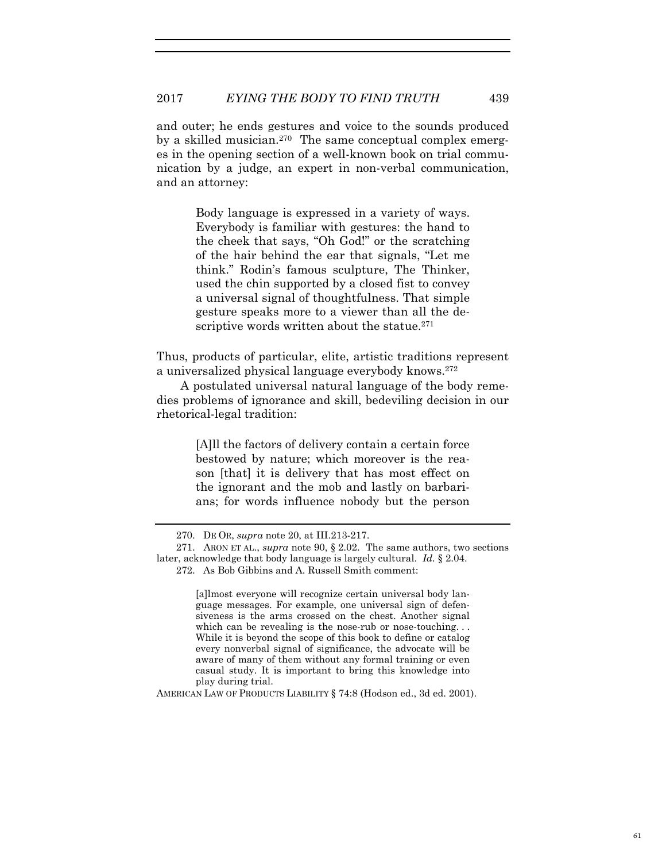and outer; he ends gestures and voice to the sounds produced by a skilled musician.270 The same conceptual complex emerges in the opening section of a well-known book on trial communication by a judge, an expert in non-verbal communication, and an attorney:

> Body language is expressed in a variety of ways. Everybody is familiar with gestures: the hand to the cheek that says, "Oh God!" or the scratching of the hair behind the ear that signals, "Let me think." Rodin's famous sculpture, The Thinker, used the chin supported by a closed fist to convey a universal signal of thoughtfulness. That simple gesture speaks more to a viewer than all the descriptive words written about the statue.<sup>271</sup>

Thus, products of particular, elite, artistic traditions represent a universalized physical language everybody knows.272

A postulated universal natural language of the body remedies problems of ignorance and skill, bedeviling decision in our rhetorical-legal tradition:

> [A]ll the factors of delivery contain a certain force bestowed by nature; which moreover is the reason [that] it is delivery that has most effect on the ignorant and the mob and lastly on barbarians; for words influence nobody but the person

AMERICAN LAW OF PRODUCTS LIABILITY § 74:8 (Hodson ed., 3d ed. 2001).

<sup>270.</sup> DE OR, *supra* note 20, at III.213-217.

<sup>271.</sup> ARON ET AL., *supra* note 90, § 2.02. The same authors, two sections later, acknowledge that body language is largely cultural. *Id.* § 2.04.

<sup>272.</sup> As Bob Gibbins and A. Russell Smith comment:

<sup>[</sup>a]lmost everyone will recognize certain universal body language messages. For example, one universal sign of defensiveness is the arms crossed on the chest. Another signal which can be revealing is the nose-rub or nose-touching... While it is beyond the scope of this book to define or catalog every nonverbal signal of significance, the advocate will be aware of many of them without any formal training or even casual study. It is important to bring this knowledge into play during trial.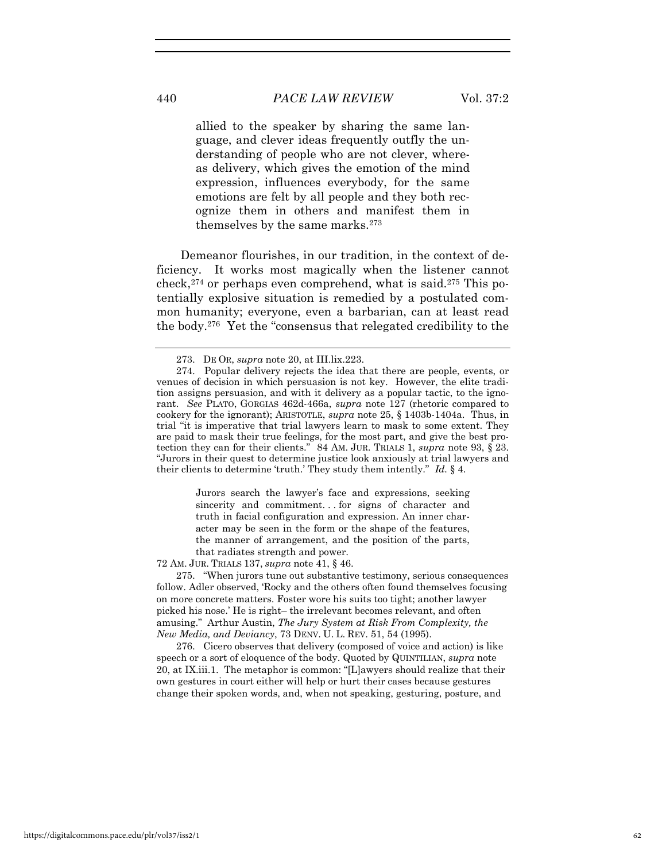allied to the speaker by sharing the same language, and clever ideas frequently outfly the understanding of people who are not clever, whereas delivery, which gives the emotion of the mind expression, influences everybody, for the same emotions are felt by all people and they both recognize them in others and manifest them in themselves by the same marks.273

Demeanor flourishes, in our tradition, in the context of deficiency. It works most magically when the listener cannot check,<sup>274</sup> or perhaps even comprehend, what is said.<sup>275</sup> This potentially explosive situation is remedied by a postulated common humanity; everyone, even a barbarian, can at least read the body.276 Yet the "consensus that relegated credibility to the

Jurors search the lawyer's face and expressions, seeking sincerity and commitment...for signs of character and truth in facial configuration and expression. An inner character may be seen in the form or the shape of the features, the manner of arrangement, and the position of the parts, that radiates strength and power.

72 AM. JUR. TRIALS 137, *supra* note 41, § 46.

275. "When jurors tune out substantive testimony, serious consequences follow. Adler observed, 'Rocky and the others often found themselves focusing on more concrete matters. Foster wore his suits too tight; another lawyer picked his nose.' He is right– the irrelevant becomes relevant, and often amusing." Arthur Austin, *The Jury System at Risk From Complexity, the New Media, and Deviancy*, 73 DENV. U. L. REV. 51, 54 (1995).

276. Cicero observes that delivery (composed of voice and action) is like speech or a sort of eloquence of the body. Quoted by QUINTILIAN, *supra* note 20, at IX.iii.1. The metaphor is common: "[L]awyers should realize that their own gestures in court either will help or hurt their cases because gestures change their spoken words, and, when not speaking, gesturing, posture, and

<sup>273.</sup> DE OR, *supra* note 20, at III.lix.223.

<sup>274.</sup> Popular delivery rejects the idea that there are people, events, or venues of decision in which persuasion is not key. However, the elite tradition assigns persuasion, and with it delivery as a popular tactic, to the ignorant. *See* PLATO, GORGIAS 462d-466a, *supra* note 127 (rhetoric compared to cookery for the ignorant); ARISTOTLE, *supra* note 25, § 1403b-1404a. Thus, in trial "it is imperative that trial lawyers learn to mask to some extent. They are paid to mask their true feelings, for the most part, and give the best protection they can for their clients." 84 AM. JUR. TRIALS 1, *supra* note 93, § 23. "Jurors in their quest to determine justice look anxiously at trial lawyers and their clients to determine 'truth.' They study them intently." *Id.* § 4.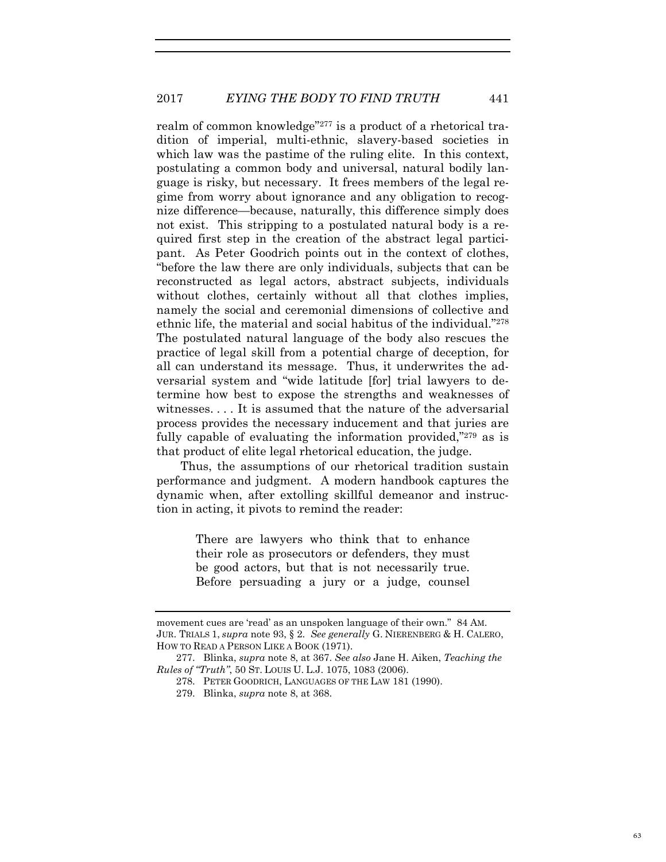realm of common knowledge"<sup>277</sup> is a product of a rhetorical tradition of imperial, multi-ethnic, slavery-based societies in which law was the pastime of the ruling elite. In this context, postulating a common body and universal, natural bodily language is risky, but necessary. It frees members of the legal regime from worry about ignorance and any obligation to recognize difference—because, naturally, this difference simply does not exist. This stripping to a postulated natural body is a required first step in the creation of the abstract legal participant. As Peter Goodrich points out in the context of clothes, "before the law there are only individuals, subjects that can be reconstructed as legal actors, abstract subjects, individuals without clothes, certainly without all that clothes implies, namely the social and ceremonial dimensions of collective and ethnic life, the material and social habitus of the individual."278 The postulated natural language of the body also rescues the practice of legal skill from a potential charge of deception, for all can understand its message. Thus, it underwrites the adversarial system and "wide latitude [for] trial lawyers to determine how best to expose the strengths and weaknesses of witnesses. . . . It is assumed that the nature of the adversarial process provides the necessary inducement and that juries are fully capable of evaluating the information provided,"<sup>279</sup> as is that product of elite legal rhetorical education, the judge.

Thus, the assumptions of our rhetorical tradition sustain performance and judgment. A modern handbook captures the dynamic when, after extolling skillful demeanor and instruction in acting, it pivots to remind the reader:

> There are lawyers who think that to enhance their role as prosecutors or defenders, they must be good actors, but that is not necessarily true. Before persuading a jury or a judge, counsel

movement cues are 'read' as an unspoken language of their own." 84 AM. JUR. TRIALS 1, *supra* note 93, § 2. *See generally* G. NIERENBERG & H. CALERO, HOW TO READ A PERSON LIKE A BOOK (1971).

<sup>277.</sup> Blinka, *supra* note 8, at 367. *See also* Jane H. Aiken, *Teaching the Rules of "Truth"*, 50 ST. LOUIS U. L.J. 1075, 1083 (2006).

<sup>278.</sup> PETER GOODRICH, LANGUAGES OF THE LAW 181 (1990).

<sup>279.</sup> Blinka, *supra* note 8, at 368.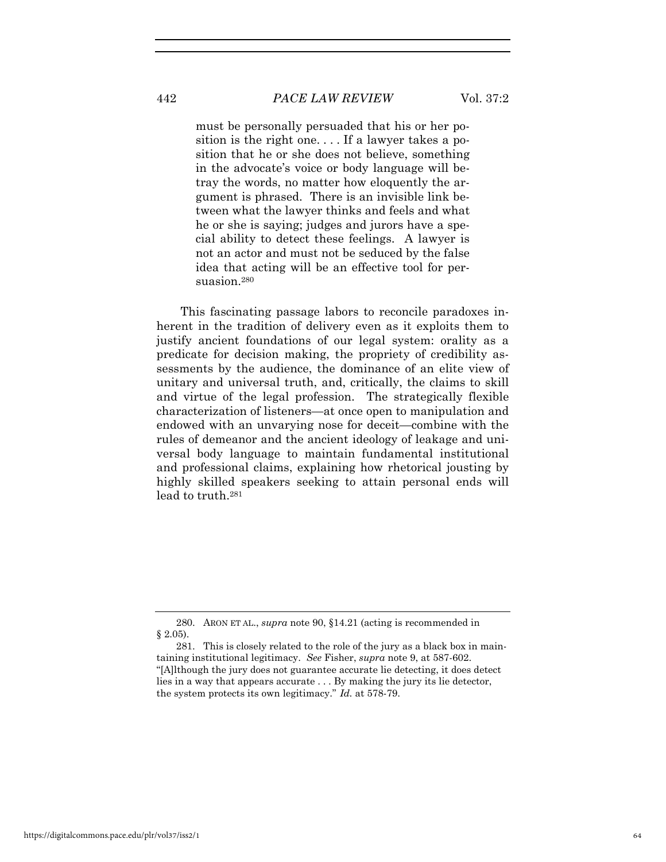### 442 *PACE LAW REVIEW* Vol. 37:2

must be personally persuaded that his or her position is the right one. . . . If a lawyer takes a position that he or she does not believe, something in the advocate's voice or body language will betray the words, no matter how eloquently the argument is phrased. There is an invisible link between what the lawyer thinks and feels and what he or she is saying; judges and jurors have a special ability to detect these feelings. A lawyer is not an actor and must not be seduced by the false idea that acting will be an effective tool for persuasion.<sup>280</sup>

This fascinating passage labors to reconcile paradoxes inherent in the tradition of delivery even as it exploits them to justify ancient foundations of our legal system: orality as a predicate for decision making, the propriety of credibility assessments by the audience, the dominance of an elite view of unitary and universal truth, and, critically, the claims to skill and virtue of the legal profession. The strategically flexible characterization of listeners—at once open to manipulation and endowed with an unvarying nose for deceit—combine with the rules of demeanor and the ancient ideology of leakage and universal body language to maintain fundamental institutional and professional claims, explaining how rhetorical jousting by highly skilled speakers seeking to attain personal ends will lead to truth.281

<sup>280.</sup> ARON ET AL., *supra* note 90, §14.21 (acting is recommended in § 2.05).

<sup>281.</sup> This is closely related to the role of the jury as a black box in maintaining institutional legitimacy. *See* Fisher, *supra* note 9, at 587-602. "[A]lthough the jury does not guarantee accurate lie detecting, it does detect lies in a way that appears accurate . . . By making the jury its lie detector, the system protects its own legitimacy." *Id.* at 578-79.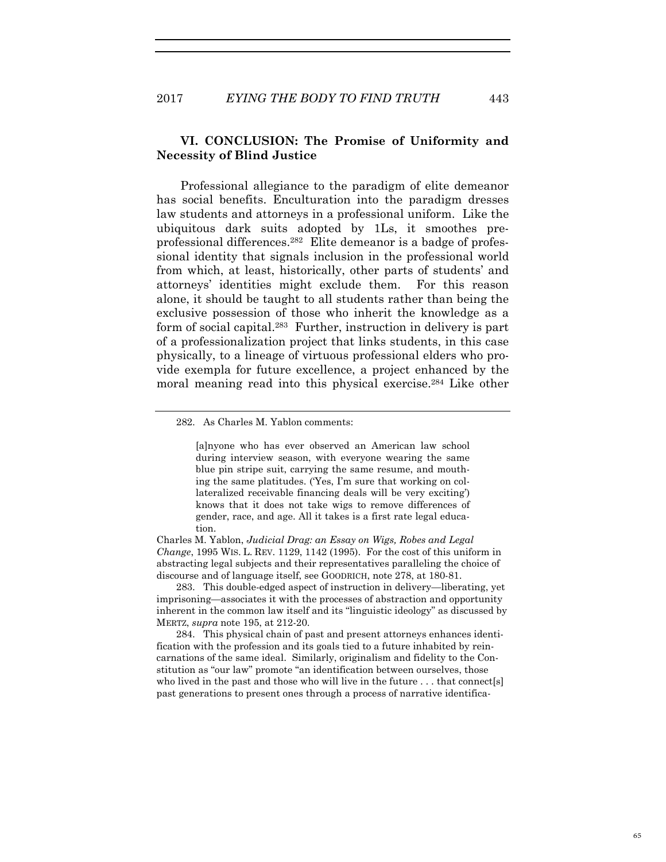### **VI. CONCLUSION: The Promise of Uniformity and Necessity of Blind Justice**

Professional allegiance to the paradigm of elite demeanor has social benefits. Enculturation into the paradigm dresses law students and attorneys in a professional uniform. Like the ubiquitous dark suits adopted by 1Ls, it smoothes preprofessional differences.282 Elite demeanor is a badge of professional identity that signals inclusion in the professional world from which, at least, historically, other parts of students' and attorneys' identities might exclude them. For this reason alone, it should be taught to all students rather than being the exclusive possession of those who inherit the knowledge as a form of social capital.283 Further, instruction in delivery is part of a professionalization project that links students, in this case physically, to a lineage of virtuous professional elders who provide exempla for future excellence, a project enhanced by the moral meaning read into this physical exercise.<sup>284</sup> Like other

282. As Charles M. Yablon comments:

[a]nyone who has ever observed an American law school during interview season, with everyone wearing the same blue pin stripe suit, carrying the same resume, and mouthing the same platitudes. ('Yes, I'm sure that working on collateralized receivable financing deals will be very exciting') knows that it does not take wigs to remove differences of gender, race, and age. All it takes is a first rate legal education.

Charles M. Yablon, *Judicial Drag: an Essay on Wigs, Robes and Legal Change*, 1995 WIS. L. REV. 1129, 1142 (1995). For the cost of this uniform in abstracting legal subjects and their representatives paralleling the choice of discourse and of language itself, see GOODRICH, note 278, at 180-81.

283. This double-edged aspect of instruction in delivery—liberating, yet imprisoning—associates it with the processes of abstraction and opportunity inherent in the common law itself and its "linguistic ideology" as discussed by MERTZ, *supra* note 195, at 212-20.

284. This physical chain of past and present attorneys enhances identification with the profession and its goals tied to a future inhabited by reincarnations of the same ideal. Similarly, originalism and fidelity to the Constitution as "our law" promote "an identification between ourselves, those who lived in the past and those who will live in the future . . . that connect[s] past generations to present ones through a process of narrative identifica-

65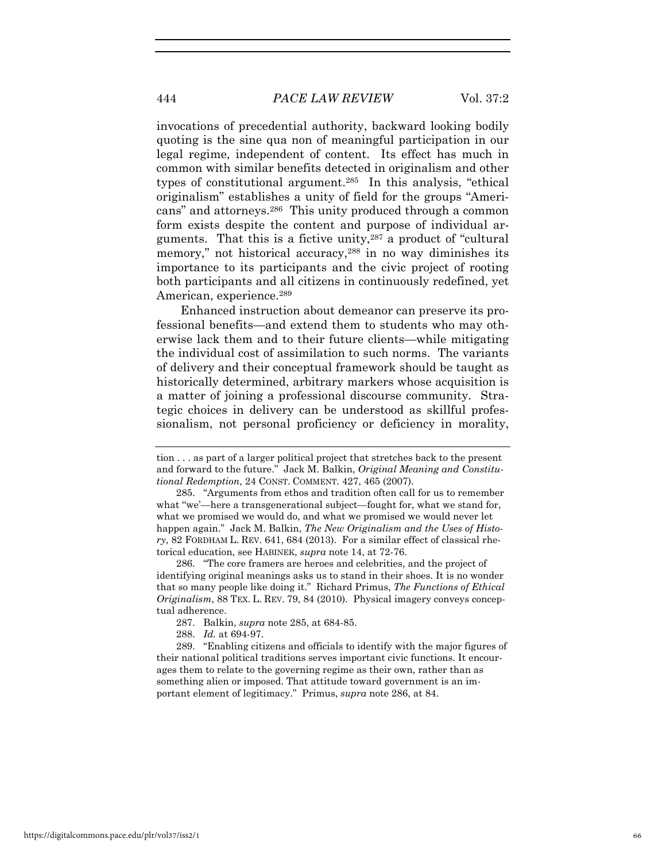# 444 *PACE LAW REVIEW* Vol. 37:2

invocations of precedential authority, backward looking bodily quoting is the sine qua non of meaningful participation in our legal regime, independent of content. Its effect has much in common with similar benefits detected in originalism and other types of constitutional argument.285 In this analysis, "ethical originalism" establishes a unity of field for the groups "Americans" and attorneys.286 This unity produced through a common form exists despite the content and purpose of individual arguments. That this is a fictive unity,287 a product of "cultural memory," not historical accuracy, 288 in no way diminishes its importance to its participants and the civic project of rooting both participants and all citizens in continuously redefined, yet American, experience.<sup>289</sup>

Enhanced instruction about demeanor can preserve its professional benefits—and extend them to students who may otherwise lack them and to their future clients—while mitigating the individual cost of assimilation to such norms. The variants of delivery and their conceptual framework should be taught as historically determined, arbitrary markers whose acquisition is a matter of joining a professional discourse community. Strategic choices in delivery can be understood as skillful professionalism, not personal proficiency or deficiency in morality,

286. "The core framers are heroes and celebrities, and the project of identifying original meanings asks us to stand in their shoes. It is no wonder that so many people like doing it." Richard Primus, *The Functions of Ethical Originalism*, 88 TEX. L. REV. 79, 84 (2010). Physical imagery conveys conceptual adherence.

289. "Enabling citizens and officials to identify with the major figures of their national political traditions serves important civic functions. It encourages them to relate to the governing regime as their own, rather than as something alien or imposed. That attitude toward government is an important element of legitimacy." Primus, *supra* note 286, at 84.

tion . . . as part of a larger political project that stretches back to the present and forward to the future." Jack M. Balkin, *Original Meaning and Constitutional Redemption*, 24 CONST. COMMENT. 427, 465 (2007).

<sup>285. &</sup>quot;Arguments from ethos and tradition often call for us to remember what "we'—here a transgenerational subject—fought for, what we stand for, what we promised we would do, and what we promised we would never let happen again." Jack M. Balkin, *The New Originalism and the Uses of History*, 82 FORDHAM L. REV. 641, 684 (2013). For a similar effect of classical rhetorical education, see HABINEK, *supra* note 14, at 72-76.

<sup>287.</sup> Balkin, *supra* note 285, at 684-85.

<sup>288.</sup> *Id.* at 694-97.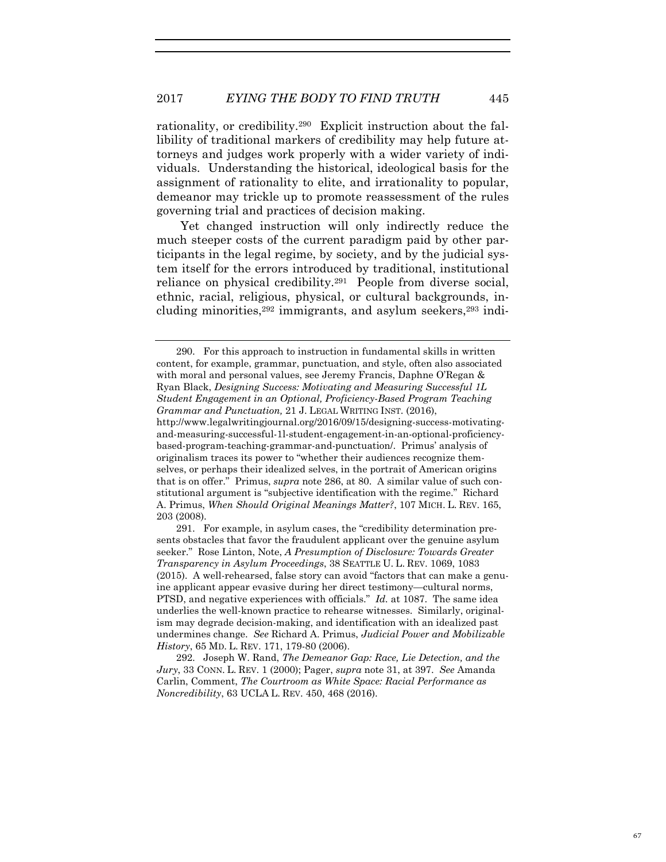rationality, or credibility.290 Explicit instruction about the fallibility of traditional markers of credibility may help future attorneys and judges work properly with a wider variety of individuals. Understanding the historical, ideological basis for the assignment of rationality to elite, and irrationality to popular, demeanor may trickle up to promote reassessment of the rules governing trial and practices of decision making.

Yet changed instruction will only indirectly reduce the much steeper costs of the current paradigm paid by other participants in the legal regime, by society, and by the judicial system itself for the errors introduced by traditional, institutional reliance on physical credibility.291 People from diverse social, ethnic, racial, religious, physical, or cultural backgrounds, including minorities, $292$  immigrants, and asylum seekers, $293$  indi-

<sup>290.</sup> For this approach to instruction in fundamental skills in written content, for example, grammar, punctuation, and style, often also associated with moral and personal values, see Jeremy Francis, Daphne O'Regan & Ryan Black, *Designing Success: Motivating and Measuring Successful 1L Student Engagement in an Optional, Proficiency-Based Program Teaching Grammar and Punctuation,* 21 J. LEGAL WRITING INST. (2016), http://www.legalwritingjournal.org/2016/09/15/designing-success-motivatingand-measuring-successful-1l-student-engagement-in-an-optional-proficiencybased-program-teaching-grammar-and-punctuation/. Primus' analysis of originalism traces its power to "whether their audiences recognize themselves, or perhaps their idealized selves, in the portrait of American origins that is on offer." Primus, *supra* note 286, at 80. A similar value of such constitutional argument is "subjective identification with the regime." Richard A. Primus, *When Should Original Meanings Matter?*, 107 MICH. L. REV. 165, 203 (2008).

<sup>291.</sup> For example, in asylum cases, the "credibility determination presents obstacles that favor the fraudulent applicant over the genuine asylum seeker." Rose Linton, Note, *A Presumption of Disclosure: Towards Greater Transparency in Asylum Proceedings*, 38 SEATTLE U. L. REV. 1069, 1083 (2015). A well-rehearsed, false story can avoid "factors that can make a genuine applicant appear evasive during her direct testimony—cultural norms, PTSD, and negative experiences with officials." *Id.* at 1087. The same idea underlies the well-known practice to rehearse witnesses. Similarly, originalism may degrade decision-making, and identification with an idealized past undermines change. *See* Richard A. Primus, *Judicial Power and Mobilizable History*, 65 MD. L. REV. 171, 179-80 (2006).

<sup>292.</sup> Joseph W. Rand, *The Demeanor Gap: Race, Lie Detection, and the Jury*, 33 CONN. L. REV. 1 (2000); Pager, *supra* note 31, at 397. *See* Amanda Carlin, Comment, *The Courtroom as White Space: Racial Performance as Noncredibility*, 63 UCLA L. REV. 450, 468 (2016).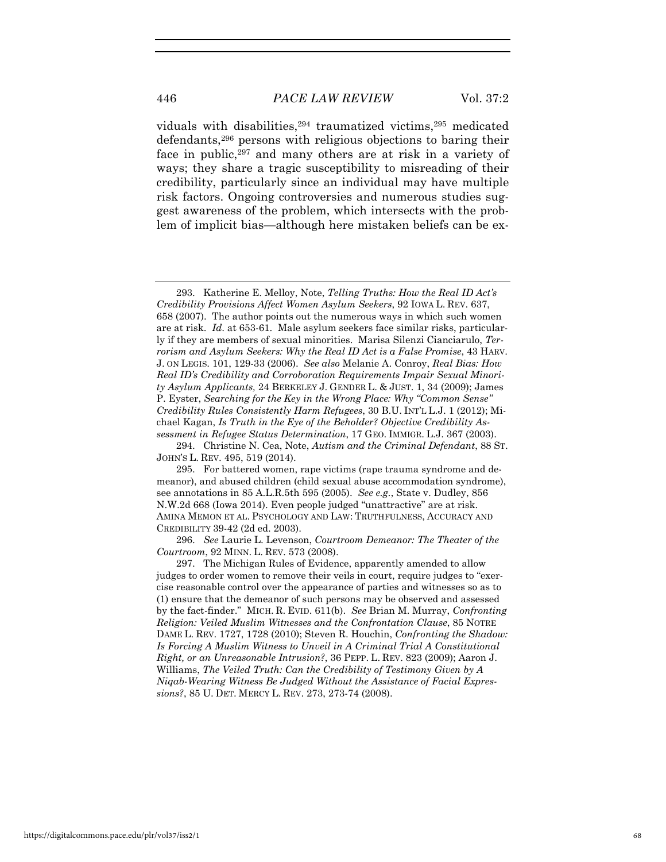viduals with disabilities, <sup>294</sup> traumatized victims, <sup>295</sup> medicated defendants,296 persons with religious objections to baring their face in public,<sup>297</sup> and many others are at risk in a variety of ways; they share a tragic susceptibility to misreading of their credibility, particularly since an individual may have multiple risk factors. Ongoing controversies and numerous studies suggest awareness of the problem, which intersects with the problem of implicit bias—although here mistaken beliefs can be ex-

<sup>293.</sup> Katherine E. Melloy, Note, *Telling Truths: How the Real ID Act's Credibility Provisions Affect Women Asylum Seekers*, 92 IOWA L. REV. 637, 658 (2007). The author points out the numerous ways in which such women are at risk. *Id*. at 653-61. Male asylum seekers face similar risks, particularly if they are members of sexual minorities. Marisa Silenzi Cianciarulo, *Terrorism and Asylum Seekers: Why the Real ID Act is a False Promise*, 43 HARV. J. ON LEGIS. 101, 129-33 (2006). *See also* Melanie A. Conroy, *Real Bias: How Real ID's Credibility and Corroboration Requirements Impair Sexual Minority Asylum Applicants,* 24 BERKELEY J. GENDER L. & JUST. 1, 34 (2009); James P. Eyster, *Searching for the Key in the Wrong Place: Why "Common Sense" Credibility Rules Consistently Harm Refugees*, 30 B.U. INT'L L.J. 1 (2012); Michael Kagan, *Is Truth in the Eye of the Beholder? Objective Credibility Assessment in Refugee Status Determination*, 17 GEO. IMMIGR. L.J. 367 (2003).

<sup>294.</sup> Christine N. Cea, Note, *Autism and the Criminal Defendant*, 88 ST. JOHN'S L. REV. 495, 519 (2014).

<sup>295.</sup> For battered women, rape victims (rape trauma syndrome and demeanor), and abused children (child sexual abuse accommodation syndrome), see annotations in 85 A.L.R.5th 595 (2005). *See e.g.*, State v. Dudley, 856 N.W.2d 668 (Iowa 2014). Even people judged "unattractive" are at risk. AMINA MEMON ET AL. PSYCHOLOGY AND LAW: TRUTHFULNESS, ACCURACY AND CREDIBILITY 39-42 (2d ed. 2003).

<sup>296.</sup> *See* Laurie L. Levenson, *Courtroom Demeanor: The Theater of the Courtroom*, 92 MINN. L. REV. 573 (2008).

<sup>297.</sup> The Michigan Rules of Evidence, apparently amended to allow judges to order women to remove their veils in court, require judges to "exercise reasonable control over the appearance of parties and witnesses so as to (1) ensure that the demeanor of such persons may be observed and assessed by the fact-finder."MICH. R. EVID. 611(b). *See* Brian M. Murray, *Confronting Religion: Veiled Muslim Witnesses and the Confrontation Clause*, 85 NOTRE DAME L. REV. 1727, 1728 (2010); Steven R. Houchin, *Confronting the Shadow: Is Forcing A Muslim Witness to Unveil in A Criminal Trial A Constitutional Right, or an Unreasonable Intrusion?*, 36 PEPP. L. REV. 823 (2009); Aaron J. Williams, *The Veiled Truth: Can the Credibility of Testimony Given by A Niqab-Wearing Witness Be Judged Without the Assistance of Facial Expressions?*, 85 U. DET. MERCY L. REV. 273, 273-74 (2008).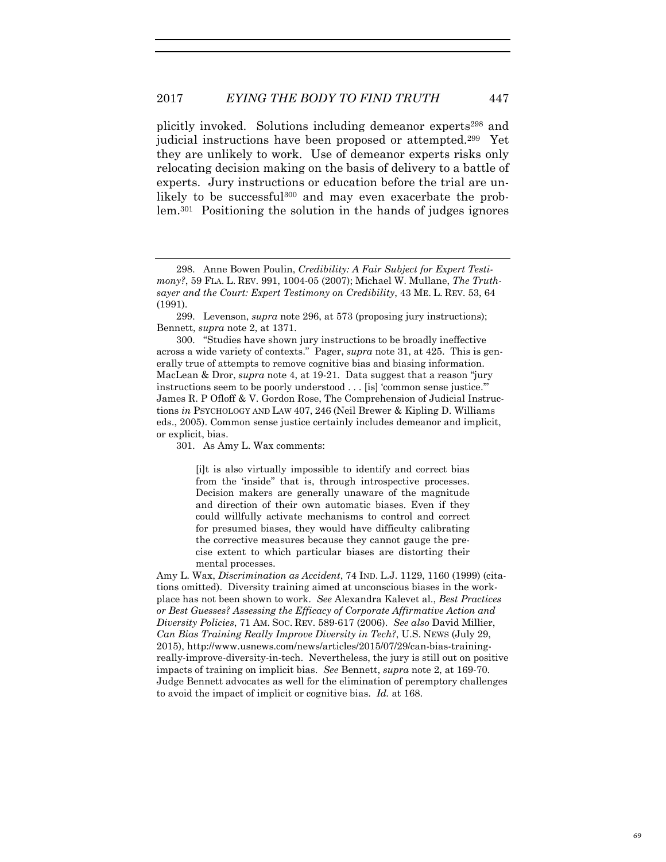plicitly invoked. Solutions including demeanor experts298 and judicial instructions have been proposed or attempted.299 Yet they are unlikely to work. Use of demeanor experts risks only relocating decision making on the basis of delivery to a battle of experts. Jury instructions or education before the trial are unlikely to be successful<sup>300</sup> and may even exacerbate the problem.301 Positioning the solution in the hands of judges ignores

299. Levenson, *supra* note 296, at 573 (proposing jury instructions); Bennett, *supra* note 2, at 1371.

300. "Studies have shown jury instructions to be broadly ineffective across a wide variety of contexts." Pager, *supra* note 31, at 425. This is generally true of attempts to remove cognitive bias and biasing information. MacLean & Dror, *supra* note 4, at 19-21. Data suggest that a reason "jury instructions seem to be poorly understood . . . [is] 'common sense justice.'" James R. P Ofloff & V. Gordon Rose, The Comprehension of Judicial Instructions *in* PSYCHOLOGY AND LAW 407, 246 (Neil Brewer & Kipling D. Williams eds., 2005). Common sense justice certainly includes demeanor and implicit, or explicit, bias.

301. As Amy L. Wax comments:

[i]t is also virtually impossible to identify and correct bias from the 'inside'' that is, through introspective processes. Decision makers are generally unaware of the magnitude and direction of their own automatic biases. Even if they could willfully activate mechanisms to control and correct for presumed biases, they would have difficulty calibrating the corrective measures because they cannot gauge the precise extent to which particular biases are distorting their mental processes.

Amy L. Wax, *Discrimination as Accident*, 74 IND. L.J. 1129, 1160 (1999) (citations omitted). Diversity training aimed at unconscious biases in the workplace has not been shown to work. *See* Alexandra Kalevet al., *Best Practices or Best Guesses? Assessing the Efficacy of Corporate Affirmative Action and Diversity Policies*, 71 AM. SOC. REV. 589-617 (2006). *See also* David Millier, *Can Bias Training Really Improve Diversity in Tech?*, U.S. NEWS (July 29, 2015), http://www.usnews.com/news/articles/2015/07/29/can-bias-trainingreally-improve-diversity-in-tech. Nevertheless, the jury is still out on positive impacts of training on implicit bias. *See* Bennett, *supra* note 2, at 169-70. Judge Bennett advocates as well for the elimination of peremptory challenges to avoid the impact of implicit or cognitive bias. *Id.* at 168.

<sup>298.</sup> Anne Bowen Poulin, *Credibility: A Fair Subject for Expert Testimony?*, 59 FLA. L. REV. 991, 1004-05 (2007); Michael W. Mullane, *The Truthsayer and the Court: Expert Testimony on Credibility*, 43 ME. L. REV. 53, 64 (1991).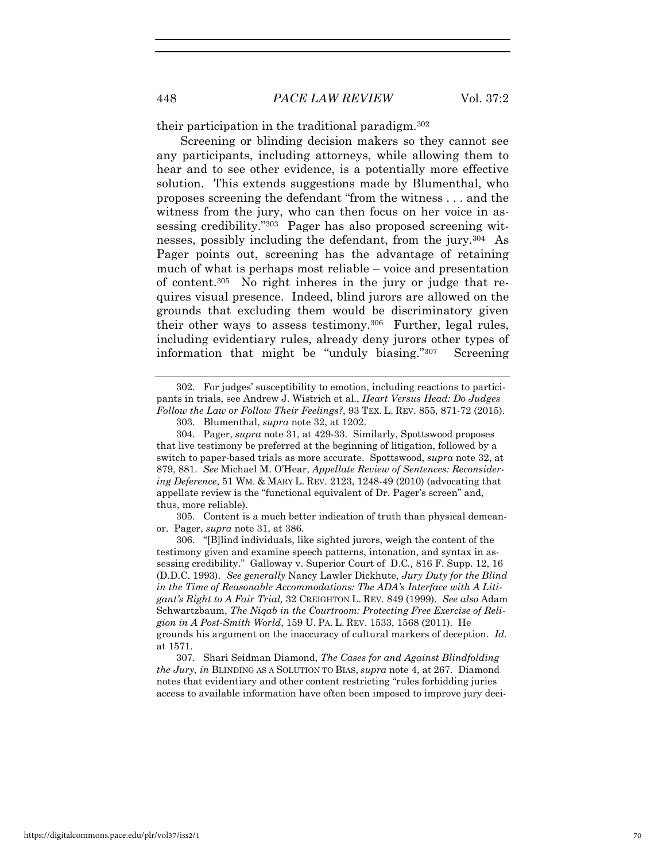their participation in the traditional paradigm.302

Screening or blinding decision makers so they cannot see any participants, including attorneys, while allowing them to hear and to see other evidence, is a potentially more effective solution. This extends suggestions made by Blumenthal, who proposes screening the defendant "from the witness . . . and the witness from the jury, who can then focus on her voice in assessing credibility."303 Pager has also proposed screening witnesses, possibly including the defendant, from the jury.304 As Pager points out, screening has the advantage of retaining much of what is perhaps most reliable – voice and presentation of content.305 No right inheres in the jury or judge that requires visual presence. Indeed, blind jurors are allowed on the grounds that excluding them would be discriminatory given their other ways to assess testimony.306 Further, legal rules, including evidentiary rules, already deny jurors other types of information that might be "unduly biasing."307 Screening

305. Content is a much better indication of truth than physical demeanor. Pager, *supra* note 31, at 386.

306. "[B]lind individuals, like sighted jurors, weigh the content of the testimony given and examine speech patterns, intonation, and syntax in assessing credibility." Galloway v. Superior Court of D.C*.,* 816 F. Supp. 12, 16 (D.D.C. 1993). *See generally* Nancy Lawler Dickhute, *Jury Duty for the Blind in the Time of Reasonable Accommodations: The ADA's Interface with A Litigant's Right to A Fair Trial,* 32 CREIGHTON L. REV. 849 (1999). *See also* Adam Schwartzbaum, *The Niqab in the Courtroom: Protecting Free Exercise of Religion in A Post-Smith World*, 159 U. PA. L. REV. 1533, 1568 (2011). He grounds his argument on the inaccuracy of cultural markers of deception. *Id.*  at 1571.

307. Shari Seidman Diamond, *The Cases for and Against Blindfolding the Jury*, *in* BLINDING AS A SOLUTION TO BIAS, *supra* note 4, at 267. Diamond notes that evidentiary and other content restricting "rules forbidding juries access to available information have often been imposed to improve jury deci-

<sup>302.</sup> For judges' susceptibility to emotion, including reactions to participants in trials, see Andrew J. Wistrich et al., *Heart Versus Head: Do Judges Follow the Law or Follow Their Feelings?*, 93 TEX. L. REV. 855, 871-72 (2015).

<sup>303.</sup> Blumenthal, *supra* note 32, at 1202.

<sup>304.</sup> Pager, *supra* note 31, at 429-33. Similarly, Spottswood proposes that live testimony be preferred at the beginning of litigation, followed by a switch to paper-based trials as more accurate. Spottswood, *supra* note 32, at 879, 881. *See* Michael M. O'Hear, *Appellate Review of Sentences: Reconsidering Deference*, 51 WM. & MARY L. REV. 2123, 1248-49 (2010) (advocating that appellate review is the "functional equivalent of Dr. Pager's screen" and, thus, more reliable).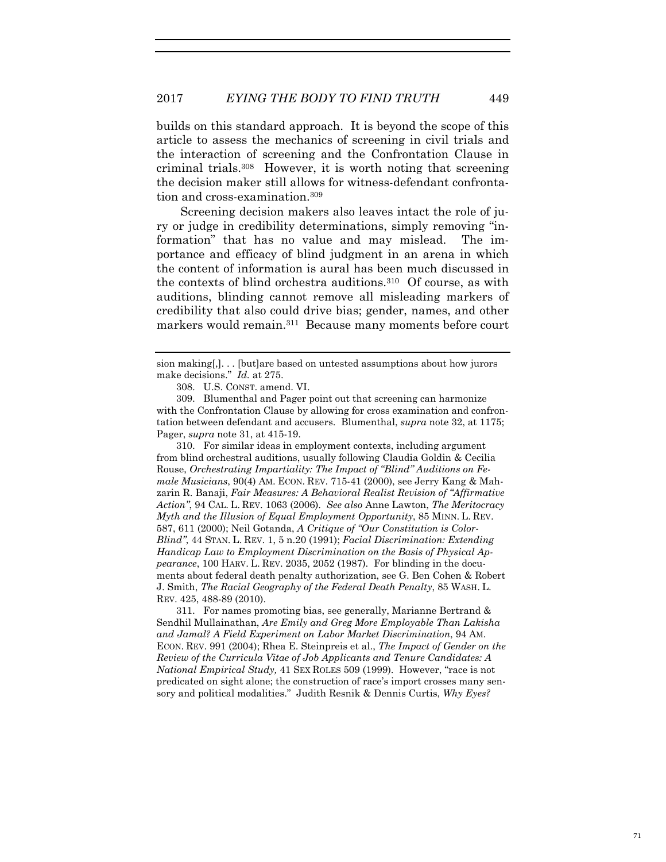builds on this standard approach. It is beyond the scope of this article to assess the mechanics of screening in civil trials and the interaction of screening and the Confrontation Clause in criminal trials.308 However, it is worth noting that screening the decision maker still allows for witness-defendant confrontation and cross-examination.309

Screening decision makers also leaves intact the role of jury or judge in credibility determinations, simply removing "information" that has no value and may mislead. The importance and efficacy of blind judgment in an arena in which the content of information is aural has been much discussed in the contexts of blind orchestra auditions.310 Of course, as with auditions, blinding cannot remove all misleading markers of credibility that also could drive bias; gender, names, and other markers would remain.<sup>311</sup> Because many moments before court

309. Blumenthal and Pager point out that screening can harmonize with the Confrontation Clause by allowing for cross examination and confrontation between defendant and accusers. Blumenthal, *supra* note 32, at 1175; Pager, *supra* note 31, at 415-19.

310. For similar ideas in employment contexts, including argument from blind orchestral auditions, usually following Claudia Goldin & Cecilia Rouse, *Orchestrating Impartiality: The Impact of "Blind" Auditions on Female Musicians*, 90(4) AM. ECON. REV. 715-41 (2000), see Jerry Kang & Mahzarin R. Banaji, *Fair Measures: A Behavioral Realist Revision of "Affirmative Action"*, 94 CAL. L. REV. 1063 (2006). *See also* Anne Lawton, *The Meritocracy Myth and the Illusion of Equal Employment Opportunity*, 85 MINN. L. REV. 587, 611 (2000); Neil Gotanda, *A Critique of "Our Constitution is Color-Blind"*, 44 STAN. L. REV. 1, 5 n.20 (1991); *Facial Discrimination: Extending Handicap Law to Employment Discrimination on the Basis of Physical Appearance*, 100 HARV. L. REV. 2035, 2052 (1987). For blinding in the documents about federal death penalty authorization, see G. Ben Cohen & Robert J. Smith, *The Racial Geography of the Federal Death Penalty*, 85 WASH. L. REV. 425, 488-89 (2010).

311. For names promoting bias, see generally, Marianne Bertrand & Sendhil Mullainathan, *Are Emily and Greg More Employable Than Lakisha and Jamal? A Field Experiment on Labor Market Discrimination*, 94 AM. ECON. REV. 991 (2004); Rhea E. Steinpreis et al., *The Impact of Gender on the Review of the Curricula Vitae of Job Applicants and Tenure Candidates: A National Empirical Study,* 41 SEX ROLES 509 (1999). However, "race is not predicated on sight alone; the construction of race's import crosses many sensory and political modalities." Judith Resnik & Dennis Curtis, *Why Eyes?* 

sion making[,]. . . [but]are based on untested assumptions about how jurors make decisions." *Id.* at 275.

<sup>308.</sup> U.S. CONST. amend. VI.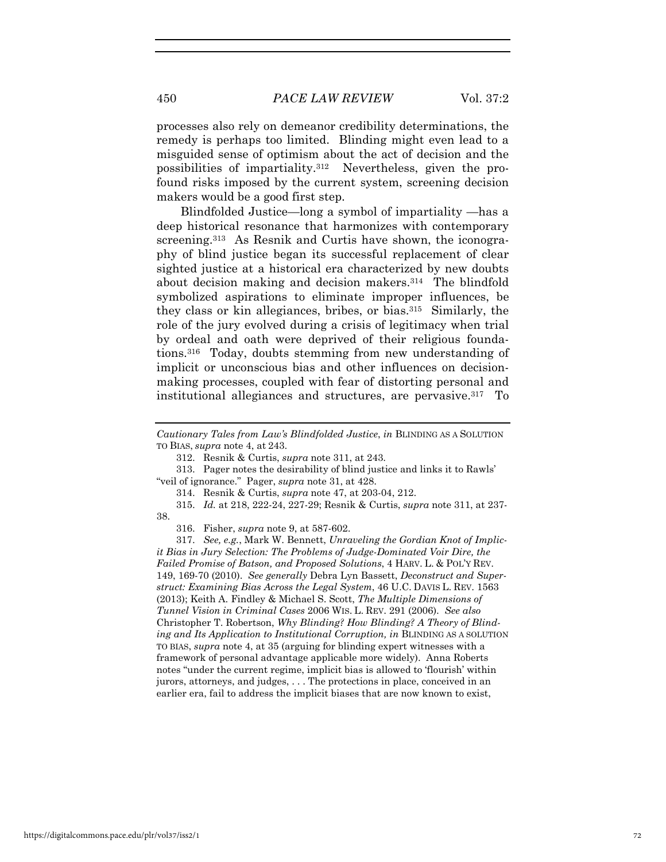450 *PACE LAW REVIEW* Vol. 37:2

processes also rely on demeanor credibility determinations, the remedy is perhaps too limited. Blinding might even lead to a misguided sense of optimism about the act of decision and the possibilities of impartiality.312 Nevertheless, given the profound risks imposed by the current system, screening decision makers would be a good first step.

Blindfolded Justice—long a symbol of impartiality —has a deep historical resonance that harmonizes with contemporary screening.<sup>313</sup> As Resnik and Curtis have shown, the iconography of blind justice began its successful replacement of clear sighted justice at a historical era characterized by new doubts about decision making and decision makers.314 The blindfold symbolized aspirations to eliminate improper influences, be they class or kin allegiances, bribes, or bias.315 Similarly, the role of the jury evolved during a crisis of legitimacy when trial by ordeal and oath were deprived of their religious foundations.316 Today, doubts stemming from new understanding of implicit or unconscious bias and other influences on decisionmaking processes, coupled with fear of distorting personal and institutional allegiances and structures, are pervasive.317 To

*Cautionary Tales from Law's Blindfolded Justice*, *in* BLINDING AS A SOLUTION TO BIAS, *supra* note 4, at 243.

312. Resnik & Curtis, *supra* note 311, at 243.

313. Pager notes the desirability of blind justice and links it to Rawls' "veil of ignorance." Pager, *supra* note 31, at 428.

314. Resnik & Curtis, *supra* note 47, at 203-04, 212.

315. *Id.* at 218, 222-24, 227-29; Resnik & Curtis, *supra* note 311, at 237- 38.

316. Fisher, *supra* note 9, at 587-602.

317. *See, e.g.*, Mark W. Bennett, *Unraveling the Gordian Knot of Implicit Bias in Jury Selection: The Problems of Judge-Dominated Voir Dire, the Failed Promise of Batson, and Proposed Solutions*, 4 HARV. L. & POL'Y REV. 149, 169-70 (2010). *See generally* Debra Lyn Bassett, *Deconstruct and Superstruct: Examining Bias Across the Legal System*, 46 U.C. DAVIS L. REV. 1563 (2013); Keith A. Findley & Michael S. Scott, *The Multiple Dimensions of Tunnel Vision in Criminal Cases* 2006 WIS. L. REV. 291 (2006). *See also*  Christopher T. Robertson, *Why Blinding? How Blinding? A Theory of Blinding and Its Application to Institutional Corruption, in* BLINDING AS A SOLUTION TO BIAS, *supra* note 4, at 35 (arguing for blinding expert witnesses with a framework of personal advantage applicable more widely). Anna Roberts notes "under the current regime, implicit bias is allowed to 'flourish' within jurors, attorneys, and judges, . . . The protections in place, conceived in an earlier era, fail to address the implicit biases that are now known to exist,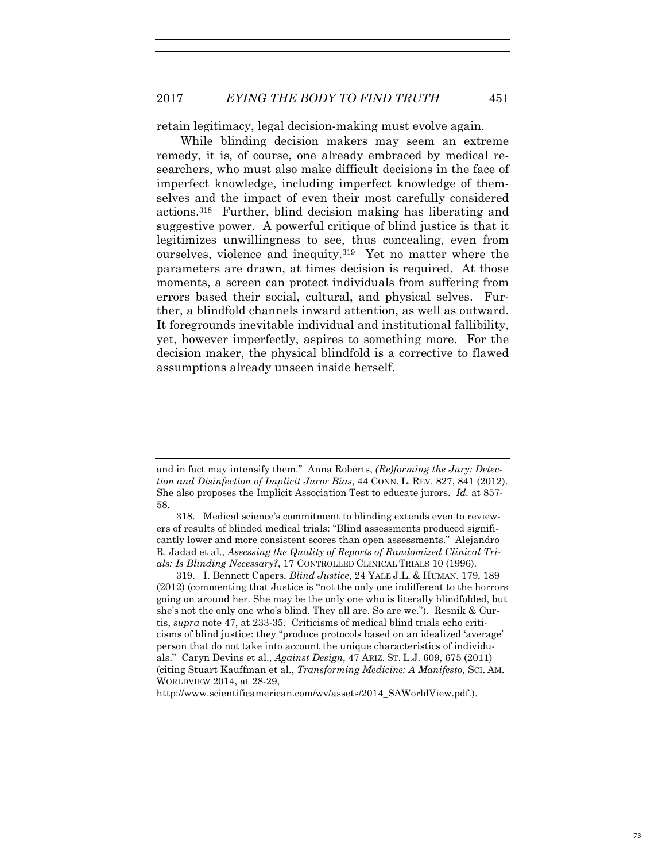retain legitimacy, legal decision-making must evolve again.

While blinding decision makers may seem an extreme remedy, it is, of course, one already embraced by medical researchers, who must also make difficult decisions in the face of imperfect knowledge, including imperfect knowledge of themselves and the impact of even their most carefully considered actions.318 Further, blind decision making has liberating and suggestive power. A powerful critique of blind justice is that it legitimizes unwillingness to see, thus concealing, even from ourselves, violence and inequity.319 Yet no matter where the parameters are drawn, at times decision is required. At those moments, a screen can protect individuals from suffering from errors based their social, cultural, and physical selves. Further, a blindfold channels inward attention, as well as outward. It foregrounds inevitable individual and institutional fallibility, yet, however imperfectly, aspires to something more. For the decision maker, the physical blindfold is a corrective to flawed assumptions already unseen inside herself.

319. I. Bennett Capers, *Blind Justice*, 24 YALE J.L. & HUMAN. 179, 189 (2012) (commenting that Justice is "not the only one indifferent to the horrors going on around her. She may be the only one who is literally blindfolded, but she's not the only one who's blind. They all are. So are we."). Resnik & Curtis, *supra* note 47, at 233-35. Criticisms of medical blind trials echo criticisms of blind justice: they "produce protocols based on an idealized 'average' person that do not take into account the unique characteristics of individuals." Caryn Devins et al., *Against Design*, 47 ARIZ. ST. L.J. 609, 675 (2011) (citing Stuart Kauffman et al., *Transforming Medicine: A Manifesto,* SCI. AM. WORLDVIEW 2014, at 28-29,

http://www.scientificamerican.com/wv/assets/2014\_SAWorldView.pdf.).

and in fact may intensify them." Anna Roberts, *(Re)forming the Jury: Detection and Disinfection of Implicit Juror Bias*, 44 CONN. L. REV. 827, 841 (2012). She also proposes the Implicit Association Test to educate jurors. *Id.* at 857- 58.

<sup>318.</sup> Medical science's commitment to blinding extends even to reviewers of results of blinded medical trials: "Blind assessments produced significantly lower and more consistent scores than open assessments." Alejandro R. Jadad et al., *Assessing the Quality of Reports of Randomized Clinical Trials: Is Blinding Necessary?*, 17 CONTROLLED CLINICAL TRIALS 10 (1996).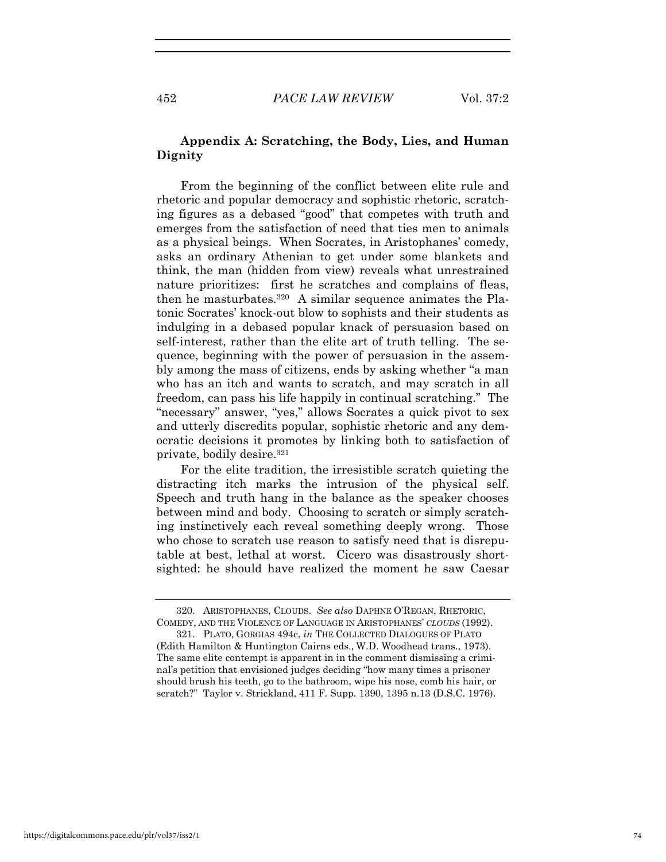## **Appendix A: Scratching, the Body, Lies, and Human Dignity**

From the beginning of the conflict between elite rule and rhetoric and popular democracy and sophistic rhetoric, scratching figures as a debased "good" that competes with truth and emerges from the satisfaction of need that ties men to animals as a physical beings. When Socrates, in Aristophanes' comedy, asks an ordinary Athenian to get under some blankets and think, the man (hidden from view) reveals what unrestrained nature prioritizes: first he scratches and complains of fleas, then he masturbates.320 A similar sequence animates the Platonic Socrates' knock-out blow to sophists and their students as indulging in a debased popular knack of persuasion based on self-interest, rather than the elite art of truth telling. The sequence, beginning with the power of persuasion in the assembly among the mass of citizens, ends by asking whether "a man who has an itch and wants to scratch, and may scratch in all freedom, can pass his life happily in continual scratching." The "necessary" answer, "yes," allows Socrates a quick pivot to sex and utterly discredits popular, sophistic rhetoric and any democratic decisions it promotes by linking both to satisfaction of private, bodily desire.321

For the elite tradition, the irresistible scratch quieting the distracting itch marks the intrusion of the physical self. Speech and truth hang in the balance as the speaker chooses between mind and body. Choosing to scratch or simply scratching instinctively each reveal something deeply wrong. Those who chose to scratch use reason to satisfy need that is disreputable at best, lethal at worst. Cicero was disastrously shortsighted: he should have realized the moment he saw Caesar

<sup>320.</sup> ARISTOPHANES, CLOUDS. *See also* DAPHNE O'REGAN, RHETORIC, COMEDY, AND THE VIOLENCE OF LANGUAGE IN ARISTOPHANES' *CLOUDS* (1992).

<sup>321.</sup> PLATO, GORGIAS 494c, *in* THE COLLECTED DIALOGUES OF PLATO (Edith Hamilton & Huntington Cairns eds., W.D. Woodhead trans., 1973). The same elite contempt is apparent in in the comment dismissing a criminal's petition that envisioned judges deciding "how many times a prisoner should brush his teeth, go to the bathroom, wipe his nose, comb his hair, or scratch?" Taylor v. Strickland, 411 F. Supp. 1390, 1395 n.13 (D.S.C. 1976).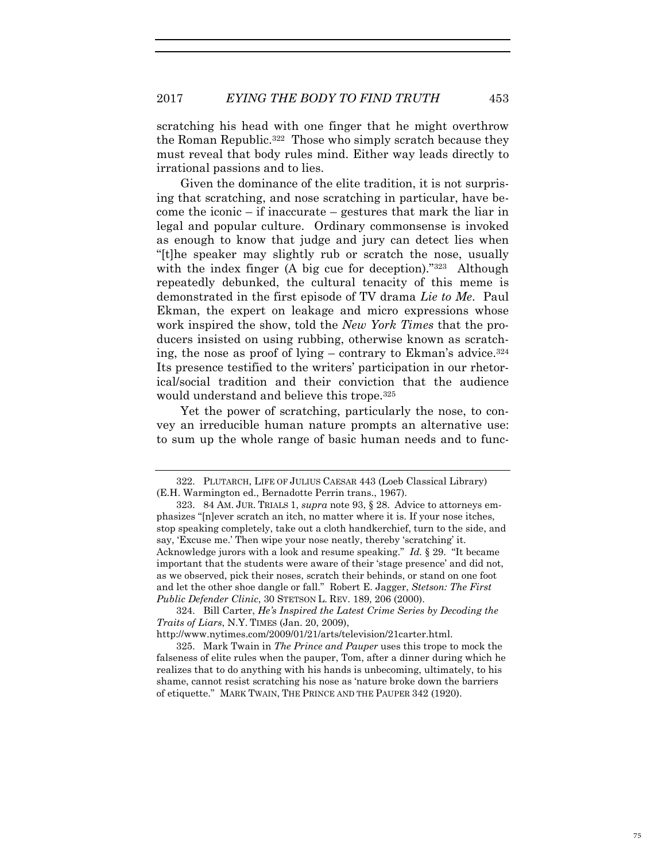scratching his head with one finger that he might overthrow the Roman Republic.322 Those who simply scratch because they must reveal that body rules mind. Either way leads directly to irrational passions and to lies.

Given the dominance of the elite tradition, it is not surprising that scratching, and nose scratching in particular, have become the iconic – if inaccurate – gestures that mark the liar in legal and popular culture. Ordinary commonsense is invoked as enough to know that judge and jury can detect lies when "[t]he speaker may slightly rub or scratch the nose, usually with the index finger (A big cue for deception)."<sup>323</sup> Although repeatedly debunked, the cultural tenacity of this meme is demonstrated in the first episode of TV drama *Lie to Me*. Paul Ekman, the expert on leakage and micro expressions whose work inspired the show, told the *New York Times* that the producers insisted on using rubbing, otherwise known as scratching, the nose as proof of lying – contrary to Ekman's advice.324 Its presence testified to the writers' participation in our rhetorical/social tradition and their conviction that the audience would understand and believe this trope.<sup>325</sup>

Yet the power of scratching, particularly the nose, to convey an irreducible human nature prompts an alternative use: to sum up the whole range of basic human needs and to func-

http://www.nytimes.com/2009/01/21/arts/television/21carter.html.

325. Mark Twain in *The Prince and Pauper* uses this trope to mock the falseness of elite rules when the pauper, Tom, after a dinner during which he realizes that to do anything with his hands is unbecoming, ultimately, to his shame, cannot resist scratching his nose as 'nature broke down the barriers of etiquette." MARK TWAIN, THE PRINCE AND THE PAUPER 342 (1920).

<sup>322.</sup> PLUTARCH, LIFE OF JULIUS CAESAR 443 (Loeb Classical Library) (E.H. Warmington ed., Bernadotte Perrin trans., 1967).

<sup>323. 84</sup> AM. JUR. TRIALS 1, *supra* note 93, § 28. Advice to attorneys emphasizes "[n]ever scratch an itch, no matter where it is. If your nose itches, stop speaking completely, take out a cloth handkerchief, turn to the side, and say, 'Excuse me.' Then wipe your nose neatly, thereby 'scratching' it. Acknowledge jurors with a look and resume speaking." *Id.* § 29."It became important that the students were aware of their 'stage presence' and did not, as we observed, pick their noses, scratch their behinds, or stand on one foot and let the other shoe dangle or fall." Robert E. Jagger, *Stetson: The First Public Defender Clinic*, 30 STETSON L. REV. 189, 206 (2000).

<sup>324.</sup> Bill Carter, *He's Inspired the Latest Crime Series by Decoding the Traits of Liars*, N.Y. TIMES (Jan. 20, 2009),